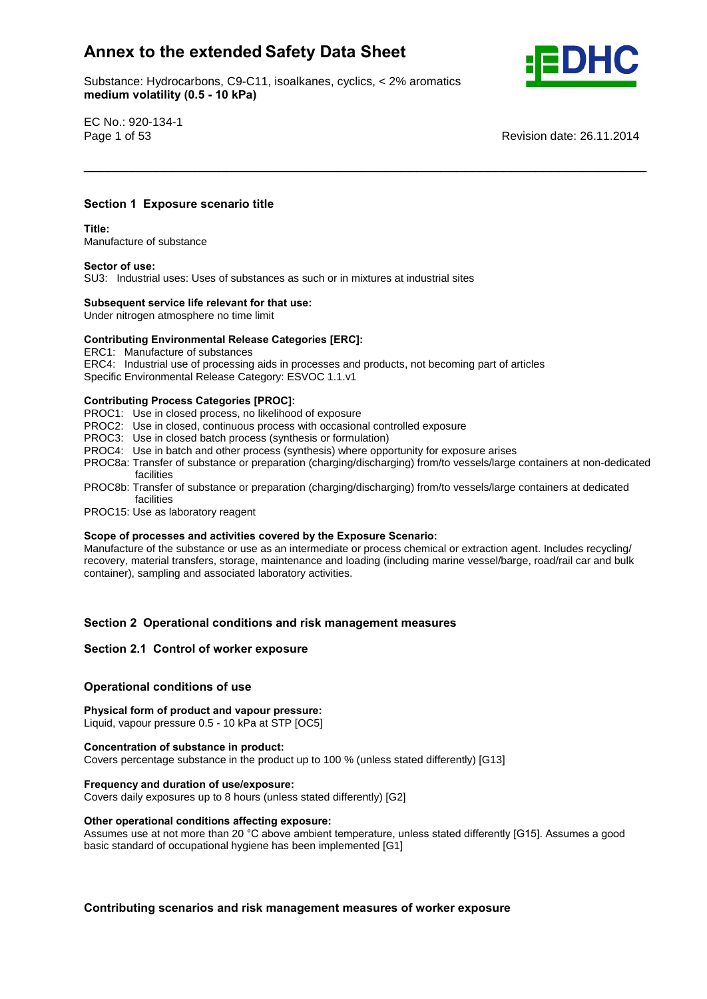Substance: Hydrocarbons, C9-C11, isoalkanes, cyclics, < 2% aromatics e: Hydrocarbons, C9-C11, ise<br>**volatility (0.5 - 10 kPa)** 



EC No.: 920-134-1

Page 1 of 53 Revision date: 26.11.2014

## **<sup>1</sup> Exposure scenario title Title:**

**Section**

Manufacture of substance **Sector of use:**

SU3: Industrial uses: Uses of substances as such or in mixtures at industrial sites **Subsequent service life relevant for that use:**

Under nitrogen atmosphere no time limit

## **Subsequent service life relevant for that use:**<br>Under nitrogen atmosphere no time limit<br>Contributing Environmental Release Categories [ERC]:

ERC1: Manufacture of substances

ERC4: Industrial use of processing aids in processes and products, not becoming part of articles Specific Environmental Release Category: ESVOC 1.1.v1 **Contributing Process Categories [PROC]:**

PROC1: Use in closed process, no likelihood of exposure

- PROC2: Use in closed, continuous process with occasional controlled exposure
- PROC3: Use in closed batch process (synthesis or formulation)
- PROC4: Use in batch and other process (synthesis) where opportunity for exposure arises
- PROC8a: Transfer of substance or preparation (charging/discharging) from/to vessels/large containers at non-dedicated facilities

\_\_\_\_\_\_\_\_\_\_\_\_\_\_\_\_\_\_\_\_\_\_\_\_\_\_\_\_\_\_\_\_\_\_\_\_\_\_\_\_\_\_\_\_\_\_\_\_\_\_\_\_\_\_\_\_\_\_\_\_\_\_\_\_\_\_\_\_\_\_\_

- PROC8b: Transfer of substance or preparation (charging/discharging) from/to vessels/large containers at dedicated facilities
- PROC15: Use as laboratory reagent **Scope**

#### **of processes and activities covered by the Exposure Scenario:**

Manufacture of the substance or use as an intermediate or process chemical or extraction agent. Includes recycling/ recovery, material transfers, storage, maintenance and loading (including marine vessel/barge, road/rail car and bulk container), sampling and associated laboratory activities.

# **<sup>2</sup> Operational conditions and risk management measures Section 2.1 Control of worker exposure**

## **Section 2.1 Control of worker exposure**

## **conditions** of worker exposured<br> **Physical**<br> **Physical**<br> **Physical**<br> **Physical**<br> **Physical**

## **form of product and vapour pressure:**

Liquid, vapour pressure 0.5 - 10 kPa at STP [OC5] **Concentration of substance in product:**

Covers percentage substance in the product up to 100 % (unless stated differently) [G13] **Frequency and duration of use/exposure:**

Covers daily exposures up to 8 hours (unless stated differently) [G2] **Other operational conditions affecting exposure:**

Other operational conditions affecting exposure:<br>Assumes use at not more than 20 °C above ambient temperature, unless stated differently [G15]. Assumes a good basic standard of occupational hygiene has been implemented [G1]

**scenarios and risk management measures of worker exposure**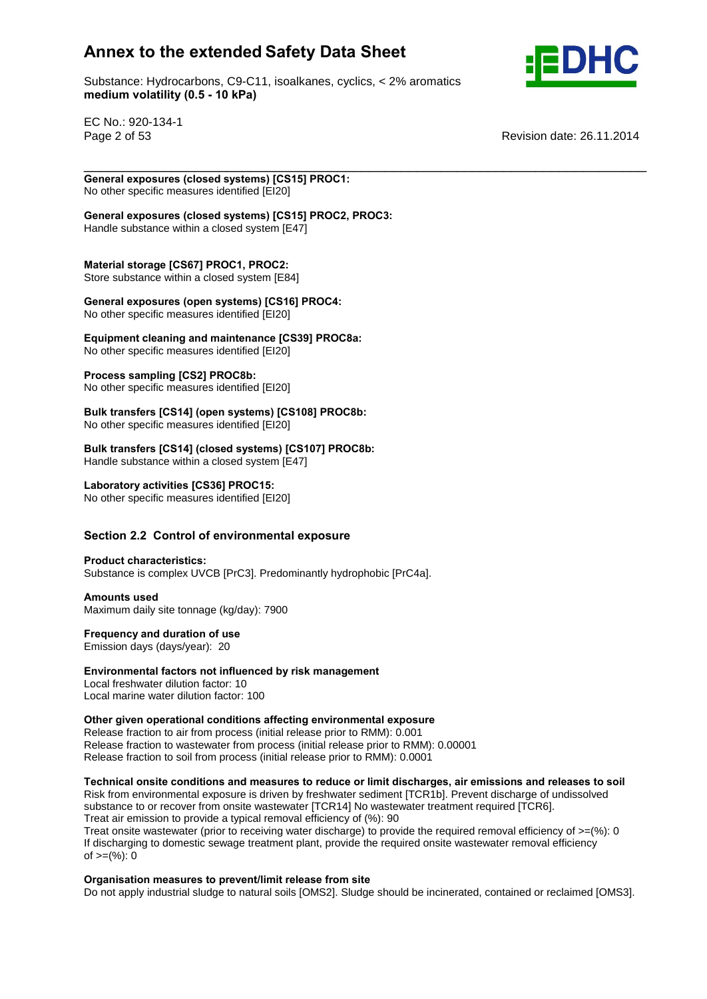

Substance: Hydrocarbons, C9-C11, isoalkanes, cyclics, < 2% aromatics e: Hydrocarbons, C9-C11, ise<br>**volatility (0.5 - 10 kPa)** 

EC No.: 920-134-1

Page 2 of 53 **Page 2 of 53** Revision date: 26.11.2014

\_\_\_\_\_\_\_\_\_\_\_\_\_\_\_\_\_\_\_\_\_\_\_\_\_\_\_\_\_\_\_\_\_\_\_\_\_\_\_\_\_\_\_\_\_\_\_\_\_\_\_\_\_\_\_\_\_\_\_\_\_\_\_\_\_\_\_\_\_\_\_ **General exposures (closed systems) [CS15] PROC1:** No other specific measures identified [EI20] **General**

 **exposures (closed systems) [CS15] PROC2, PROC3:** Handle substance within a closed system [E47] **Material**

**storage [CS67] PROC1, PROC2:**

material eterage **pectricities**:  $\frac{1}{2}$  is the extended system [E84]

 **exposures (open systems) [CS16] PROC4: Experimental components (open systems) Example** 

**cleaning and maintenance [CS39] PROC8a:**

No other specific measures identified [EI20] **Process sampling [CS2] PROC8b:**

No other specific measures identified [EI20]

**Process sampling [CS2] PROC8b:**<br>No other specific measures identified [EI20]<br>Bulk transfers [CS14] (open systems) [CS108] PROC8b: No other specific measures identified [EI20] **Bulk**

**transfers [CS14] (closed systems) [CS107] PROC8b:**

Handle substance within a closed system [E47] **Laboratory activities [CS36] PROC15:**

No other specific measures identified [EI20] **Section**

# **2.2 Control of environmental exposure Product characteristics:**

Substance is complex UVCB [PrC3]. Predominantly hydrophobic [PrC4a]. **Amounts used**

Maximum daily site tonnage (kg/day): 7900 **Frequency and duration of use**

**Emission days (days/year): 20** 

## Frequency and duration of use<br> **Emission days (days/year): 20<br>
<b>Environmental factors not influenced by risk management**

Local freshwater dilution factor: 10 Local marine water dilution factor: 100 **Other**

**given operational conditions affecting environmental exposure**

Release fraction to air from process (initial release prior to RMM): 0.001 Release fraction to wastewater from process (initial release prior to RMM): 0.00001 release mashem to masterially mem process (initial release prior to RMM): 0.0001

## **onsite conditions and measures to reduce or limit discharges, air emissions and releases to soil**

Risk from environmental exposure is driven by freshwater sediment [TCR1b]. Prevent discharge of undissolved substance to or recover from onsite wastewater [TCR14] No wastewater treatment required [TCR6]. Treat air emission to provide a typical removal efficiency of (%): 90

Treat onsite wastewater (prior to receiving water discharge) to provide the required removal efficiency of >=(%): 0 If discharging to domestic sewage treatment plant, provide the required onsite wastewater removal efficiency n albertal ging to dent<br>of >=(%): 0

## **measures to prevent/limit release from site**

Do not apply industrial sludge to natural soils [OMS2]. Sludge should be incinerated, contained or reclaimed [OMS3].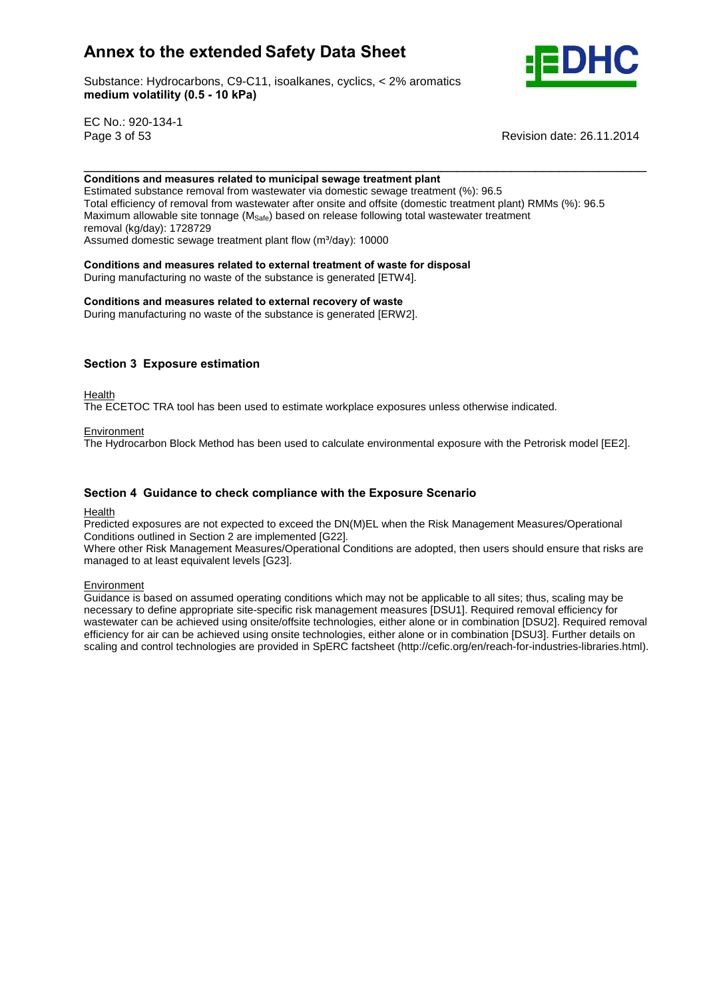Substance: Hydrocarbons, C9-C11, isoalkanes, cyclics, < 2% aromatics e: Hydrocarbons, C9-C11, ise<br>**volatility (0.5 - 10 kPa)** 



EC No.: 920-134-1

Page 3 of 53 Revision date: 26.11.2014

#### \_\_\_\_\_\_\_\_\_\_\_\_\_\_\_\_\_\_\_\_\_\_\_\_\_\_\_\_\_\_\_\_\_\_\_\_\_\_\_\_\_\_\_\_\_\_\_\_\_\_\_\_\_\_\_\_\_\_\_\_\_\_\_\_\_\_\_\_\_\_\_ **and measures related to municipal sewage treatment plant**

Estimated substance removal from wastewater via domestic sewage treatment (%): 96.5 Total efficiency of removal from wastewater after onsite and offsite (domestic treatment plant) RMMs (%): 96.5 Maximum allowable site tonnage  $(M<sub>Safe</sub>)$  based on release following total wastewater treatment removal (kg/day): 1728729 Assumed domestic sewage treatment plant flow (m<sup>3</sup>/day): 10000<br>
removal (kg/day): 1728729<br>
Assumed domestic sewage treatment plant flow (m<sup>3</sup>/day): 10000<br> **Conditions and measures related to external treatment of waste for** 

During manufacturing no waste of the substance is generated [ETW4]. **Conditions and measures related to external recovery of waste**

During manufacturing no waste of the substance is generated [ERW2].

## **<sup>3</sup> Exposure estimation**

Health

The ECETOC TRA tool has been used to estimate workplace exposures unless otherwise indicated.

#### **Environment**

The Hydrocarbon Block Method has been used to calculate environmental exposure with the Petrorisk model [EE2].

## **<sup>4</sup> Guidance to check compliance with the Exposure Scenario**

#### Health

Predicted exposures are not expected to exceed the DN(M)EL when the Risk Management Measures/Operational Conditions outlined in Section 2 are implemented [G22].

Where other Risk Management Measures/Operational Conditions are adopted, then users should ensure that risks are managed to at least equivalent levels [G23].

#### Environment

Guidance is based on assumed operating conditions which may not be applicable to all sites; thus, scaling may be necessary to define appropriate site-specific risk management measures [DSU1]. Required removal efficiency for wastewater can be achieved using onsite/offsite technologies, either alone or in combination [DSU2]. Required removal efficiency for air can be achieved using onsite technologies, either alone or in combination [DSU3]. Further details on scaling and control technologies are provided in SpERC factsheet (http://cefic.org/en/reach-for-industries-libraries.html).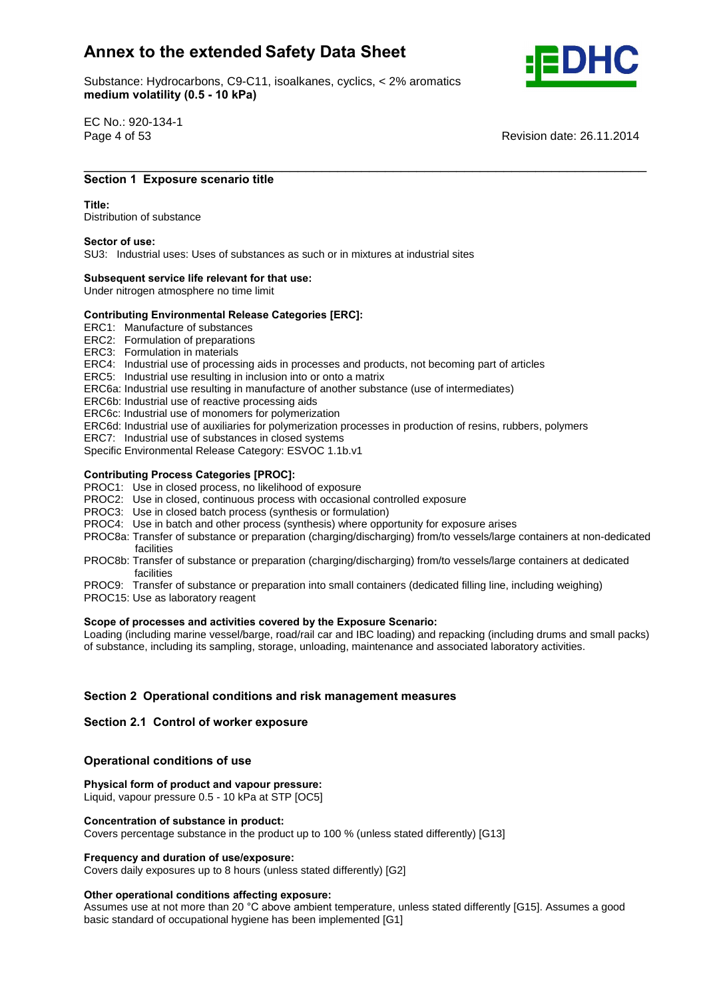Substance: Hydrocarbons, C9-C11, isoalkanes, cyclics, < 2% aromatics e: Hydrocarbons, C9-C11, ise<br>**volatility (0.5 - 10 kPa)** 



EC No.: 920-134-1

Page 4 of 53 Revision date: 26.11.2014

## \_\_\_\_\_\_\_\_\_\_\_\_\_\_\_\_\_\_\_\_\_\_\_\_\_\_\_\_\_\_\_\_\_\_\_\_\_\_\_\_\_\_\_\_\_\_\_\_\_\_\_\_\_\_\_\_\_\_\_\_\_\_\_\_\_\_\_\_\_\_\_ **<sup>1</sup> Exposure scenario title Title:**

#### Title<sup>.</sup>

Distribution of substance **Sector of use:**

SU3: Industrial uses: Uses of substances as such or in mixtures at industrial sites **Subsequent service life relevant for that use:**

Under nitrogen atmosphere no time limit

## **Subsequent service life relevant for that use:**<br>
Under nitrogen atmosphere no time limit<br>
Contributing Environmental Release Categories [ERC]:

ERC1: Manufacture of substances

- ERC2: Formulation of preparations
- ERC3: Formulation in materials
- ERC4: Industrial use of processing aids in processes and products, not becoming part of articles
- ERC5: Industrial use resulting in inclusion into or onto a matrix
- ERC6a: Industrial use resulting in manufacture of another substance (use of intermediates)
- ERC6b: Industrial use of reactive processing aids
- ERC6c: Industrial use of monomers for polymerization
- ERC6d: Industrial use of auxiliaries for polymerization processes in production of resins, rubbers, polymers
- ERC7: Industrial use of substances in closed systems
- Specific Environmental Release Category: ESVOC 1.1b.v1 **Contributing Process Categories [PROC]:**

- PROC1: Use in closed process, no likelihood of exposure
- PROC2: Use in closed, continuous process with occasional controlled exposure
- PROC3: Use in closed batch process (synthesis or formulation)
- PROC4: Use in batch and other process (synthesis) where opportunity for exposure arises
- PROC8a: Transfer of substance or preparation (charging/discharging) from/to vessels/large containers at non-dedicated facilities
- PROC8b: Transfer of substance or preparation (charging/discharging) from/to vessels/large containers at dedicated facilities
- PROC9: Transfer of substance or preparation into small containers (dedicated filling line, including weighing)
- PROC15: Use as laboratory reagent **Scope**

## **of processes and activities covered by the Exposure Scenario:**

Loading (including marine vessel/barge, road/rail car and IBC loading) and repacking (including drums and small packs) of substance, including its sampling, storage, unloading, maintenance and associated laboratory activities.

# **<sup>2</sup> Operational conditions and risk management measures Section 2.1 Control of worker exposure**

## **Section 2.1 Control of worker exposure**

## **conditions** of worker exposured<br> **Physical**<br> **Physical**<br> **Physical**<br> **Physical**<br> **Physical**

## **form of product and vapour pressure:**

Liquid, vapour pressure 0.5 - 10 kPa at STP [OC5] **Concentration of substance in product:**

Covers percentage substance in the product up to 100 % (unless stated differently) [G13] **Frequency and duration of use/exposure:**

Covers daily exposures up to 8 hours (unless stated differently) [G2] **Other operational conditions affecting exposure:**

Other operational conditions affecting exposure:<br>Assumes use at not more than 20 °C above ambient temperature, unless stated differently [G15]. Assumes a good basic standard of occupational hygiene has been implemented [G1]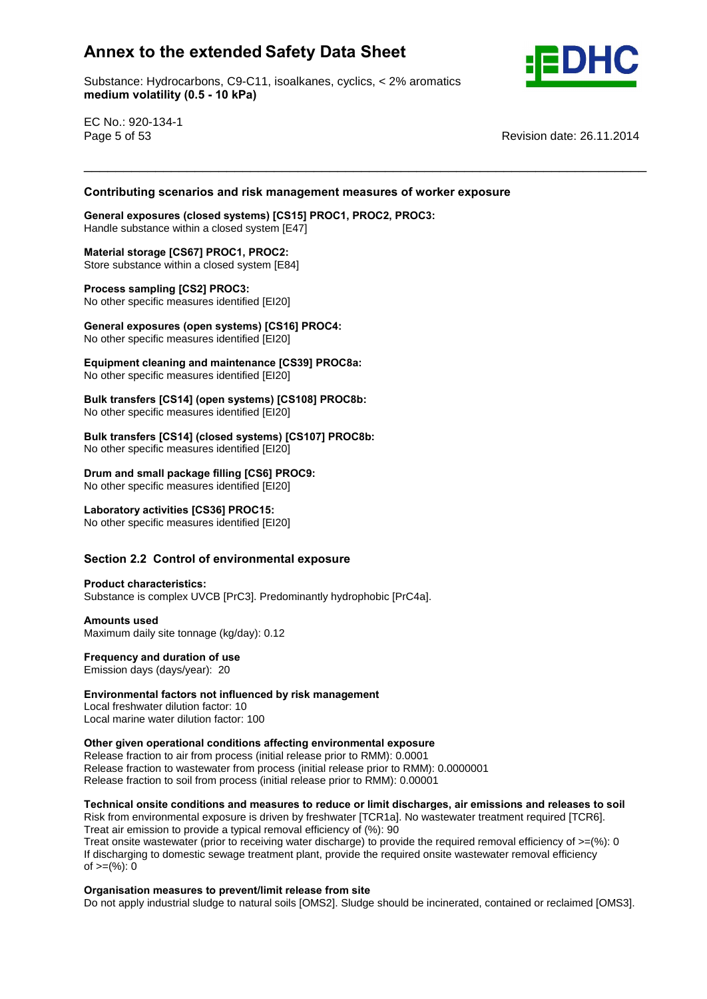Substance: Hydrocarbons, C9-C11, isoalkanes, cyclics, < 2% aromatics e: Hydrocarbons, C9-C11, ise<br>**volatility (0.5 - 10 kPa)** 



EC No.: 920-134-1

Page 5 of 53 **Page 12.11.2014** Revision date: 26.11.2014

# **scenarios and risk management measures of worker exposure General exposures (closed systems) [CS15] PROC1, PROC2, PROC3:**

\_\_\_\_\_\_\_\_\_\_\_\_\_\_\_\_\_\_\_\_\_\_\_\_\_\_\_\_\_\_\_\_\_\_\_\_\_\_\_\_\_\_\_\_\_\_\_\_\_\_\_\_\_\_\_\_\_\_\_\_\_\_\_\_\_\_\_\_\_\_\_ **Contributing**

Handle substance within a closed system [E47] **Material storage [CS67] PROC1, PROC2:**

Store substance within a closed system [E84] **Process sampling [CS2] PROC3:**

No other specific measures identified [EI20]

**Process sampling [CS2] PROC3:**<br>No other specific measures identified [EI20]<br>General exposures (open systems) [CS16] PROC4: **Exercise of operator (open systems) Footing** 1.<br>No other specific measures identified [EI20]

 **cleaning and maintenance [CS39] PROC8a:** No other specific measures identified [EI20] **Bulk**

 **transfers [CS14] (open systems) [CS108] PROC8b:** No other specific measures identified [EI20] **Bulk**

 **transfers [CS14] (closed systems) [CS107] PROC8b:** No other specific measures identified [EI20] **Drum**

 **andsmall package filling [CS6] PROC9:** No other specific measures identified [EI20] **Laboratory activities [CS36] PROC15:**

No other specific measures identified [EI20] **Section**

# **2.2 Control of environmental exposure Product characteristics:**

Substance is complex UVCB [PrC3]. Predominantly hydrophobic [PrC4a]. **Amounts used**

Maximum daily site tonnage (kg/day): 0.12 **Frequency and duration of use**

**Emission days (days/year): 20** 

Frequency and duration of use<br> **Emission days (days/year): 20<br>
<b>Environmental factors not influenced by risk management** Local freshwater dilution factor: 10

Local marine water dilution factor: 100

**given operational conditions affecting environmental exposure**

Release fraction to air from process (initial release prior to RMM): 0.0001 Release fraction to wastewater from process (initial release prior to RMM): 0.0000001 release masser to masteriate mean process (initial release prior to RMM): 0.00001

## **onsite conditions and measures to reduce or limit discharges, air emissions and releases to soil**

Risk from environmental exposure is driven by freshwater [TCR1a]. No wastewater treatment required [TCR6]. Treat air emission to provide a typical removal efficiency of (%): 90

Treat onsite wastewater (prior to receiving water discharge) to provide the required removal efficiency of  $>=$ (%): 0 If discharging to domestic sewage treatment plant, provide the required onsite wastewater removal efficiency n albertal ging to dent<br>of >=(%): 0

## **measures to prevent/limit release from site**

Do not apply industrial sludge to natural soils [OMS2]. Sludge should be incinerated, contained or reclaimed [OMS3].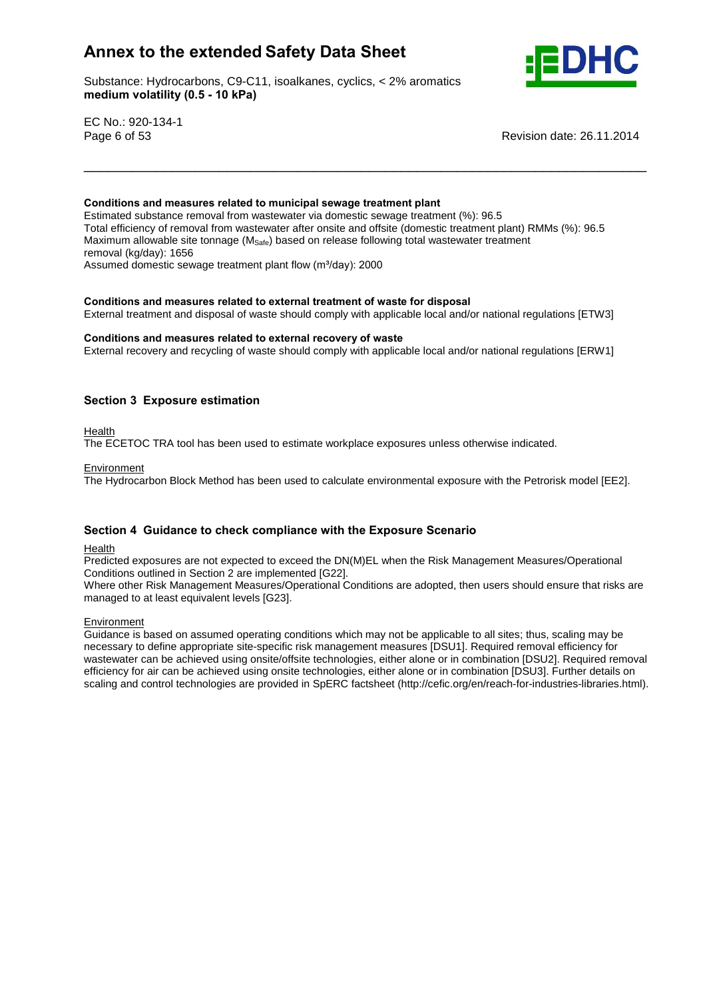Substance: Hydrocarbons, C9-C11, isoalkanes, cyclics, < 2% aromatics e: Hydrocarbons, C9-C11, ise<br>**volatility (0.5 - 10 kPa)** 



EC No.: 920-134-1

**Conditions**

Page 6 of 53 **Page 12.11.2014** Revision date: 26.11.2014

#### **and measures related to municipal sewage treatment plant**

Estimated substance removal from wastewater via domestic sewage treatment (%): 96.5 Total efficiency of removal from wastewater after onsite and offsite (domestic treatment plant) RMMs (%): 96.5 Maximum allowable site tonnage ( $M_{\text{Safe}}$ ) based on release following total wastewater treatment<br>removal (kg/day): 1656<br>Assumed domestic sewage treatment plant flow (m<sup>3</sup>/day): 2000 removal (kg/day): 1656 Assumed domestic sewage treatment plant flow (m<sup>3</sup>/day): 2000

\_\_\_\_\_\_\_\_\_\_\_\_\_\_\_\_\_\_\_\_\_\_\_\_\_\_\_\_\_\_\_\_\_\_\_\_\_\_\_\_\_\_\_\_\_\_\_\_\_\_\_\_\_\_\_\_\_\_\_\_\_\_\_\_\_\_\_\_\_\_\_

**and measures related to external treatment of waste for disposal**

External treatment and disposal of waste should comply with applicable local and/or national regulations [ETW3]<br>Conditions and measures related to external recovery of waste

External recovery and recycling of waste should comply with applicable local and/or national regulations [ERW1]

## **<sup>3</sup> Exposure estimation**

Health

The ECETOC TRA tool has been used to estimate workplace exposures unless otherwise indicated.

#### **Environment**

The Hydrocarbon Block Method has been used to calculate environmental exposure with the Petrorisk model [EE2].

## **<sup>4</sup> Guidance to check compliance with the Exposure Scenario**

Health

Predicted exposures are not expected to exceed the DN(M)EL when the Risk Management Measures/Operational Conditions outlined in Section 2 are implemented [G22].

Where other Risk Management Measures/Operational Conditions are adopted, then users should ensure that risks are managed to at least equivalent levels [G23].

#### Environment

Guidance is based on assumed operating conditions which may not be applicable to all sites; thus, scaling may be necessary to define appropriate site-specific risk management measures [DSU1]. Required removal efficiency for wastewater can be achieved using onsite/offsite technologies, either alone or in combination [DSU2]. Required removal efficiency for air can be achieved using onsite technologies, either alone or in combination [DSU3]. Further details on scaling and control technologies are provided in SpERC factsheet (http://cefic.org/en/reach-for-industries-libraries.html).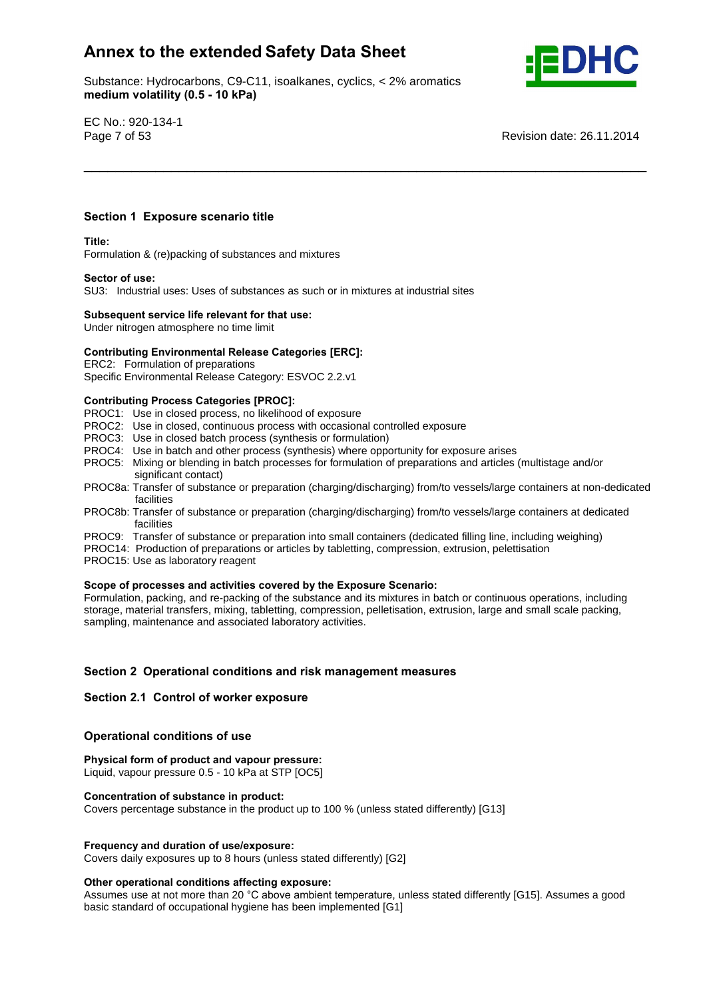Substance: Hydrocarbons, C9-C11, isoalkanes, cyclics, < 2% aromatics e: Hydrocarbons, C9-C11, ise<br>**volatility (0.5 - 10 kPa)** 



EC No.: 920-134-1

Page 7 of 53 **Page 7 of 53** Revision date: 26.11.2014

## **<sup>1</sup> Exposure scenario title Title:**

#### Title:

Formulation & (re)packing of substances and mixtures **Sector of use:**

SU3: Industrial uses: Uses of substances as such or in mixtures at industrial sites **Subsequent service life relevant for that use:**

Under nitrogen atmosphere no time limit

## **Subsequent service life relevant for that use:**<br>Under nitrogen atmosphere no time limit<br>Contributing Environmental Release Categories [ERC]:

ERC2: Formulation of preparations

Specific Environmental Release Category: ESVOC 2.2.v1 **Contributing Process Categories [PROC]:**

PROC1: Use in closed process, no likelihood of exposure

- PROC2: Use in closed, continuous process with occasional controlled exposure
- PROC3: Use in closed batch process (synthesis or formulation)
- PROC4: Use in batch and other process (synthesis) where opportunity for exposure arises
- PROC5: Mixing or blending in batch processes for formulation of preparations and articles (multistage and/or significant contact)
- PROC8a: Transfer of substance or preparation (charging/discharging) from/to vessels/large containers at non-dedicated facilities

\_\_\_\_\_\_\_\_\_\_\_\_\_\_\_\_\_\_\_\_\_\_\_\_\_\_\_\_\_\_\_\_\_\_\_\_\_\_\_\_\_\_\_\_\_\_\_\_\_\_\_\_\_\_\_\_\_\_\_\_\_\_\_\_\_\_\_\_\_\_\_

- PROC8b: Transfer of substance or preparation (charging/discharging) from/to vessels/large containers at dedicated facilities
- PROC9: Transfer of substance or preparation into small containers (dedicated filling line, including weighing)
- PROC14: Production of preparations or articles by tabletting, compression, extrusion, pelettisation
- PROC15: Use as laboratory reagent

#### **of processes and activities covered by the Exposure Scenario:**

Formulation, packing, and re-packing of the substance and its mixtures in batch or continuous operations, including storage, material transfers, mixing, tabletting, compression, pelletisation, extrusion, large and small scale packing, sampling, maintenance and associated laboratory activities.

# **<sup>2</sup> Operational conditions and risk management measures Section 2.1 Control of worker exposure**

#### **Section 2.1 Control of worker exposure**

## **conditions** of worker exposured<br> **Physical**<br> **Physical**<br> **Physical**<br> **Physical**<br> **Physical**

 **form of product and vapour pressure:** Liquid, vapour pressure 0.5 - 10 kPa at STP [OC5] **Concentration of substance in product:**

Covers percentage substance in the product up to 100 % (unless stated differently) [G13]

#### **and duration of use/exposure:**

Covers daily exposures up to 8 hours (unless stated differently) [G2] **Other operational conditions affecting exposure:**

Other operational conditions affecting exposure:<br>Assumes use at not more than 20 °C above ambient temperature, unless stated differently [G15]. Assumes a good basic standard of occupational hygiene has been implemented [G1]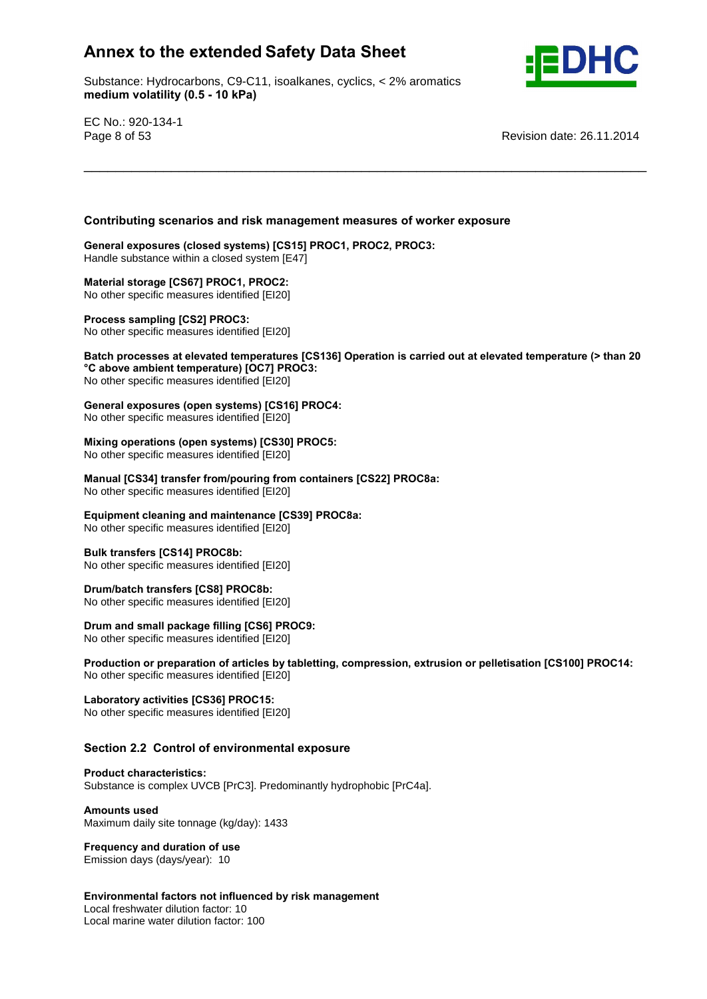Substance: Hydrocarbons, C9-C11, isoalkanes, cyclics, < 2% aromatics e: Hydrocarbons, C9-C11, ise<br>**volatility (0.5 - 10 kPa)** 



EC No.: 920-134-1

**°C**

Page 8 of 53 **Page 8 of 53** Revision date: 26.11.2014

# **scenarios and risk management measures of worker exposure General exposures (closed systems) [CS15] PROC1, PROC2, PROC3:**

Handle substance within a closed system [E47] **Material storage [CS67] PROC1, PROC2:**

No other specific measures identified [EI20] **Process sampling [CS2] PROC3:**

No other specific measures identified [EI20]

 **processes at elevated temperatures [CS136] Operation is carried out at elevated temperature (> than <sup>20</sup> above ambient temperature) [OC7] PROC3:** No other specific measures identified [EI20] **exposure ambient temperature) [OC7] PROC3:**<br>No other specific measures identified [EI20]<br>General exposures (open systems) [CS16] PROC4:

\_\_\_\_\_\_\_\_\_\_\_\_\_\_\_\_\_\_\_\_\_\_\_\_\_\_\_\_\_\_\_\_\_\_\_\_\_\_\_\_\_\_\_\_\_\_\_\_\_\_\_\_\_\_\_\_\_\_\_\_\_\_\_\_\_\_\_\_\_\_\_

No other specific measures identified [EI20] **Mixing**

## **operations (open systems) [CS30] PROC5:**

mandal productive (specific systems) **Production** 

 **[CS34] transfer from/pouring from containers [CS22] PROC8a:** Mo other specific measures identified [EI20]

**cleaning and maintenance [CS39] PROC8a:**

No other specific measures identified [EI20] **Bulk transfers [CS14] PROC8b:**

No other specific measures identified [EI20] **Drum/batch transfers [CS8] PROC8b:**

No other specific measures identified [EI20] **Drum**

## **Drum/batch transfers [CS8] PROC8b:**<br>No other specific measures identified [EI20]<br>**Drum and small package filling [CS6] PROC9:**

**Production Production Production Production Production Production Production Production Production Production Production Production Production Production Production Production Production**

 **or preparation of articles by tabletting, compression, extrusion or pelletisation [CS100] PROC14:** No other specific measures identified [EI20] **Laboratory activities [CS36] PROC15:**

No other specific measures identified [EI20] **Section**

# **2.2 Control of environmental exposure Product characteristics:**

Substance is complex UVCB [PrC3]. Predominantly hydrophobic [PrC4a]. **Amounts used**

Maximum daily site tonnage (kg/day): 1433 **Frequency and duration of use**

Emission days (days/year): 10

 **factors not influenced by risk management** Local freshwater dilution factor: 10

Local marine water dilution factor: 100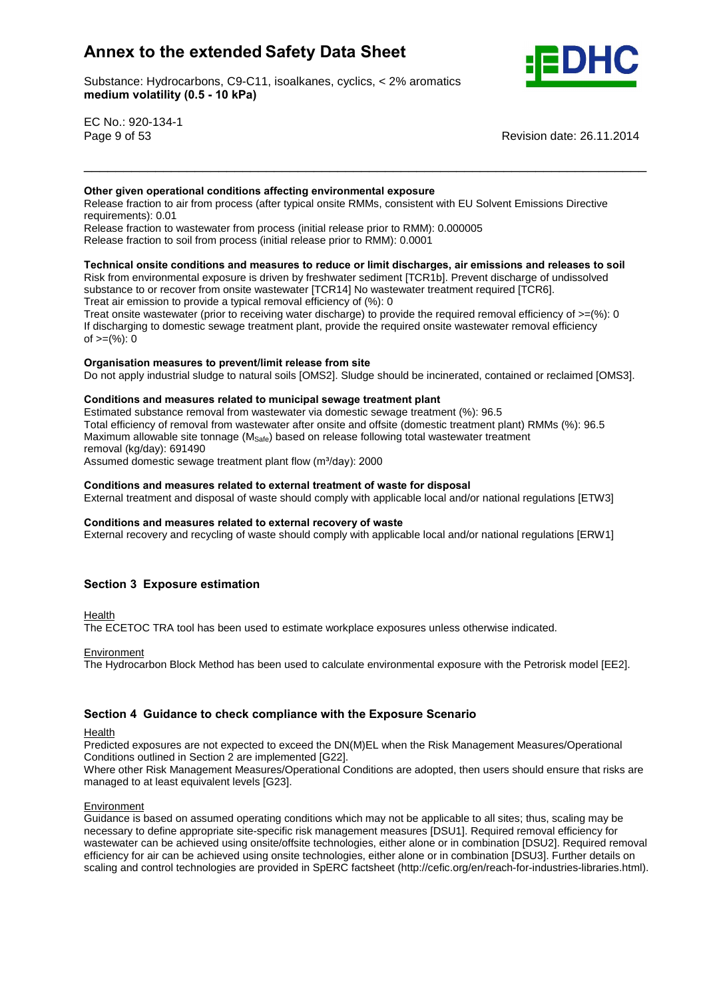Substance: Hydrocarbons, C9-C11, isoalkanes, cyclics, < 2% aromatics e: Hydrocarbons, C9-C11, ise<br>**volatility (0.5 - 10 kPa)** 



EC No.: 920-134-1

Page 9 of 53 **Page 12.11.2014** Revision date: 26.11.2014

#### **given operational conditions affecting environmental exposure**

Release fraction to air from process (after typical onsite RMMs, consistent with EU Solvent Emissions Directive requirements): 0.01

\_\_\_\_\_\_\_\_\_\_\_\_\_\_\_\_\_\_\_\_\_\_\_\_\_\_\_\_\_\_\_\_\_\_\_\_\_\_\_\_\_\_\_\_\_\_\_\_\_\_\_\_\_\_\_\_\_\_\_\_\_\_\_\_\_\_\_\_\_\_\_ **Other**

Release fraction to wastewater from process (initial release prior to RMM): 0.000005 Release fraction to soil from process (initial release prior to RMM): 0.0001

## **onsite conditions and measures to reduce or limit discharges, air emissions and releases to soil**

Risk from environmental exposure is driven by freshwater sediment [TCR1b]. Prevent discharge of undissolved substance to or recover from onsite wastewater [TCR14] No wastewater treatment required [TCR6].

Treat air emission to provide a typical removal efficiency of (%): 0 Treat onsite wastewater (prior to receiving water discharge) to provide the required removal efficiency of  $>=$ (%): 0

If discharging to domestic sewage treatment plant, provide the required onsite wastewater removal efficiency n albertal ging to dent<br>of >=(%): 0

#### **measures to prevent/limit release from site**

Do not apply industrial sludge to natural soils [OMS2]. Sludge should be incinerated, contained or reclaimed [OMS3].<br>Conditions and measures related to municipal sewage treatment plant

Estimated substance removal from wastewater via domestic sewage treatment (%): 96.5 Total efficiency of removal from wastewater after onsite and offsite (domestic treatment plant) RMMs (%): 96.5 Maximum allowable site tonnage ( $M_{\text{Safe}}$ ) based on release following total wastewater treatment<br>removal (kg/day): 691490<br>Assumed domestic sewage treatment plant flow (m<sup>3</sup>/day): 2000 removal (kg/day): 691490

Assumed domestic sewage treatment plant flow (m<sup>3</sup>/day): 2000

#### **and measures related to external treatment of waste for disposal**

External treatment and disposal of waste should comply with applicable local and/or national regulations [ETW3]<br>Conditions and measures related to external recovery of waste

External recovery and recycling of waste should comply with applicable local and/or national regulations [ERW1]

## **<sup>3</sup> Exposure estimation**

Health

The ECETOC TRA tool has been used to estimate workplace exposures unless otherwise indicated.

Environment

The Hydrocarbon Block Method has been used to calculate environmental exposure with the Petrorisk model [EE2].

## **<sup>4</sup> Guidance to check compliance with the Exposure Scenario**

Health

Predicted exposures are not expected to exceed the DN(M)EL when the Risk Management Measures/Operational Conditions outlined in Section 2 are implemented [G22].

Where other Risk Management Measures/Operational Conditions are adopted, then users should ensure that risks are managed to at least equivalent levels [G23].

#### **Environment**

Guidance is based on assumed operating conditions which may not be applicable to all sites; thus, scaling may be necessary to define appropriate site-specific risk management measures [DSU1]. Required removal efficiency for wastewater can be achieved using onsite/offsite technologies, either alone or in combination [DSU2]. Required removal efficiency for air can be achieved using onsite technologies, either alone or in combination [DSU3]. Further details on scaling and control technologies are provided in SpERC factsheet (http://cefic.org/en/reach-for-industries-libraries.html).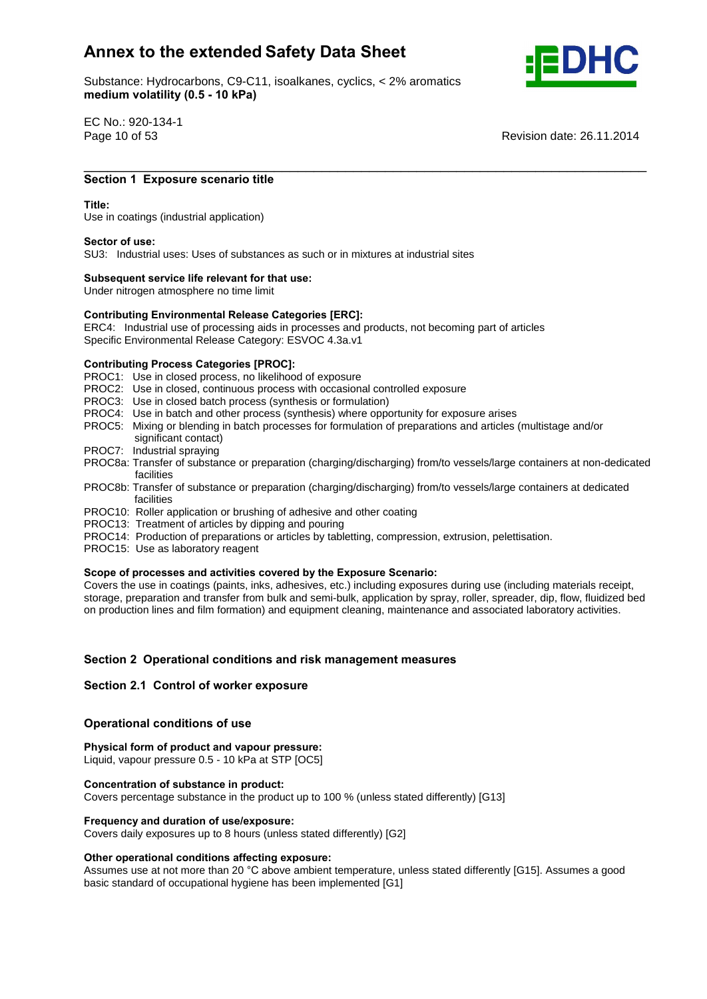Substance: Hydrocarbons, C9-C11, isoalkanes, cyclics, < 2% aromatics e: Hydrocarbons, C9-C11, ise<br>**volatility (0.5 - 10 kPa)** 



EC No.: 920-134-1

Page 10 of 53 Revision date: 26.11.2014

## \_\_\_\_\_\_\_\_\_\_\_\_\_\_\_\_\_\_\_\_\_\_\_\_\_\_\_\_\_\_\_\_\_\_\_\_\_\_\_\_\_\_\_\_\_\_\_\_\_\_\_\_\_\_\_\_\_\_\_\_\_\_\_\_\_\_\_\_\_\_\_ **<sup>1</sup> Exposure scenario title Title:**

#### Title:

Use in coatings (industrial application) **Sector of use:**

SU3: Industrial uses: Uses of substances as such or in mixtures at industrial sites **Subsequent service life relevant for that use:**

Under nitrogen atmosphere no time limit

## **Subsequent service life relevant for that use:**<br>
Under nitrogen atmosphere no time limit<br>
Contributing Environmental Release Categories [ERC]:

ERC4: Industrial use of processing aids in processes and products, not becoming part of articles Specific Environmental Release Category: ESVOC 4.3a.v1 **Contributing Process Categories [PROC]:**

PROC1: Use in closed process, no likelihood of exposure

- PROC2: Use in closed, continuous process with occasional controlled exposure
- PROC3: Use in closed batch process (synthesis or formulation)
- PROC4: Use in batch and other process (synthesis) where opportunity for exposure arises
- PROC5: Mixing or blending in batch processes for formulation of preparations and articles (multistage and/or significant contact)
- PROC7: Industrial spraying
- PROC8a: Transfer of substance or preparation (charging/discharging) from/to vessels/large containers at non-dedicated facilities
- PROC8b: Transfer of substance or preparation (charging/discharging) from/to vessels/large containers at dedicated facilities
- PROC10: Roller application or brushing of adhesive and other coating
- PROC13: Treatment of articles by dipping and pouring
- PROC14: Production of preparations or articles by tabletting, compression, extrusion, pelettisation.
- PROC15: Use as laboratory reagent

#### **of processes and activities covered by the Exposure Scenario:**

Covers the use in coatings (paints, inks, adhesives, etc.) including exposures during use (including materials receipt, storage, preparation and transfer from bulk and semi-bulk, application by spray, roller, spreader, dip, flow, fluidized bed on production lines and film formation) and equipment cleaning, maintenance and associated laboratory activities.

# **<sup>2</sup> Operational conditions and risk management measures Section 2.1 Control of worker exposure**

## **Section 2.1 Control of worker exposure**

## **conditions** of worker exposured<br> **Physical**<br> **Physical**<br> **Physical**<br> **Physical**<br> **Physical**

 **form of product and vapour pressure:** Liquid, vapour pressure 0.5 - 10 kPa at STP [OC5] **Concentration of substance in product:**

Covers percentage substance in the product up to 100 % (unless stated differently) [G13] **Frequency and duration of use/exposure:**

Covers daily exposures up to 8 hours (unless stated differently) [G2] **Other operational conditions affecting exposure:**

Other operational conditions affecting exposure:<br>Assumes use at not more than 20 °C above ambient temperature, unless stated differently [G15]. Assumes a good basic standard of occupational hygiene has been implemented [G1]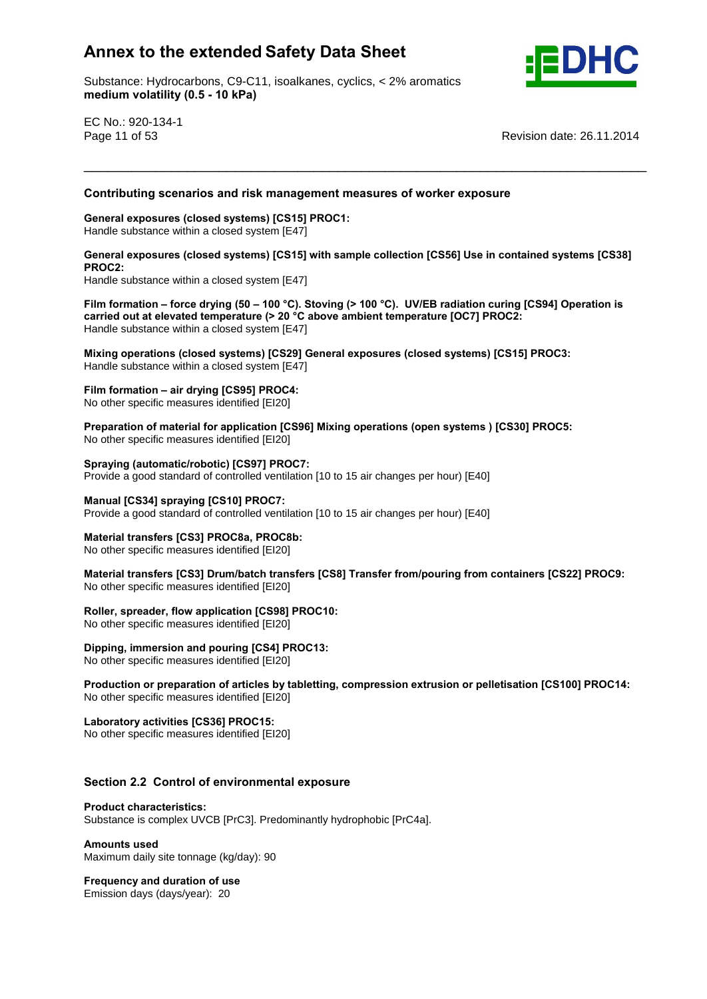Substance: Hydrocarbons, C9-C11, isoalkanes, cyclics, < 2% aromatics e: Hydrocarbons, C9-C11, ise<br>**volatility (0.5 - 10 kPa)** 



EC No.: 920-134-1

Page 11 of 53 Revision date: 26.11.2014

# **scenarios and risk management measures of worker exposure General exposures (closed systems) [CS15] PROC1:**

Handle substance within a closed system [E47] **General exposures (closed systems) [CS15] with sample collection [CS56] Use in contained systems [CS38] PROC2:**

PROC<sub>2</sub>.

\_\_\_\_\_\_\_\_\_\_\_\_\_\_\_\_\_\_\_\_\_\_\_\_\_\_\_\_\_\_\_\_\_\_\_\_\_\_\_\_\_\_\_\_\_\_\_\_\_\_\_\_\_\_\_\_\_\_\_\_\_\_\_\_\_\_\_\_\_\_\_ **Contributing**

Handle substance within a closed system [E47] **Filmcarried**

 **formation <sup>ñ</sup> force drying (50 <sup>ñ</sup> <sup>100</sup> °C). Stoving (> <sup>100</sup> °C).UV/EB radiation curing [CS94] Operation is out at elevated temperature (> <sup>20</sup> °C above ambient temperature [OC7] PROC2:** Handle substance within a closed system [E47] **Mixingoperations contributed temperature (> 20 °C above ambient temperature [OC7] PROC2:**<br> **Contributed** Substance within a closed system [E47]<br> **Mixing operations (closed systems) [CS29]** General exposures (closed systems)

Handle substance within a closed system [E47] **Film formation <sup>ñ</sup> air drying [CS95] PROC4:**

**Preparation contribution** in an angle of the present in No other specific measures identified [EI20]

 **of material for application [CS96] Mixing operations (open systems ) [CS30] PROC5:** No other specific measures identified [EI20]

 **(automatic/robotic) [CS97] PROC7:** Provide a good standard of controlled ventilation [10 to 15 air changes per hour) [E40] **Manual [CS34] spraying [CS10] PROC7:**

Provide a good standard of controlled ventilation [10 to 15 air changes per hour) [E40] **Material transfers [CS3] PROC8a, PROC8b:**

**No other specific measures identified [EI20]** 

 **transfers [CS3] Drum/batch transfers [CS8] Transfer from/pouring from containers [CS22] PROC9: No other specific measures identified [EI20]** 

**spreader, flow application [CS98] PROC10:**

No other specific measures identified [EI20] **Dipping,**

 **immersion and pouring [CS4] PROC13:** No other specific measures identified [EI20] **Production**

 **or preparation of articles by tabletting, compression extrusion or pelletisation [CS100] PROC14:** No other specific measures identified [EI20] **Laboratory activities [CS36] PROC15:**

No other specific measures identified [EI20]

# **2.2 Control of environmental exposure Product characteristics:**

Substance is complex UVCB [PrC3]. Predominantly hydrophobic [PrC4a]. **Amounts used**

Maximum daily site tonnage (kg/day): 90 **Frequency and duration of use**

Emission days (days/year): 20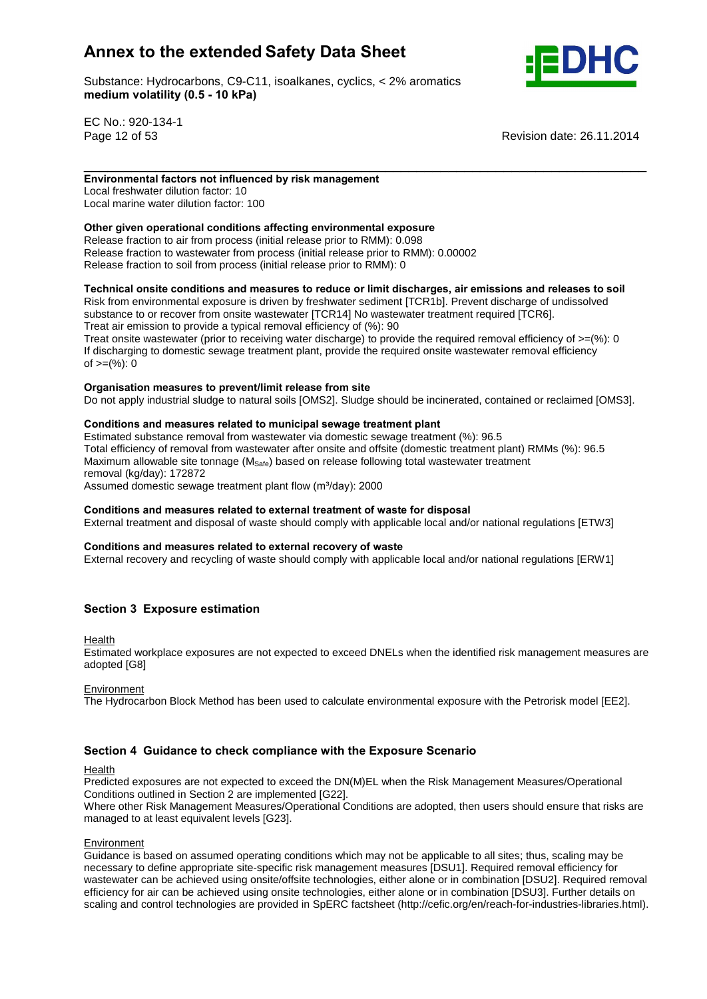Substance: Hydrocarbons, C9-C11, isoalkanes, cyclics, < 2% aromatics e: Hydrocarbons, C9-C11, ise<br>**volatility (0.5 - 10 kPa)** 



EC No.: 920-134-1

n albertal ging to dent<br>of >=(%): 0

Page 12 of 53 Revision date: 26.11.2014

### \_\_\_\_\_\_\_\_\_\_\_\_\_\_\_\_\_\_\_\_\_\_\_\_\_\_\_\_\_\_\_\_\_\_\_\_\_\_\_\_\_\_\_\_\_\_\_\_\_\_\_\_\_\_\_\_\_\_\_\_\_\_\_\_\_\_\_\_\_\_\_ **factors not influenced by risk management**

Local freshwater dilution factor: 10 Local marine water dilution factor: 100 **Other**

## **given operational conditions affecting environmental exposure**

Release fraction to air from process (initial release prior to RMM): 0.098 Release fraction to wastewater from process (initial release prior to RMM): 0.00002 release fraction to soil from process (initial release prior to RMM): 0

## **onsite conditions and measures to reduce or limit discharges, air emissions and releases to soil**

Risk from environmental exposure is driven by freshwater sediment [TCR1b]. Prevent discharge of undissolved substance to or recover from onsite wastewater [TCR14] No wastewater treatment required [TCR6]. Treat air emission to provide a typical removal efficiency of (%): 90 Treat onsite wastewater (prior to receiving water discharge) to provide the required removal efficiency of  $>=$ (%): 0 If discharging to domestic sewage treatment plant, provide the required onsite wastewater removal efficiency

## **measures to prevent/limit release from site**

Do not apply industrial sludge to natural soils [OMS2]. Sludge should be incinerated, contained or reclaimed [OMS3].<br>Conditions and measures related to municipal sewage treatment plant

Estimated substance removal from wastewater via domestic sewage treatment (%): 96.5 Total efficiency of removal from wastewater after onsite and offsite (domestic treatment plant) RMMs (%): 96.5 Maximum allowable site tonnage ( $M_{\text{Safe}}$ ) based on release following total wastewater treatment<br>removal (kg/day): 172872<br>Assumed domestic sewage treatment plant flow (m<sup>3</sup>/day): 2000 removal (kg/day): 172872

Assumed domestic sewage treatment plant flow (m<sup>3</sup>/day): 2000

#### **and measures related to external treatment of waste for disposal**

External treatment and disposal of waste should comply with applicable local and/or national regulations [ETW3]<br>Conditions and measures related to external recovery of waste

External recovery and recycling of waste should comply with applicable local and/or national regulations [ERW1]

## **<sup>3</sup> Exposure estimation**

Health

Estimated workplace exposures are not expected to exceed DNELs when the identified risk management measures are adopted [G8]

#### Environment

The Hydrocarbon Block Method has been used to calculate environmental exposure with the Petrorisk model [EE2].

#### **<sup>4</sup> Guidance to check compliance with the Exposure Scenario**

Health

Predicted exposures are not expected to exceed the DN(M)EL when the Risk Management Measures/Operational Conditions outlined in Section 2 are implemented [G22].

Where other Risk Management Measures/Operational Conditions are adopted, then users should ensure that risks are managed to at least equivalent levels [G23].

#### Environment

Guidance is based on assumed operating conditions which may not be applicable to all sites; thus, scaling may be necessary to define appropriate site-specific risk management measures [DSU1]. Required removal efficiency for wastewater can be achieved using onsite/offsite technologies, either alone or in combination [DSU2]. Required removal efficiency for air can be achieved using onsite technologies, either alone or in combination [DSU3]. Further details on scaling and control technologies are provided in SpERC factsheet (http://cefic.org/en/reach-for-industries-libraries.html).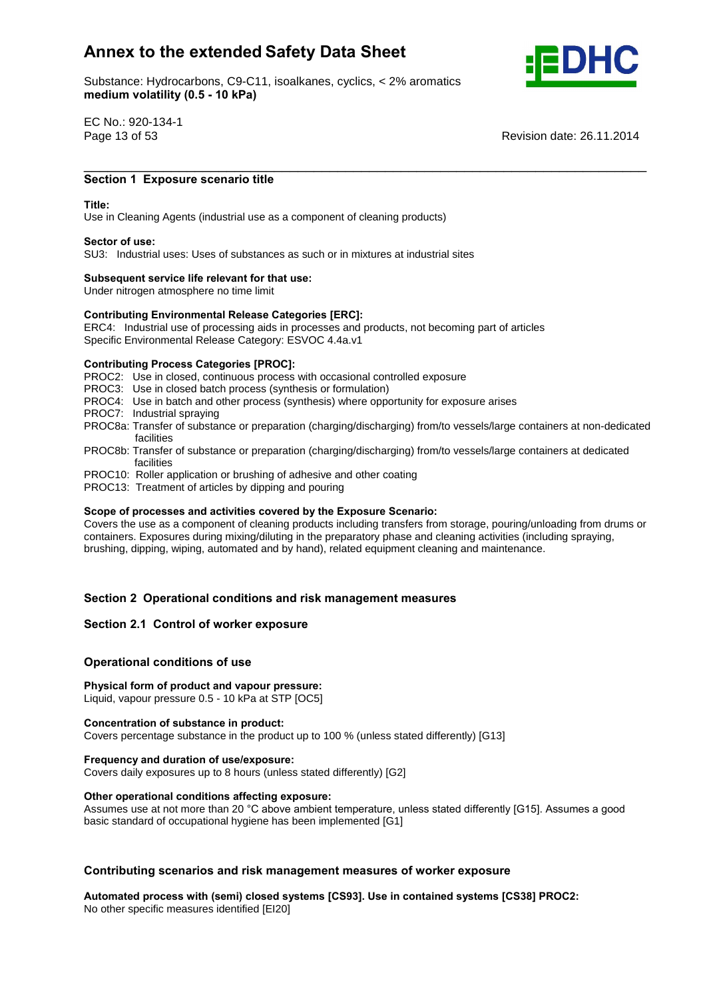Substance: Hydrocarbons, C9-C11, isoalkanes, cyclics, < 2% aromatics e: Hydrocarbons, C9-C11, ise<br>**volatility (0.5 - 10 kPa)** 



EC No.: 920-134-1

Page 13 of 53 Revision date: 26.11.2014

## \_\_\_\_\_\_\_\_\_\_\_\_\_\_\_\_\_\_\_\_\_\_\_\_\_\_\_\_\_\_\_\_\_\_\_\_\_\_\_\_\_\_\_\_\_\_\_\_\_\_\_\_\_\_\_\_\_\_\_\_\_\_\_\_\_\_\_\_\_\_\_ **<sup>1</sup> Exposure scenario title Title:**

#### Title<sup>.</sup>

Use in Cleaning Agents (industrial use as a component of cleaning products) **Sector of use:**

SU3: Industrial uses: Uses of substances as such or in mixtures at industrial sites **Subsequent service life relevant for that use:**

Under nitrogen atmosphere no time limit

## **Subsequent service life relevant for that use:**<br>
Under nitrogen atmosphere no time limit<br>
Contributing Environmental Release Categories [ERC]:

ERC4: Industrial use of processing aids in processes and products, not becoming part of articles Specific Environmental Release Category: ESVOC 4.4a.v1 **Contributing Process Categories [PROC]:**

PROC2: Use in closed, continuous process with occasional controlled exposure

PROC3: Use in closed batch process (synthesis or formulation)

- PROC4: Use in batch and other process (synthesis) where opportunity for exposure arises
- PROC7: Industrial spraying
- PROC8a: Transfer of substance or preparation (charging/discharging) from/to vessels/large containers at non-dedicated facilities
- PROC8b: Transfer of substance or preparation (charging/discharging) from/to vessels/large containers at dedicated facilities
- PROC10: Roller application or brushing of adhesive and other coating
- PROC13: Treatment of articles by dipping and pouring **Scope**

#### **of processes and activities covered by the Exposure Scenario:**

Covers the use as a component of cleaning products including transfers from storage, pouring/unloading from drums or containers. Exposures during mixing/diluting in the preparatory phase and cleaning activities (including spraying, brushing, dipping, wiping, automated and by hand), related equipment cleaning and maintenance.

# **<sup>2</sup> Operational conditions and risk management measures Section 2.1 Control of worker exposure**

## **Section 2.1 Control of worker exposure**

## **conditions** of worker exposured<br>Operational conditions of use

## **form of product and vapour pressure:** Liquid, vapour pressure 0.5 - 10 kPa at STP [OC5] **Concentration of substance in product:**

Covers percentage substance in the product up to 100 % (unless stated differently) [G13] **Frequency and duration of use/exposure:**

Covers daily exposures up to 8 hours (unless stated differently) [G2] **Other operational conditions affecting exposure:**

Other operational conditions affecting exposure:<br>Assumes use at not more than 20 °C above ambient temperature, unless stated differently [G15]. Assumes a good basic standard of occupational hygiene has been implemented [G1]

# **scenarios and risk management measures of worker exposure Automated process with (semi) closed systems [CS93]. Use in contained systems [CS38] PROC2:**

No other specific measures identified [EI20]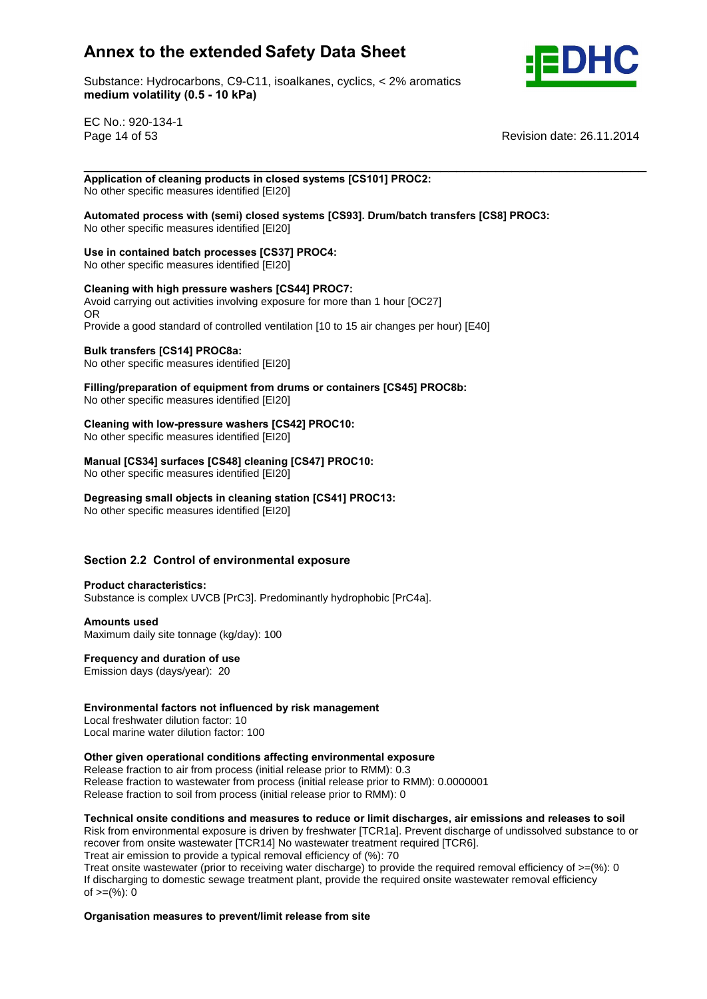

Substance: Hydrocarbons, C9-C11, isoalkanes, cyclics, < 2% aromatics e: Hydrocarbons, C9-C11, ise<br>**volatility (0.5 - 10 kPa)** 

EC No.: 920-134-1

Page 14 of 53 Revision date: 26.11.2014

#### \_\_\_\_\_\_\_\_\_\_\_\_\_\_\_\_\_\_\_\_\_\_\_\_\_\_\_\_\_\_\_\_\_\_\_\_\_\_\_\_\_\_\_\_\_\_\_\_\_\_\_\_\_\_\_\_\_\_\_\_\_\_\_\_\_\_\_\_\_\_\_ **of cleaning products in closed systems [CS101] PROC2:** No other specific measures identified [EI20]

 **process with (semi) closed systems [CS93]. Drum/batch transfers [CS8] PROC3:** No other specific measures identified [EI20] **Use**

## **in contained batch processes [CS37] PROC4:**

No other specific measures identified [EI20] **Cleaning**

## **with high pressure washers [CS44] PROC7:**

Avoid carrying out activities involving exposure for more than 1 hour [OC27] OR Provide a good standard of controlled ventilation [10 to 15 air changes per hour) [E40] **Bulk transfers [CS14] PROC8a:**

**Fig. 1. Intercreted from the control of the specific measures identified [EI20]** 

**Bulk transfers [CS14] PROC8a:**<br>No other specific measures identified [EI20]<br>Filling/preparation of equipment from drums or containers [CS45] PROC8b: No other specific measures identified [EI20]

## **with low-pressure washers [CS42] PROC10:**

**No other specific measures identified [EI20]** 

## **[CS34] surfaces [CS48] cleaning [CS47] PROC10:**

No other specific measures identified [EI20] **Degreasing**

## **small objects in cleaning station [CS41] PROC13:**

No other specific measures identified [EI20]

# **2.2 Control of environmental exposure Product characteristics:**

## Substance is complex UVCB [PrC3]. Predominantly hydrophobic [PrC4a]. **Amounts used**

Maximum daily site tonnage (kg/day): 100 **Frequency and duration of use**

Emission days (days/year): 20

## **factors not influenced by risk management**

Local freshwater dilution factor: 10 Local marine water dilution factor: 100 **Other**

## **given operational conditions affecting environmental exposure**

Release fraction to air from process (initial release prior to RMM): 0.3 Release fraction to wastewater from process (initial release prior to RMM): 0.0000001 release fraction to soil from process (initial release prior to RMM): 0

## **onsite conditions and measures to reduce or limit discharges, air emissions and releases to soil**

Risk from environmental exposure is driven by freshwater [TCR1a]. Prevent discharge of undissolved substance to or recover from onsite wastewater [TCR14] No wastewater treatment required [TCR6].

Treat air emission to provide a typical removal efficiency of (%): 70

Treat onsite wastewater (prior to receiving water discharge) to provide the required removal efficiency of  $>=$ (%): 0 If discharging to domestic sewage treatment plant, provide the required onsite wastewater removal efficiency n albertal ging to dent<br>of >=(%): 0

## **measures to prevent/limit release from site**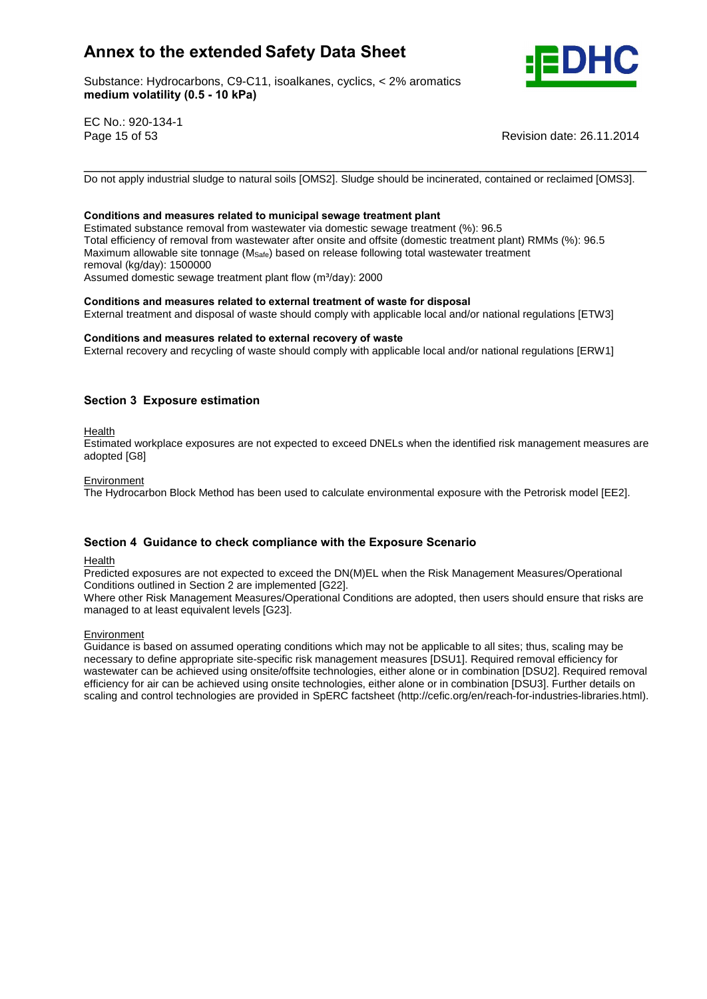Substance: Hydrocarbons, C9-C11, isoalkanes, cyclics, < 2% aromatics e: Hydrocarbons, C9-C11, ise<br>**volatility (0.5 - 10 kPa)** 



EC No.: 920-134-1

Page 15 of 53 Revision date: 26.11.2014

Do not apply industrial sludge to natural soils [OMS2]. Sludge should be incinerated, contained or reclaimed [OMS3].

\_\_\_\_\_\_\_\_\_\_\_\_\_\_\_\_\_\_\_\_\_\_\_\_\_\_\_\_\_\_\_\_\_\_\_\_\_\_\_\_\_\_\_\_\_\_\_\_\_\_\_\_\_\_\_\_\_\_\_\_\_\_\_\_\_\_\_\_\_\_\_

#### **and measures related to municipal sewage treatment plant**

Estimated substance removal from wastewater via domestic sewage treatment (%): 96.5 Total efficiency of removal from wastewater after onsite and offsite (domestic treatment plant) RMMs (%): 96.5 Maximum allowable site tonnage ( $M_{\text{Safe}}$ ) based on release following total wastewater treatment<br>removal (kg/day): 1500000<br>Assumed domestic sewage treatment plant flow (m<sup>3</sup>/day): 2000 removal (kg/day): 1500000 Assumed domestic sewage treatment plant flow (m<sup>3</sup>/day): 2000

#### **and measures related to external treatment of waste for disposal**

External treatment and disposal of waste should comply with applicable local and/or national regulations [ETW3]<br>Conditions and measures related to external recovery of waste

External recovery and recycling of waste should comply with applicable local and/or national regulations [ERW1]

## **<sup>3</sup> Exposure estimation**

Health

Estimated workplace exposures are not expected to exceed DNELs when the identified risk management measures are adopted [G8]

#### **Environment**

The Hydrocarbon Block Method has been used to calculate environmental exposure with the Petrorisk model [EE2].

## **<sup>4</sup> Guidance to check compliance with the Exposure Scenario**

Health

Predicted exposures are not expected to exceed the DN(M)EL when the Risk Management Measures/Operational Conditions outlined in Section 2 are implemented [G22].

Where other Risk Management Measures/Operational Conditions are adopted, then users should ensure that risks are managed to at least equivalent levels [G23].

**Environment** 

Guidance is based on assumed operating conditions which may not be applicable to all sites; thus, scaling may be necessary to define appropriate site-specific risk management measures [DSU1]. Required removal efficiency for wastewater can be achieved using onsite/offsite technologies, either alone or in combination [DSU2]. Required removal efficiency for air can be achieved using onsite technologies, either alone or in combination [DSU3]. Further details on scaling and control technologies are provided in SpERC factsheet (http://cefic.org/en/reach-for-industries-libraries.html).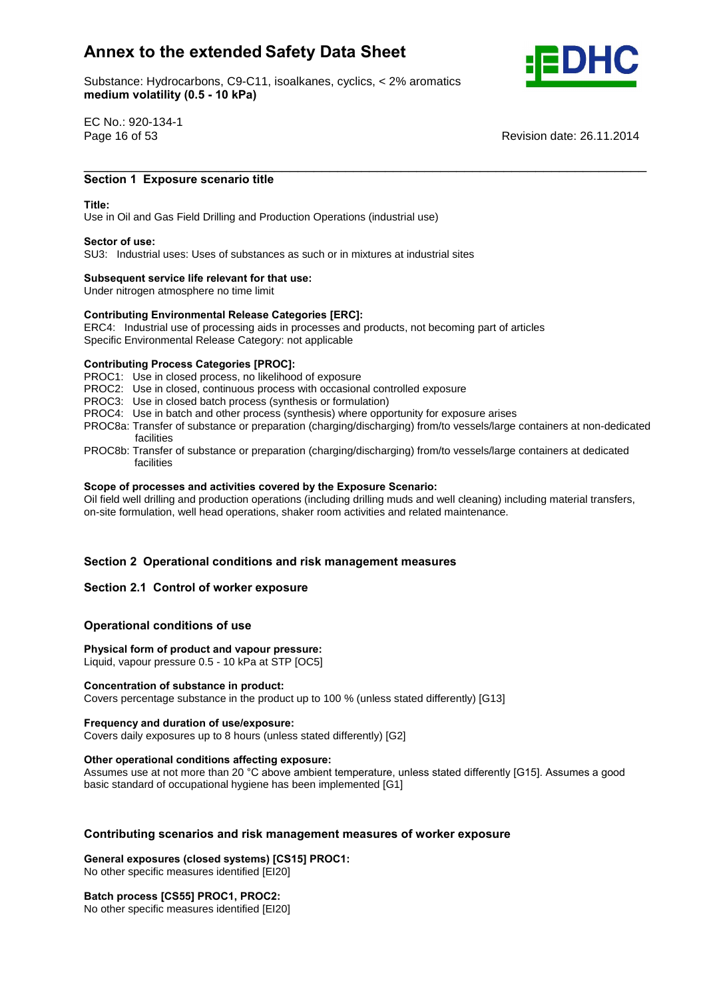Substance: Hydrocarbons, C9-C11, isoalkanes, cyclics, < 2% aromatics e: Hydrocarbons, C9-C11, ise<br>**volatility (0.5 - 10 kPa)** 



EC No.: 920-134-1

Page 16 of 53 Revision date: 26.11.2014

## \_\_\_\_\_\_\_\_\_\_\_\_\_\_\_\_\_\_\_\_\_\_\_\_\_\_\_\_\_\_\_\_\_\_\_\_\_\_\_\_\_\_\_\_\_\_\_\_\_\_\_\_\_\_\_\_\_\_\_\_\_\_\_\_\_\_\_\_\_\_\_ **<sup>1</sup> Exposure scenario title Title:**

#### Title<sup>.</sup>

Use in Oiland Gas Field Drilling and Production Operations (industrial use) **Sector of use:**

SU3: Industrial uses: Uses of substances as such or in mixtures at industrial sites **Subsequent service life relevant for that use:**

Under nitrogen atmosphere no time limit

## **Subsequent service life relevant for that use:**<br>
Under nitrogen atmosphere no time limit<br>
Contributing Environmental Release Categories [ERC]:

ERC4: Industrial use of processing aids in processes and products, not becoming part of articles Specific Environmental Release Category: not applicable **Contributing Process Categories [PROC]:**

PROC1: Use in closed process, no likelihood of exposure

- PROC2: Use in closed, continuous process with occasional controlled exposure
- PROC3: Use in closed batch process (synthesis or formulation)
- PROC4: Use in batch and other process (synthesis) where opportunity for exposure arises
- PROC8a: Transfer of substance or preparation (charging/discharging) from/to vessels/large containers at non-dedicated facilities
- PROC8b: Transfer of substance or preparation (charging/discharging) from/to vessels/large containers at dedicated **Scope**facilities

#### **of processes and activities covered by the Exposure Scenario:**

Oil field well drilling and production operations (including drilling muds and well cleaning) including material transfers, on-site formulation, well head operations, shaker room activities and related maintenance.

# **<sup>2</sup> Operational conditions and risk management measures Section 2.1 Control of worker exposure**

## **Section 2.1 Control of worker exposure**

## **conditions** of worker exposured<br> **Physical**<br> **Physical**<br> **Physical**<br> **Physical**<br> **Physical**

 **form of product and vapour pressure:** Liquid, vapour pressure 0.5 - 10 kPa at STP [OC5] **Concentration of substance in product:**

Covers percentage substance in the product up to 100 % (unless stated differently) [G13] **Frequency and duration of use/exposure:**

Covers daily exposures up to 8 hours (unless stated differently) [G2] **Other operational conditions affecting exposure:**

Other operational conditions affecting exposure:<br>Assumes use at not more than 20 °C above ambient temperature, unless stated differently [G15]. Assumes a good basic standard of occupational hygiene has been implemented [G1]

# **scenarios and risk management measures of worker exposure General exposures (closed systems) [CS15] PROC1:**

No other specific measures identified [EI20] **Batch process [CS55] PROC1, PROC2:** No other specific measures identified [EI20]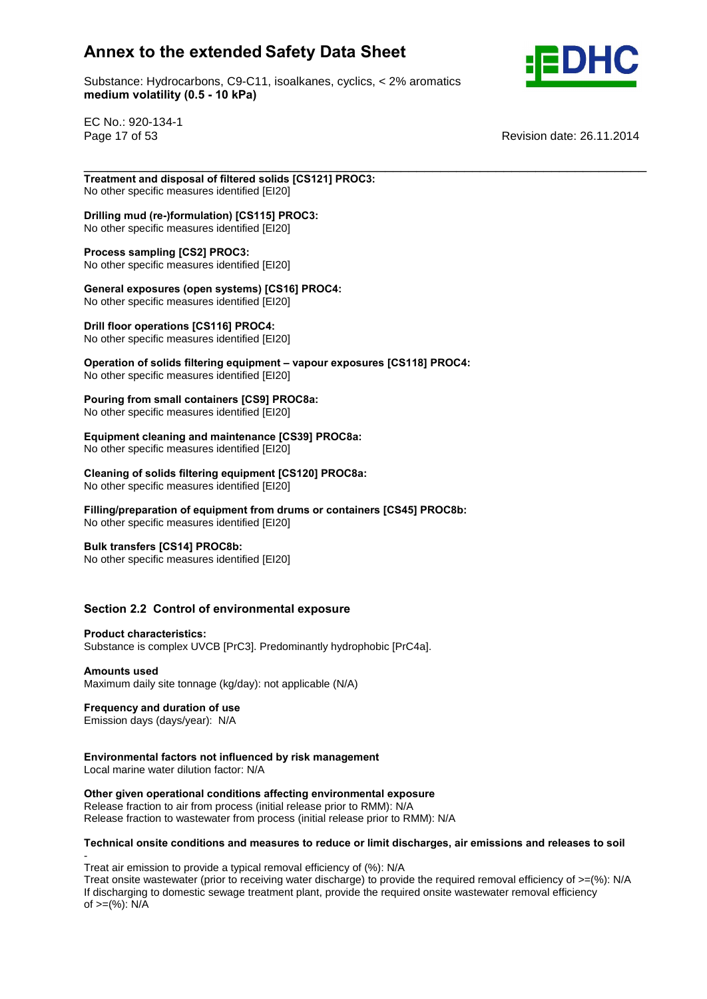Substance: Hydrocarbons, C9-C11, isoalkanes, cyclics, < 2% aromatics e: Hydrocarbons, C9-C11, ise<br>**volatility (0.5 - 10 kPa)** 



EC No.: 920-134-1

Page 17 of 53 Revision date: 26.11.2014

\_\_\_\_\_\_\_\_\_\_\_\_\_\_\_\_\_\_\_\_\_\_\_\_\_\_\_\_\_\_\_\_\_\_\_\_\_\_\_\_\_\_\_\_\_\_\_\_\_\_\_\_\_\_\_\_\_\_\_\_\_\_\_\_\_\_\_\_\_\_\_ **and disposal of filtered solids [CS121] PROC3:** No other specific measures identified [EI20]

## **mud (re-)formulation) [CS115] PROC3:**

No other specific measures identified [EI20] **Process sampling [CS2] PROC3:**

No other specific measures identified [EI20] **Process sampling [CS2] PROC3:**<br>No other specific measures identified [EI20]<br>General exposures (open systems) [CS16] PROC4:

No other specific measures identified [EI20] **Drill floor operations [CS116] PROC4:**

No other specific measures identified [EI20] **Operation**

**offull floor operations [CS116] PROC4:**<br>No other specific measures identified [EI20]<br>Operation of solids filtering equipment – vapour exposures [CS118] PROC4: No other specific measures identified [EI20] **Pouring**

## **from small containers [CS9] PROC8a:**

No other specific measures identified [EI20]

## **cleaning and maintenance [CS39] PROC8a:**

No other specific measures identified [EI20] **Cleaning**

#### **of solids filtering equipment [CS120] PROC8a: No other specific measures identified [EI20]**

## **of equipment from drums orcontainers [CS45] PROC8b:**

No other specific measures identified [EI20] **Bulk transfers [CS14] PROC8b:**

No other specific measures identified [EI20]

# **2.2 Control of environmental exposure Product characteristics:**

Substance is complex UVCB [PrC3]. Predominantly hydrophobic [PrC4a]. **Amounts used**

Maximum daily site tonnage (kg/day): not applicable (N/A) **Frequency and duration of use**

Emission days (days/year): N/A **Environmental**

## **factors not influenced by risk management**

Local marine water dilution factor: N/A

## **given operational conditions affecting environmental exposure**

Release fraction to air from process (initial release prior to RMM): N/A Release fraction to wastewater from process (initial release prior to RMM): N/A

## **onsite conditions and measures to reduce or limit discharges, air emissions and releases to soil**

Treat air emission to provide a typical removal efficiency of (%): N/A

Treat onsite wastewater (prior to receiving water discharge) to provide the required removal efficiency of >=(%): N/A If discharging to domestic sewage treatment plant, provide the required onsite wastewater removal efficiency of  $>= (%): N/A$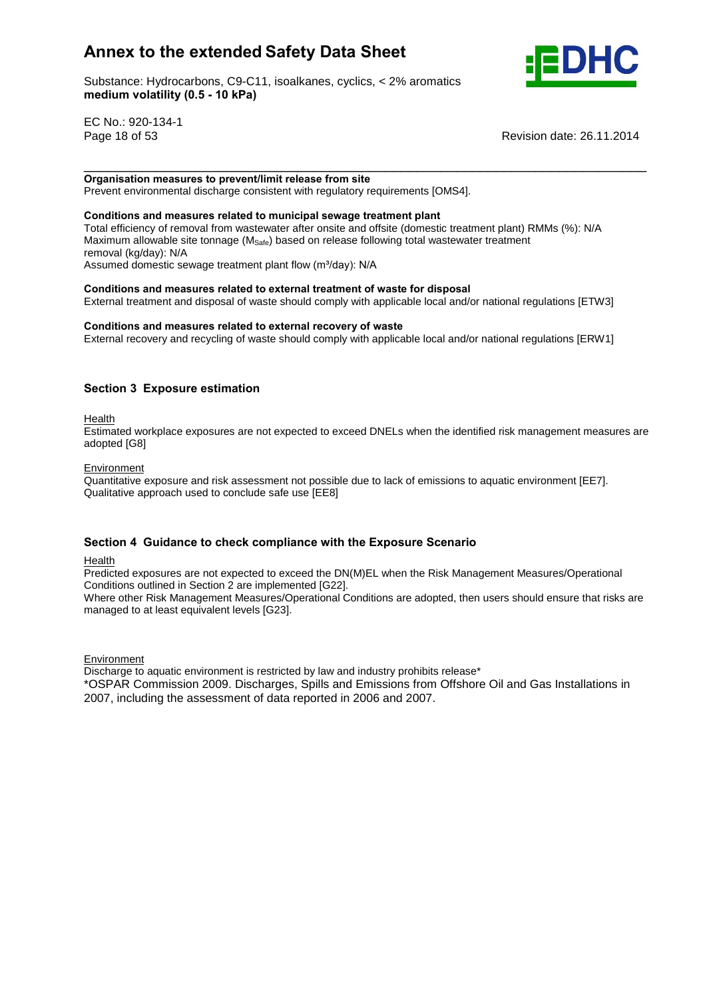Substance: Hydrocarbons, C9-C11, isoalkanes, cyclics, < 2% aromatics e: Hydrocarbons, C9-C11, ise<br>**volatility (0.5 - 10 kPa)** 



EC No.: 920-134-1

Page 18 of 53 Revision date: 26.11.2014

 **measures to prevent/limit release from site** Prevent environmental discharge consistent with regulatory requirements [OMS4]. **Conditions and measures related to municipal sewage treatment plant**

Total efficiency of removal from wastewater after onsite and offsite (domestic treatment plant) RMMs (%): N/A Maximum allowable site tonnage ( $M_{\text{Safe}}$ ) based on release following total wastewater treatment<br>removal (kg/day): N/A<br>Assumed domestic sewage treatment plant flow (m<sup>3</sup>/day): N/A removal (kg/day): N/A Assumed domestic sewage treatment plant flow (m<sup>3</sup>/day): N/A

\_\_\_\_\_\_\_\_\_\_\_\_\_\_\_\_\_\_\_\_\_\_\_\_\_\_\_\_\_\_\_\_\_\_\_\_\_\_\_\_\_\_\_\_\_\_\_\_\_\_\_\_\_\_\_\_\_\_\_\_\_\_\_\_\_\_\_\_\_\_\_ **Organisation**

**and measures related to external treatment of waste for disposal**

External treatment and disposal of waste should comply with applicable local and/or national regulations [ETW3]<br>Conditions and measures related to external recovery of waste

External recovery and recycling of waste should comply with applicable local and/or national regulations [ERW1]

## **<sup>3</sup> Exposure estimation**

Health

Estimated workplace exposures are not expected to exceed DNELs when the identified risk management measures are adopted [G8]

**Environment** 

Quantitative exposure and risk assessment not possible due to lack of emissions to aquatic environment [EE7]. Qualitative approach used to conclude safe use [EE8]

## **<sup>4</sup> Guidance to check compliance with the Exposure Scenario**

Health

Predicted exposures are not expected to exceed the DN(M)EL when the Risk Management Measures/Operational Conditions outlined in Section 2 are implemented [G22].

Where other Risk Management Measures/Operational Conditions are adopted, then users should ensure that risks are managed to at least equivalent levels [G23].

**Environment** 

Discharge to aquatic environment is restricted by law and industry prohibits release\*

\*OSPAR Commission 2009. Discharges, Spills and Emissions from Offshore Oil and Gas Installations in 2007, including the assessment of data reported in 2006 and 2007.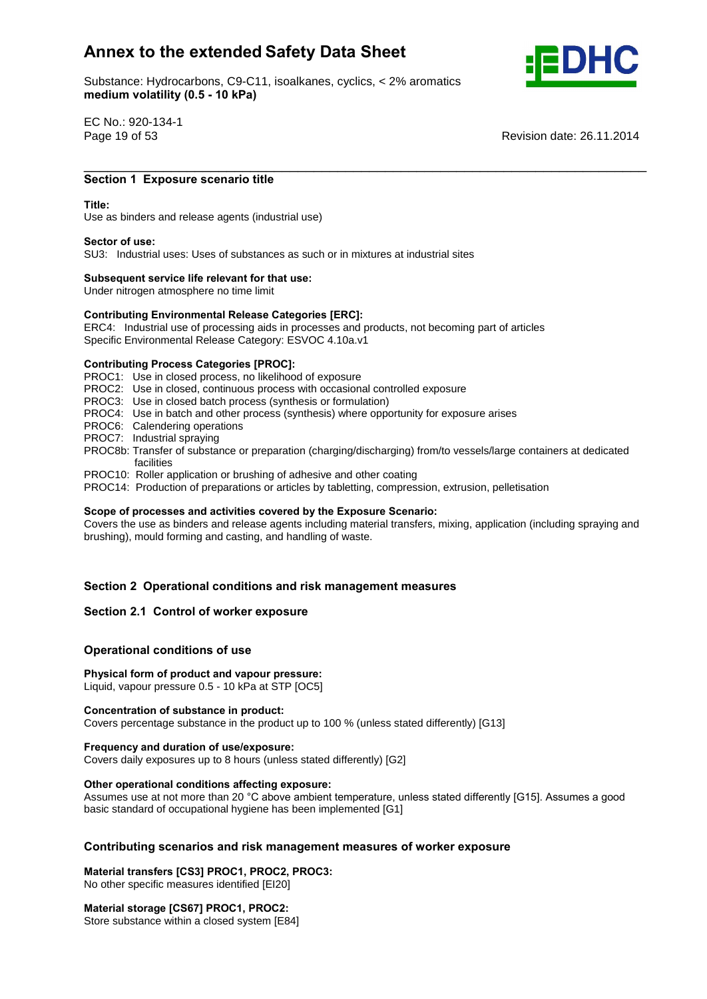Substance: Hydrocarbons, C9-C11, isoalkanes, cyclics, < 2% aromatics e: Hydrocarbons, C9-C11, ise<br>**volatility (0.5 - 10 kPa)** 



EC No.: 920-134-1

Page 19 of 53 Revision date: 26.11.2014

## \_\_\_\_\_\_\_\_\_\_\_\_\_\_\_\_\_\_\_\_\_\_\_\_\_\_\_\_\_\_\_\_\_\_\_\_\_\_\_\_\_\_\_\_\_\_\_\_\_\_\_\_\_\_\_\_\_\_\_\_\_\_\_\_\_\_\_\_\_\_\_ **<sup>1</sup> Exposure scenario title Title:**

#### Title<sup>.</sup>

Use as binders and release agents (industrial use) **Sector of use:**

SU3: Industrial uses: Uses of substances as such or in mixtures at industrial sites **Subsequent service life relevant for that use:**

Under nitrogen atmosphere no time limit

## **Subsequent service life relevant for that use:**<br>
Under nitrogen atmosphere no time limit<br>
Contributing Environmental Release Categories [ERC]:

ERC4: Industrial use of processing aids in processes and products, not becoming part of articles Specific Environmental Release Category: ESVOC 4.10a.v1 **Contributing Process Categories [PROC]:**

PROC1: Use in closed process, no likelihood of exposure

- PROC2: Use in closed, continuous process with occasional controlled exposure
- PROC3: Use in closed batch process (synthesis or formulation)
- PROC4: Use in batch and other process (synthesis) where opportunity for exposure arises
- PROC6: Calendering operations
- PROC7: Industrial spraying
- PROC8b: Transfer of substance or preparation (charging/discharging) from/to vessels/large containers at dedicated facilities
- PROC10: Roller application or brushing of adhesive and other coating
- PROC14: Production of preparations or articles by tabletting, compression, extrusion, pelletisation<br>Scope of processes and activities covered by the Exposure Scenario:

Covers the use as binders and release agents including material transfers, mixing, application (including spraying and brushing), mould forming and casting, and handling of waste.

# **<sup>2</sup> Operational conditions and risk management measures Section 2.1 Control of worker exposure**

## **Section 2.1 Control of worker exposure**

## **conditions** of worker exposured<br> **Physical**<br> **Physical**<br> **Physical**<br> **Physical**<br> **Physical**

## **form of product and vapour pressure:**

Liquid, vapour pressure 0.5 - 10 kPa at STP [OC5] **Concentration of substance in product:**

Covers percentage substance in the product up to 100 % (unless stated differently) [G13] **Frequency and duration of use/exposure:**

Covers daily exposures up to 8 hours (unless stated differently) [G2] **Other operational conditions affecting exposure:**

Other operational conditions affecting exposure:<br>Assumes use at not more than 20 °C above ambient temperature, unless stated differently [G15]. Assumes a good basic standard of occupational hygiene has been implemented [G1]

# **scenarios and risk management measures of worker exposure Material transfers [CS3] PROC1, PROC2, PROC3:**

No other specific measures identified [EI20] **Material storage [CS67] PROC1, PROC2:**

Store substance within a closed system [E84]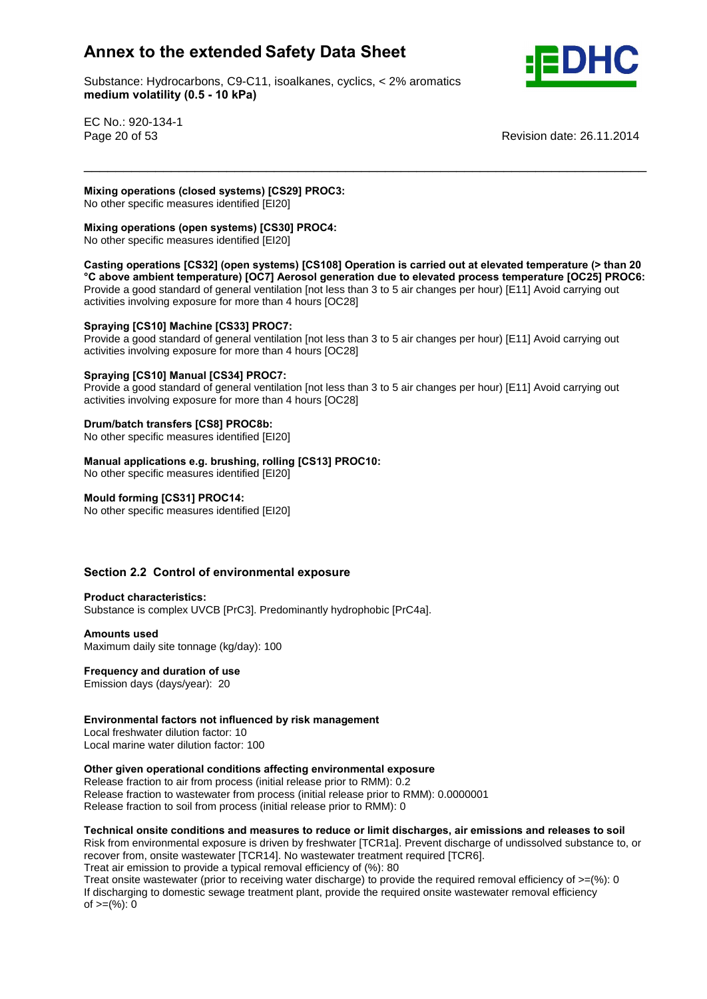Substance: Hydrocarbons, C9-C11, isoalkanes, cyclics, < 2% aromatics e: Hydrocarbons, C9-C11, ise<br>**volatility (0.5 - 10 kPa)** 



EC No.: 920-134-1

Page 20 of 53 Revision date: 26.11.2014

## **operations (closed systems) [CS29] PROC3:**

No other specific measures identified [EI20] **Mixing**

## **operations (open systems) [CS30] PROC4:**

mand specific measures identified [EI20]

 **operations [CS32] (open systems) [CS108] Operation is carried out at elevated temperature (> than <sup>20</sup> above ambient temperature) [OC7] Aerosol generation due to elevated process temperature [OC25] PROC6:** Provide a good standard of general ventilation [not less than 3 to 5 air changes per hour) [E11] Avoid carrying out

\_\_\_\_\_\_\_\_\_\_\_\_\_\_\_\_\_\_\_\_\_\_\_\_\_\_\_\_\_\_\_\_\_\_\_\_\_\_\_\_\_\_\_\_\_\_\_\_\_\_\_\_\_\_\_\_\_\_\_\_\_\_\_\_\_\_\_\_\_\_\_ **Mixing**

## activities involving exposure for more than 4 hours [OC28] **Spraying [CS10] Machine [CS33] PROC7:**

Provide a good standard of general ventilation [not less than 3 to 5 air changes per hour) [E11] Avoid carrying out activities involving exposure for more than 4 hours [OC28] **Spraying [CS10] Manual [CS34] PROC7:**

Provide a good standard of general ventilation [not less than 3 to 5 air changes per hour) [E11] Avoid carrying out activities involving exposure for more than 4 hours [OC28] **Drum/batch transfers [CS8] PROC8b:**

**No other specific measures identified [EI20]** 

# **Drum/batch transfers [CS8] PROC8b:**<br>No other specific measures identified [EI20]<br>Manual applications e.g. brushing, rolling [CS13] PROC10:

No other specific measures identified [EI20] **Mould forming [CS31] PROC14:**

No other specific measures identified [EI20]

# **2.2 Control of environmental exposure Product characteristics:**

Substance is complex UVCB [PrC3]. Predominantly hydrophobic [PrC4a]. **Amounts used**

Maximum daily site tonnage (kg/day): 100 **Frequency and duration of use**

Emission days (days/year): 20

## **factors not influenced by risk management**

Local freshwater dilution factor: 10 Local marine water dilution factor: 100

## **given operational conditions affecting environmental exposure**

Release fraction to air from process (initial release prior to RMM): 0.2 Release fraction to wastewater from process (initial release prior to RMM): 0.0000001 Release fraction to soil from process (initial release prior to RMM): 0

## **onsite conditions and measures to reduce or limit discharges, air emissions and releases to soil**

Risk from environmental exposure is driven by freshwater [TCR1a]. Prevent discharge of undissolved substance to, or recover from, onsite wastewater [TCR14]. No wastewater treatment required [TCR6]. Treat air emission to provide a typical removal efficiency of (%): 80

Treat onsite wastewater (prior to receiving water discharge) to provide the required removal efficiency of  $>=$ (%): 0 If discharging to domestic sewage treatment plant, provide the required onsite wastewater removal efficiency of  $>=$ (%): 0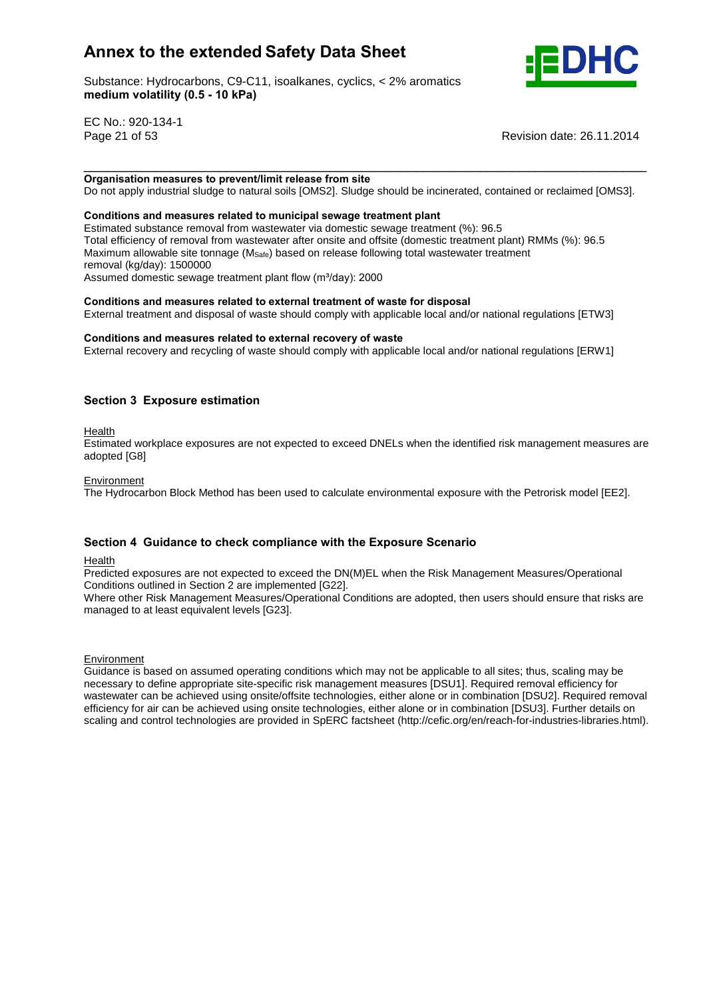Substance: Hydrocarbons, C9-C11, isoalkanes, cyclics, < 2% aromatics e: Hydrocarbons, C9-C11, ise<br>**volatility (0.5 - 10 kPa)** 



EC No.: 920-134-1

Page 21 of 53 Revision date: 26.11.2014

\_\_\_\_\_\_\_\_\_\_\_\_\_\_\_\_\_\_\_\_\_\_\_\_\_\_\_\_\_\_\_\_\_\_\_\_\_\_\_\_\_\_\_\_\_\_\_\_\_\_\_\_\_\_\_\_\_\_\_\_\_\_\_\_\_\_\_\_\_\_\_ **Organisationmeasures to prevent/limit release from site**

Do not apply industrial sludge to natural soils [OMS2]. Sludge should be incinerated, contained or reclaimed [OMS3].<br>Conditions and measures related to municipal sewage treatment plant

Estimated substance removal from wastewater via domestic sewage treatment (%): 96.5 Total efficiency of removal from wastewater after onsite and offsite (domestic treatment plant) RMMs (%): 96.5 Maximum allowable site tonnage ( $M_{\text{Safe}}$ ) based on release following total wastewater treatment<br>removal (kg/day): 1500000<br>Assumed domestic sewage treatment plant flow (m<sup>3</sup>/day): 2000 removal (kg/day): 1500000 Assumed domestic sewage treatment plant flow (m<sup>3</sup>/day): 2000

#### **and measures related to external treatment of waste for disposal**

External treatment and disposal of waste should comply with applicable local and/or national regulations [ETW3]<br>Conditions and measures related to external recovery of waste

External recovery and recycling of waste should comply with applicable local and/or national regulations [ERW1]

## **<sup>3</sup> Exposure estimation**

Health

Estimated workplace exposures are not expected to exceed DNELs when the identified risk management measures are adopted [G8]

#### **Environment**

The Hydrocarbon Block Method has been used to calculate environmental exposure with the Petrorisk model [EE2].

#### **<sup>4</sup> Guidance to check compliance with the Exposure Scenario**

Health

Predicted exposures are not expected to exceed the DN(M)EL when the Risk Management Measures/Operational Conditions outlined in Section 2 are implemented [G22].

Where other Risk Management Measures/Operational Conditions are adopted, then users should ensure that risks are managed to at least equivalent levels [G23].

Environment

Guidance is based on assumed operating conditions which may not be applicable to all sites; thus, scaling may be necessary to define appropriate site-specific risk management measures [DSU1]. Required removal efficiency for wastewater can be achieved using onsite/offsite technologies, either alone or in combination [DSU2]. Required removal efficiency for air can be achieved using onsite technologies, either alone or in combination [DSU3]. Further details on scaling and control technologies are provided in SpERC factsheet (http://cefic.org/en/reach-for-industries-libraries.html).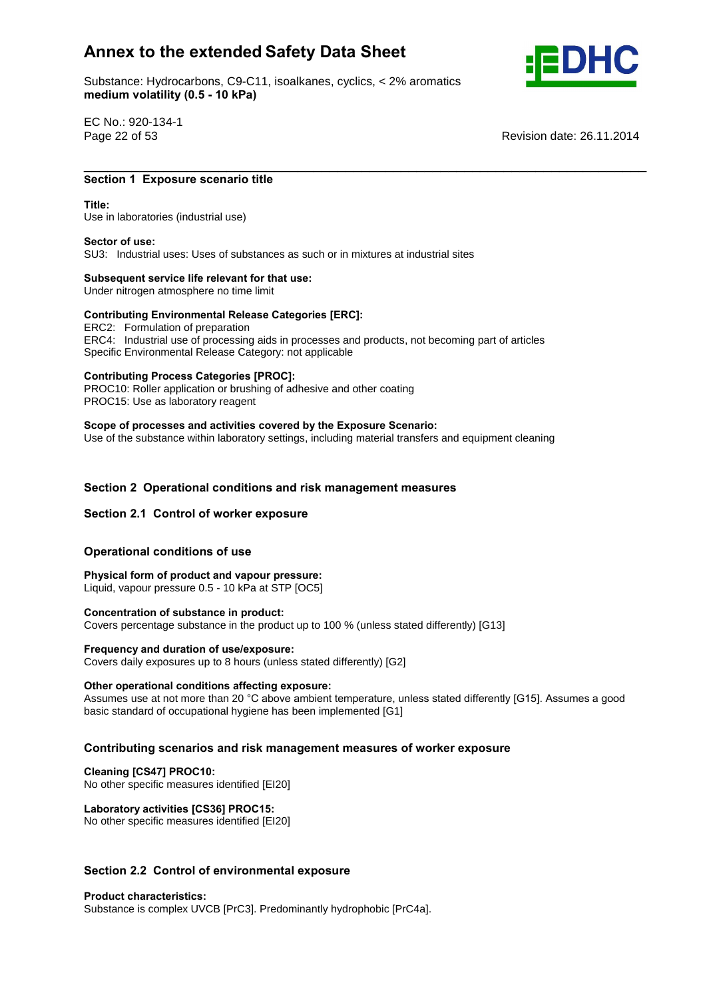Substance: Hydrocarbons, C9-C11, isoalkanes, cyclics, < 2% aromatics e: Hydrocarbons, C9-C11, ise<br>**volatility (0.5 - 10 kPa)** 



EC No.: 920-134-1

Page 22 of 53 Revision date: 26.11.2014

## \_\_\_\_\_\_\_\_\_\_\_\_\_\_\_\_\_\_\_\_\_\_\_\_\_\_\_\_\_\_\_\_\_\_\_\_\_\_\_\_\_\_\_\_\_\_\_\_\_\_\_\_\_\_\_\_\_\_\_\_\_\_\_\_\_\_\_\_\_\_\_ **1 Exposure scenario title**

#### Title:

Use in laboratories (industrial use) **Sector of use:**

SU3: Industrial uses: Uses of substances as such or in mixtures at industrial sites **Subsequent service life relevant for that use:**

Under nitrogen atmosphere no time limit

## **Subsequent service life relevant for that use:**<br>
Under nitrogen atmosphere no time limit<br>
Contributing Environmental Release Categories [ERC]:

ERC2: Formulation of preparation ERC4: Industrial use of processing aids in processes and products, not becoming part of articles Specific Environmental Release Category: not applicable **Contributing Process Categories [PROC]:**

PROC10: Roller application or brushing of adhesive and other coating PROC15: Use as laboratory reagent

 **of processes and activities covered by the Exposure Scenario:** Use of the substance within laboratory settings, including material transfers and equipment cleaning

# **<sup>2</sup> Operational conditions and risk management measures Section 2.1 Control of worker exposure**

## **Section 2.1 Control of worker exposure**

## **conditions** of worker exposured<br>Operational conditions of use

 **form of product and vapour pressure:** Liquid, vapour pressure 0.5 - 10 kPa at STP [OC5] **Concentration of substance in product:**

Covers percentage substance in the product up to 100 % (unless stated differently) [G13] **Frequency and duration of use/exposure:**

Covers daily exposures up to 8 hours (unless stated differently) [G2] **Other operational conditions affecting exposure:**

Other operational conditions affecting exposure:<br>Assumes use at not more than 20 °C above ambient temperature, unless stated differently [G15]. Assumes a good basic standard of occupational hygiene has been implemented [G1]

# **scenarios and risk management measures of worker exposure Cleaning [CS47] PROC10:**

No other specific measures identified [EI20] **Laboratory activities [CS36] PROC15:**

No other specific measures identified [EI20]

# **2.2 Control of environmental exposure Product characteristics:**

Substance is complex UVCB [PrC3]. Predominantly hydrophobic [PrC4a].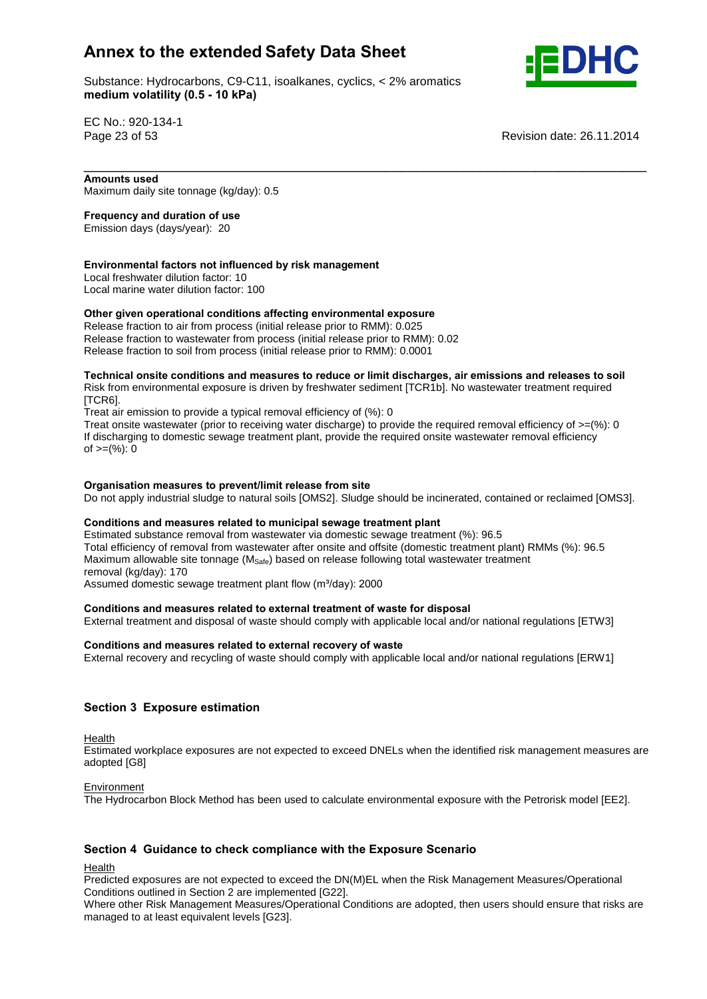Substance: Hydrocarbons, C9-C11, isoalkanes, cyclics, < 2% aromatics e: Hydrocarbons, C9-C11, ise<br>**volatility (0.5 - 10 kPa)** 



EC No.: 920-134-1

Page 23 of 53 Revision date: 26.11.2014

 **used** Maximum daily site tonnage (kg/day): 0.5 **Frequency and duration of use**

Emission days (days/year): 20

#### **factors not influenced by risk management**

Local freshwater dilution factor: 10 Local marine water dilution factor: 100 **Other**

## **given operational conditions affecting environmental exposure**

Release fraction to air from process (initial release prior to RMM): 0.025 Release fraction to wastewater from process (initial release prior to RMM): 0.02 Release fraction to soil from process (initial release prior to RMM): 0.0001

#### **onsite conditions and measures to reduce or limit discharges, air emissions and releases to soil** Risk from environmental exposure is driven by freshwater sediment [TCR1b]. No wastewater treatment required [TCR6].

\_\_\_\_\_\_\_\_\_\_\_\_\_\_\_\_\_\_\_\_\_\_\_\_\_\_\_\_\_\_\_\_\_\_\_\_\_\_\_\_\_\_\_\_\_\_\_\_\_\_\_\_\_\_\_\_\_\_\_\_\_\_\_\_\_\_\_\_\_\_\_

Treat air emission to provide a typical removal efficiency of (%): 0

Treat onsite wastewater (prior to receiving water discharge) to provide the required removal efficiency of  $>=$ (%): 0 If discharging to domestic sewage treatment plant, provide the required onsite wastewater removal efficiency of  $>=(\%)$ : 0

#### **measures to prevent/limit release from site**

Do not apply industrial sludge to natural soils [OMS2]. Sludge should be incinerated, contained or reclaimed [OMS3].<br>Conditions and measures related to municipal sewage treatment plant

Estimated substance removal from wastewater via domestic sewage treatment (%): 96.5 Total efficiency of removal from wastewater after onsite and offsite (domestic treatment plant) RMMs (%): 96.5 Maximum allowable site tonnage ( $M_{\text{Safe}}$ ) based on release following total wastewater treatment<br>removal (kg/day): 170<br>Assumed domestic sewage treatment plant flow (m<sup>3</sup>/day): 2000 removal (kg/day): 170

Assumed domestic sewage treatment plant flow (m<sup>3</sup>/day): 2000

#### **and measures related to external treatment of waste for disposal**

External treatment and disposal of waste should comply with applicable local and/or national regulations [ETW3]<br>Conditions and measures related to external recovery of waste

External recovery and recycling of waste should comply with applicable local and/or national regulations [ERW1]

## **<sup>3</sup> Exposure estimation**

Health

Estimated workplace exposures are not expected to exceed DNELs when the identified risk management measures are adopted [G8]

#### Environment

The Hydrocarbon Block Method has been used to calculate environmental exposure with the Petrorisk model [EE2].

## **<sup>4</sup> Guidance to check compliance with the Exposure Scenario**

Health

Predicted exposures are not expected to exceed the DN(M)EL when the Risk Management Measures/Operational Conditions outlined in Section 2 are implemented [G22].

Where other Risk Management Measures/Operational Conditions are adopted, then users should ensure that risks are managed to at least equivalent levels [G23].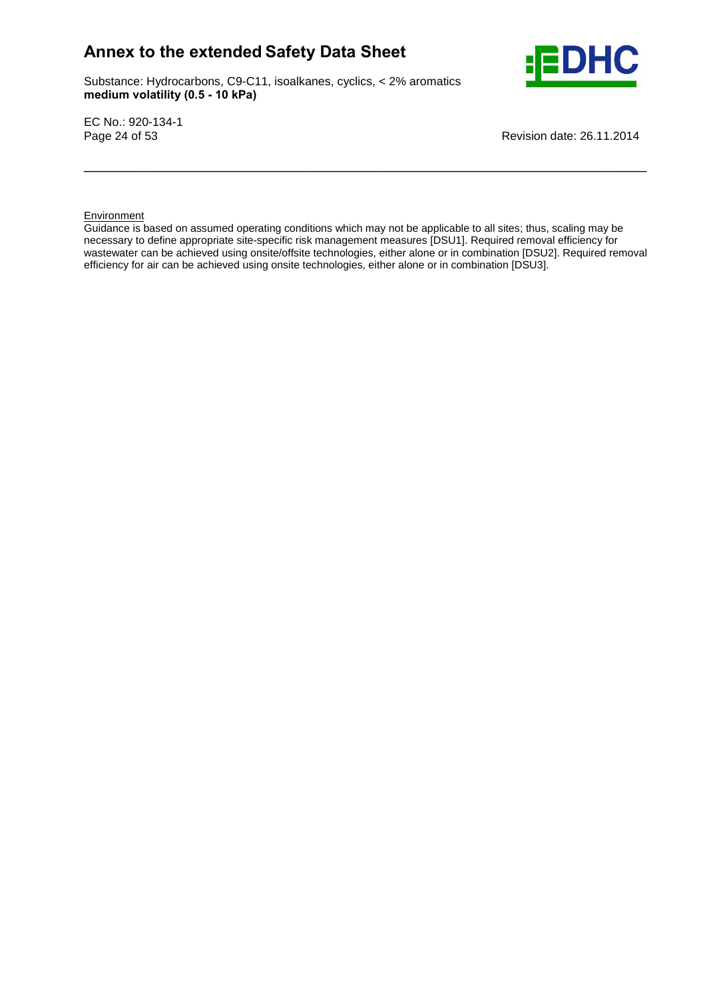Substance: Hydrocarbons, C9-C11, isoalkanes, cyclics, < 2% aromatics e: Hydrocarbons, C9-C11, ise<br>**volatility (0.5 - 10 kPa)** 



EC No.: 920-134-1

Page 24 of 53 Revision date: 26.11.2014

#### **Environment**

Guidance is based on assumed operating conditions which may not be applicable to all sites; thus, scaling may be necessary to define appropriate site-specific risk management measures [DSU1]. Required removal efficiency for wastewater can be achieved using onsite/offsite technologies, either alone or in combination [DSU2]. Required removal efficiency for air can be achieved using onsite technologies, either alone or in combination [DSU3].

\_\_\_\_\_\_\_\_\_\_\_\_\_\_\_\_\_\_\_\_\_\_\_\_\_\_\_\_\_\_\_\_\_\_\_\_\_\_\_\_\_\_\_\_\_\_\_\_\_\_\_\_\_\_\_\_\_\_\_\_\_\_\_\_\_\_\_\_\_\_\_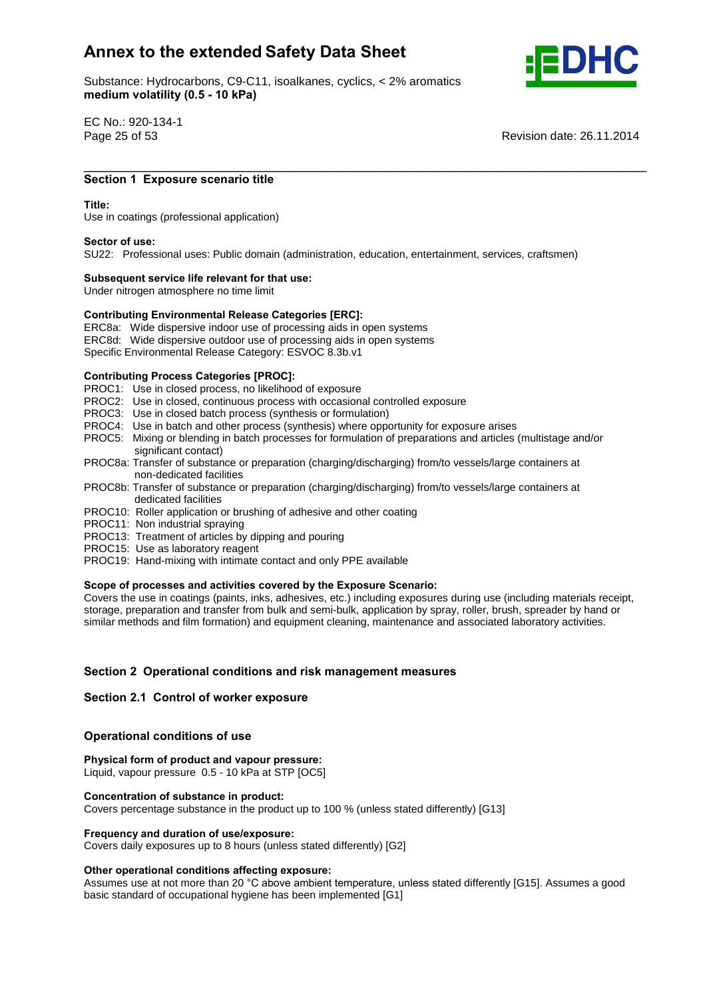Substance: Hydrocarbons, C9-C11, isoalkanes, cyclics, < 2% aromatics e: Hydrocarbons, C9-C11, ise<br>**volatility (0.5 - 10 kPa)** 



EC No.: 920-134-1

Page 25 of 53 Revision date: 26.11.2014

## \_\_\_\_\_\_\_\_\_\_\_\_\_\_\_\_\_\_\_\_\_\_\_\_\_\_\_\_\_\_\_\_\_\_\_\_\_\_\_\_\_\_\_\_\_\_\_\_\_\_\_\_\_\_\_\_\_\_\_\_\_\_\_\_\_\_\_\_\_\_\_ **<sup>1</sup> Exposure scenario title Title:**

#### Title:

Use in coatings (professional application) **Sector of use:**

SU22: Professional uses: Public domain (administration, education, entertainment, services, craftsmen) **Subsequent service life relevant for that use:**

Under nitrogen atmosphere no time limit

## **Subsequent service life relevant for that use:**<br>
Under nitrogen atmosphere no time limit<br>
Contributing Environmental Release Categories [ERC]:

ERC8a: Wide dispersive indoor use of processing aids in open systems

ERC8d: Wide dispersive outdoor use of processing aids in open systems

Specific Environmental Release Category: ESVOC 8.3b.v1 **Contributing Process Categories [PROC]:**

- PROC1: Use in closed process, no likelihood of exposure
- PROC2: Use in closed, continuous process with occasional controlled exposure
- PROC3: Use in closed batch process (synthesis or formulation)
- PROC4: Use in batch and other process (synthesis) where opportunity for exposure arises
- PROC5: Mixing or blending in batch processes for formulation of preparations and articles (multistage and/or significant contact)
- PROC8a: Transfer of substance or preparation (charging/discharging) from/to vessels/large containers at non-dedicated facilities
- PROC8b: Transfer of substance or preparation (charging/discharging) from/to vessels/large containers at dedicated facilities
- PROC10: Roller application or brushing of adhesive and other coating
- PROC11: Non industrial spraying
- PROC13: Treatment of articles by dipping and pouring
- PROC15: Use as laboratory reagent
- PROC19: Hand-mixing with intimate contact and only PPE available **Scope of processes and activities covered by the Exposure Scenario:**

Covers the use in coatings (paints, inks, adhesives, etc.) including exposures during use (including materials receipt, storage, preparation and transfer from bulk and semi-bulk, application by spray, roller, brush, spreader by hand or similar methods and film formation) and equipment cleaning, maintenance and associated laboratory activities.

# **<sup>2</sup> Operational conditions and risk management measures Section 2.1 Control of worker exposure**

## **Section 2.1 Control of worker exposure**

## **conditions** of worker exposured<br> **Physical**<br> **Physical**<br> **Physical**<br> **Physical**<br> **Physical**

## **form of product and vapour pressure:**

Liquid, vapour pressure 0.5 - 10 kPa at STP [OC5] **Concentration of substance in product:**

Covers percentage substance in the product up to 100 % (unless stated differently) [G13] **Frequency and duration of use/exposure:**

Covers daily exposures up to 8 hours (unless stated differently) [G2] **Other operational conditions affecting exposure:**

Other operational conditions affecting exposure:<br>Assumes use at not more than 20 °C above ambient temperature, unless stated differently [G15]. Assumes a good basic standard of occupational hygiene has been implemented [G1]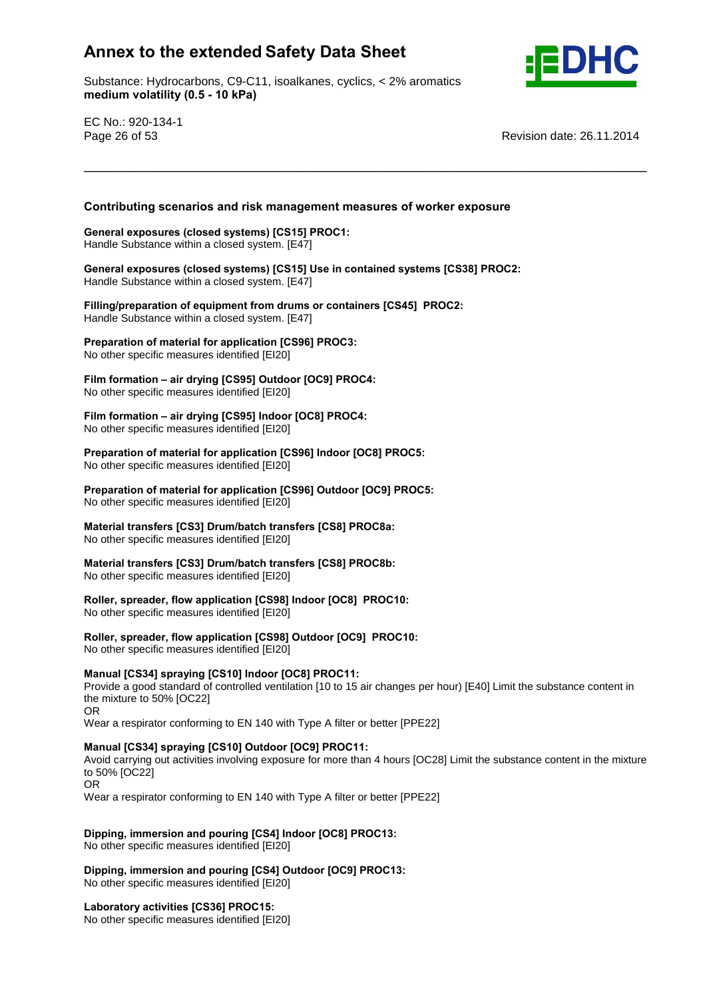Substance: Hydrocarbons, C9-C11, isoalkanes, cyclics, < 2% aromatics e: Hydrocarbons, C9-C11, ise<br>**volatility (0.5 - 10 kPa)** 



EC No.: 920-134-1

Page 26 of 53 Revision date: 26.11.2014

# **scenarios and risk management measures of worker exposure General exposures (closed systems) [CS15] PROC1:**

\_\_\_\_\_\_\_\_\_\_\_\_\_\_\_\_\_\_\_\_\_\_\_\_\_\_\_\_\_\_\_\_\_\_\_\_\_\_\_\_\_\_\_\_\_\_\_\_\_\_\_\_\_\_\_\_\_\_\_\_\_\_\_\_\_\_\_\_\_\_\_ **Contributing**

Handle Substance within a closed system. [E47] **General**General exposures (closed systems) [CS15] PROC1:<br>Handle Substance within a closed system. [E47]<br>General exposures (closed systems) [CS15] Use in contained systems [CS38] PROC2:

**Handle Substance within a closed system.** [E47]

 **of equipment from drums orcontainers [CS45] PROC2:** Handle Substance within a closed system. [E47] **Preparation**

 **of material for application [CS96] PROC3:** No other specific measures identified [EI20]

 **formation <sup>ñ</sup> air drying [CS95] Outdoor [OC9] PROC4:** No other specific measures identified [EI20]

**formation <sup>ñ</sup> air drying [CS95] Indoor [OC8] PROC4:**

No other specific measures identified [EI20] **Preparation**

 **of material for application [CS96] Indoor [OC8] PROC5:** No other specific measures identified [EI20] **Preparation**

 **of material for application [CS96] Outdoor [OC9] PROC5:** No other specific measures identified [EI20]

**transfers [CS3] Drum/batch transfers [CS8] PROC8a:**

No other specific measures identified [EI20] **Material**

 **transfers [CS3] Drum/batch transfers [CS8] PROC8b: No other specific measures identified [EI20]** 

 **spreader, flow application [CS98] Indoor [OC8] PROC10:** No other specific measures identified [EI20]

**spreader, flow application [CS98] Outdoor [OC9] PROC10:**

No other specific measures identified [EI20]

## **[CS34] spraying [CS10] Indoor [OC8] PROC11:**

Provide a good standard of controlled ventilation [10 to 15 air changes per hour) [E40] Limit the substance content in the mixture to 50% [OC22] OR

Wear a respirator conforming to EN 140 with Type A filter or better [PPE22] **Manual [CS34] spraying [CS10] Outdoor [OC9] PROC11:**

Avoid carrying out activities involving exposure for more than 4 hours [OC28] Limit the substance content in the mixture to 50% [OC22] OR

Wear a respirator conforming to EN 140 with Type A filter or better [PPE22] **Dipping,**

**immersion and pouring [CS4] Indoor [OC8] PROC13:**

No other specific measures identified [EI20] **Dipping,**

 **immersion and pouring [CS4] Outdoor [OC9] PROC13:** No other specific measures identified [EI20] **Laboratory activities [CS36] PROC15:**

No other specific measures identified [EI20]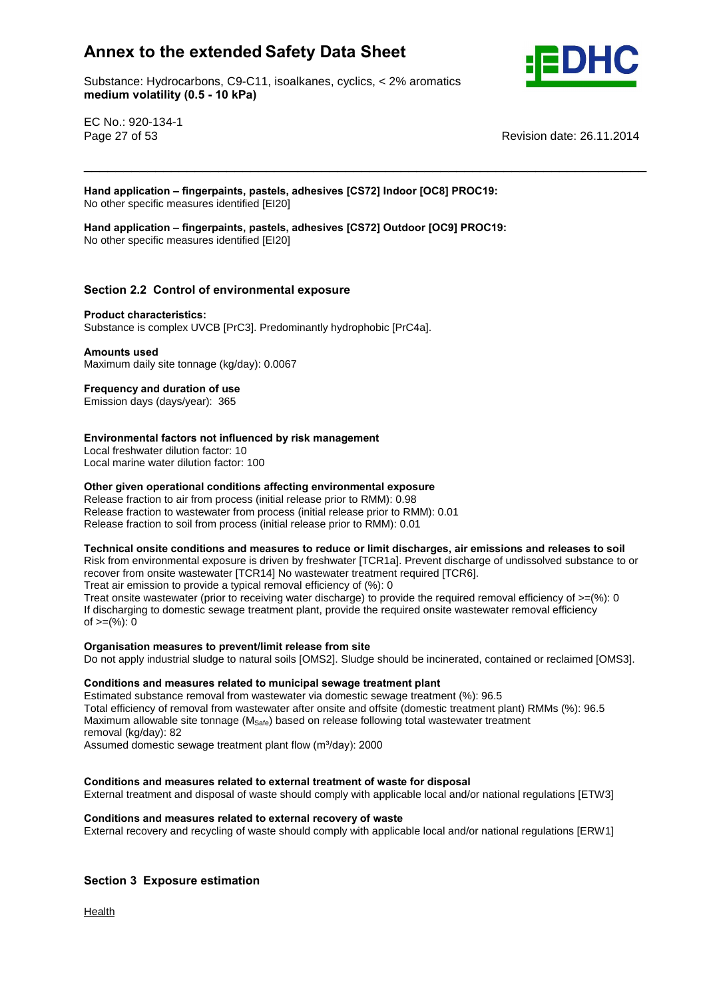Substance: Hydrocarbons, C9-C11, isoalkanes, cyclics, < 2% aromatics e: Hydrocarbons, C9-C11, ise<br>**volatility (0.5 - 10 kPa)** 



EC No.: 920-134-1

Page 27 of 53 Revision date: 26.11.2014

 **application <sup>ñ</sup> fingerpaints, pastels, adhesives [CS72] Indoor [OC8] PROC19:** No other specific measures identified [EI20] **Hand**

\_\_\_\_\_\_\_\_\_\_\_\_\_\_\_\_\_\_\_\_\_\_\_\_\_\_\_\_\_\_\_\_\_\_\_\_\_\_\_\_\_\_\_\_\_\_\_\_\_\_\_\_\_\_\_\_\_\_\_\_\_\_\_\_\_\_\_\_\_\_\_

 **application <sup>ñ</sup> fingerpaints, pastels, adhesives [CS72] Outdoor [OC9] PROC19:** No other specific measures identified [EI20]

# **2.2 Control of environmental exposure Product characteristics:**

Substance is complex UVCB [PrC3]. Predominantly hydrophobic [PrC4a]. **Amounts used**

Maximum daily site tonnage (kg/day): 0.0067 **Frequency and duration of use**

Emission days (days/year): 365

#### **factors not influenced by risk management**

Local freshwater dilution factor: 10

Local marine water dilution factor: 100 **Other**

#### **given operational conditions affecting environmental exposure**

Release fraction to air from process (initial release prior to RMM): 0.98 Release fraction to wastewater from process (initial release prior to RMM): 0.01 Release fraction to soil from process (initial release prior to RMM): 0.01

#### **onsite conditions and measures to reduce or limit discharges, air emissions and releases to soil**

Risk from environmental exposure is driven by freshwater [TCR1a]. Prevent discharge of undissolved substance to or recover from onsite wastewater [TCR14] No wastewater treatment required [TCR6].

Treat air emission to provide a typical removal efficiency of (%): 0

Treat onsite wastewater (prior to receiving water discharge) to provide the required removal efficiency of  $>=$ (%): 0 If discharging to domestic sewage treatment plant, provide the required onsite wastewater removal efficiency n albertal ging to dent<br>of >=(%): 0

## **measures to prevent/limit release from site**

Do not apply industrial sludge to natural soils [OMS2]. Sludge should be incinerated, contained or reclaimed [OMS3].<br>Conditions and measures related to municipal sewage treatment plant

Estimated substance removal from wastewater via domestic sewage treatment (%): 96.5 Total efficiency of removal from wastewater after onsite and offsite (domestic treatment plant) RMMs (%): 96.5 Maximum allowable site tonnage (M<sub>Safe</sub>) based on release following total wastewater treatment<br>
removal (kg/day): 82<br>
Assumed domestic sewage treatment plant flow (m<sup>3</sup>/day): 2000 removal (kg/day): 82

Assumed domestic sewage treatment plant flow (m<sup>3</sup>/day): 2000

#### **and measures related to external treatment of waste for disposal**

External treatment and disposal of waste should comply with applicable local and/or national regulations [ETW3]<br>Conditions and measures related to external recovery of waste

External recovery and recycling of waste should comply with applicable local and/or national regulations [ERW1]

## **<sup>3</sup> Exposure estimation**

Health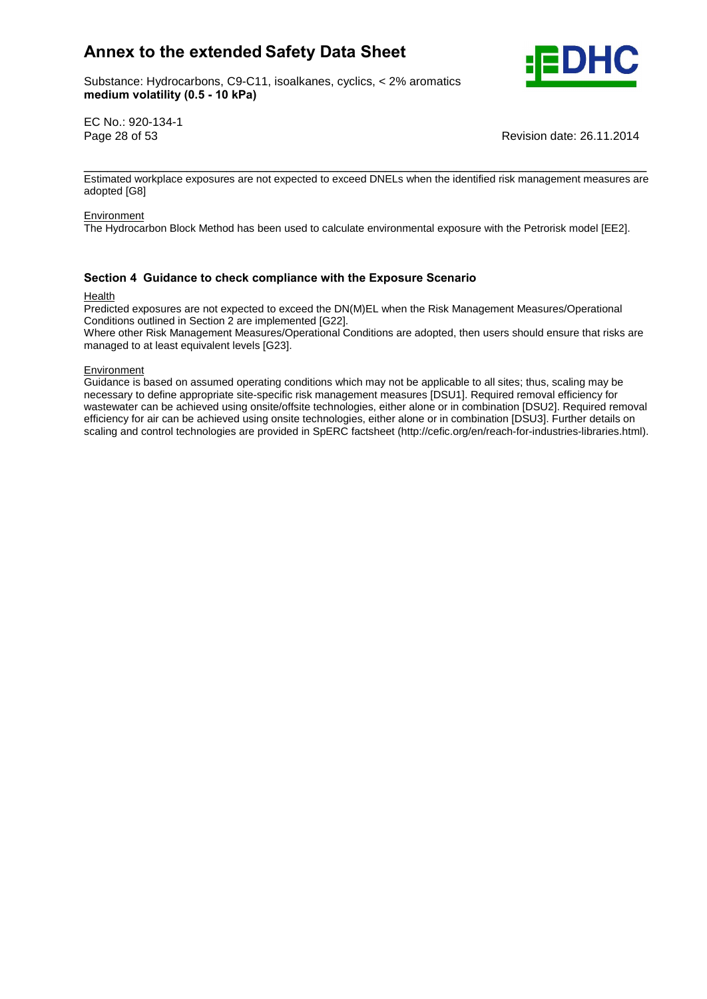Substance: Hydrocarbons, C9-C11, isoalkanes, cyclics, < 2% aromatics e: Hydrocarbons, C9-C11, ise<br>**volatility (0.5 - 10 kPa)** 



EC No.: 920-134-1

Page 28 of 53 Revision date: 26.11.2014

\_\_\_\_\_\_\_\_\_\_\_\_\_\_\_\_\_\_\_\_\_\_\_\_\_\_\_\_\_\_\_\_\_\_\_\_\_\_\_\_\_\_\_\_\_\_\_\_\_\_\_\_\_\_\_\_\_\_\_\_\_\_\_\_\_\_\_\_\_\_\_ Estimated workplace exposures are not expected to exceed DNELs when the identified risk management measures are adopted [G8]

#### Environment

The Hydrocarbon Block Method has been used to calculate environmental exposure with the Petrorisk model [EE2].

## **<sup>4</sup> Guidance to check compliance with the Exposure Scenario**

#### Health

Predicted exposures are not expected to exceed the DN(M)EL when the Risk Management Measures/Operational Conditions outlined in Section 2 are implemented [G22].

Where other Risk Management Measures/Operational Conditions are adopted, then users should ensure that risks are managed to at least equivalent levels [G23].

Environment

Guidance is based on assumed operating conditions which may not be applicable to all sites; thus, scaling may be necessary to define appropriate site-specific risk management measures [DSU1]. Required removal efficiency for wastewater can be achieved using onsite/offsite technologies, either alone or in combination [DSU2]. Required removal efficiency for air can be achieved using onsite technologies, either alone or in combination [DSU3]. Further details on scaling and control technologies are provided in SpERC factsheet (http://cefic.org/en/reach-for-industries-libraries.html).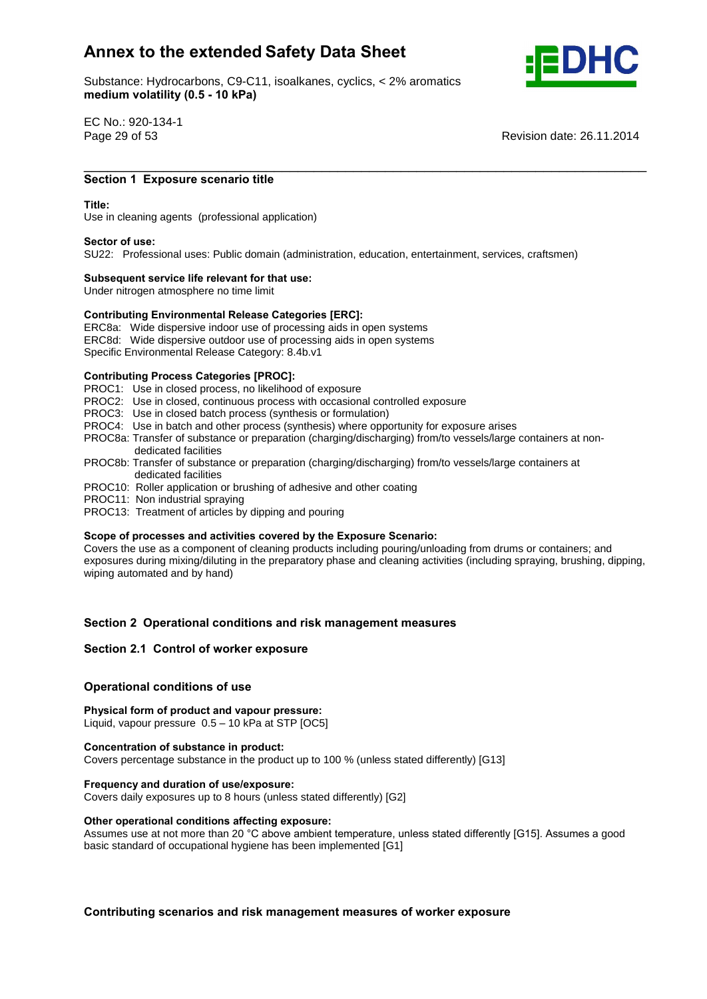Substance: Hydrocarbons, C9-C11, isoalkanes, cyclics, < 2% aromatics e: Hydrocarbons, C9-C11, ise<br>**volatility (0.5 - 10 kPa)** 



EC No.: 920-134-1

Page 29 of 53 Revision date: 26.11.2014

## \_\_\_\_\_\_\_\_\_\_\_\_\_\_\_\_\_\_\_\_\_\_\_\_\_\_\_\_\_\_\_\_\_\_\_\_\_\_\_\_\_\_\_\_\_\_\_\_\_\_\_\_\_\_\_\_\_\_\_\_\_\_\_\_\_\_\_\_\_\_\_ **<sup>1</sup> Exposure scenario title Title:**

#### Title:

Use in cleaning agents (professional application) **Sector of use:**

SU22: Professional uses: Public domain (administration, education, entertainment, services, craftsmen) **Subsequent service life relevant for that use:**

Under nitrogen atmosphere no time limit

## **Subsequent service life relevant for that use:**<br>
Under nitrogen atmosphere no time limit<br>
Contributing Environmental Release Categories [ERC]:

ERC8a: Wide dispersive indoor use of processing aids in open systems

ERC8d: Wide dispersive outdoor use of processing aids in open systems

Specific Environmental Release Category: 8.4b.v1 **Contributing Process Categories [PROC]:**

- PROC1: Use in closed process, no likelihood of exposure
- PROC2: Use in closed, continuous process with occasional controlled exposure
- PROC3: Use in closed batch process (synthesis or formulation)
- PROC4: Use in batch and other process (synthesis) where opportunity for exposure arises
- PROC8a: Transfer of substance or preparation (charging/discharging) from/to vessels/large containers at non dedicated facilities
- PROC8b: Transfer of substance or preparation (charging/discharging) from/to vessels/large containers at dedicated facilities
- PROC10: Roller application or brushing of adhesive and other coating
- PROC11: Non industrial spraying
- PROC13: Treatment of articles by dipping and pouring **Scope**

#### **of processes and activities covered by the Exposure Scenario:**

Covers the use as a component of cleaning products including pouring/unloading from drums or containers; and exposures during mixing/diluting in the preparatory phase and cleaning activities (including spraying, brushing, dipping, wiping automated and by hand)

# **<sup>2</sup> Operational conditions and risk management measures Section 2.1 Control of worker exposure**

## **Section 2.1 Control of worker exposure**

## **conditions** of worker exposured<br> **Physical**<br> **Physical**<br> **Physical**<br> **Physical**<br> **Physical**

## **form of product and vapour pressure: Children Conduction Concernation of the Children Pressure:**<br>
Liquid, vapour pressure 0.5 – 10 kPa at STP [OC5]<br> **Concentration of substance in product:**

Covers percentage substance in the product up to 100 % (unless stated differently) [G13] **Frequency and duration of use/exposure:**

Covers daily exposures up to 8 hours (unless stated differently) [G2] **Other operational conditions affecting exposure:**

Other operational conditions affecting exposure:<br>Assumes use at not more than 20 °C above ambient temperature, unless stated differently [G15]. Assumes a good basic standard of occupational hygiene has been implemented [G1]

**scenarios and risk management measures of worker exposure**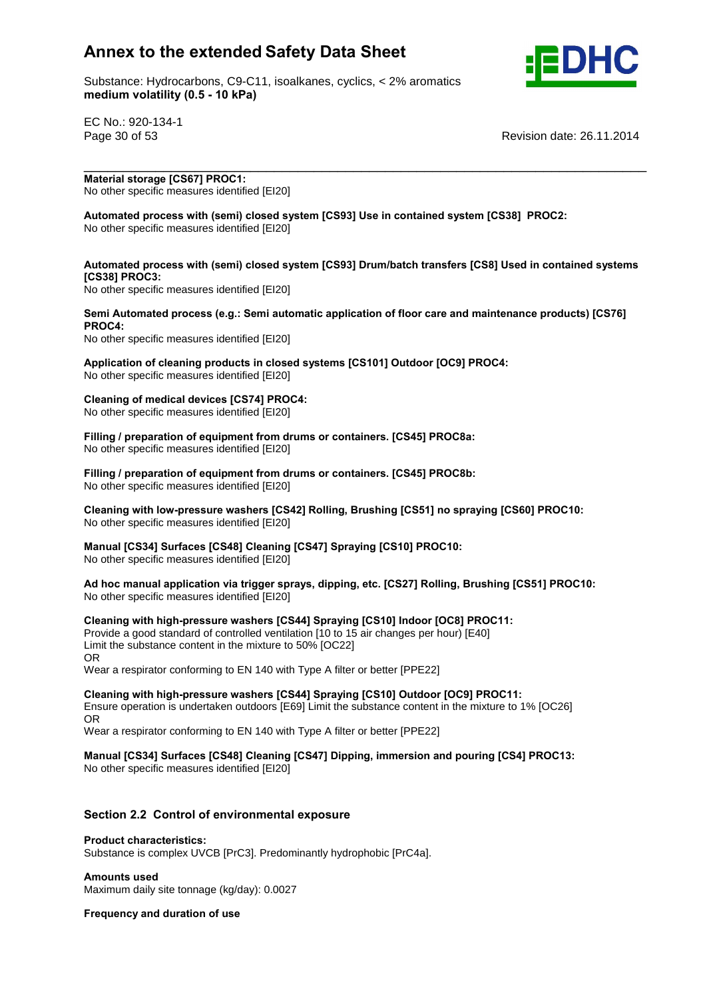

Substance: Hydrocarbons, C9-C11, isoalkanes, cyclics, < 2% aromatics e: Hydrocarbons, C9-C11, ise<br>**volatility (0.5 - 10 kPa)** 

EC No.: 920-134-1

Page 30 of 53 Revision date: 26.11.2014

 **storage [CS67] PROC1: No other specific measures identified [EI20]** 

 **process with (semi) closed system [CS93] Use in contained system [CS38] PROC2:** No other specific measures identified [EI20]

## **process with (semi) closed system [CS93] Drum/batch transfers [CS8] Used in contained systems PROC3: Automated process (e.g.: Semi automatic application of floor care and maintenance products) [CS76]**

\_\_\_\_\_\_\_\_\_\_\_\_\_\_\_\_\_\_\_\_\_\_\_\_\_\_\_\_\_\_\_\_\_\_\_\_\_\_\_\_\_\_\_\_\_\_\_\_\_\_\_\_\_\_\_\_\_\_\_\_\_\_\_\_\_\_\_\_\_\_\_ **Material**

**No other specific measures identified [EI20]** 

No other specific measures identified [EI20] **Application**

 **of cleaning products in closed systems [CS101] Outdoor [OC9] PROC4:** No other specific measures identified [EI20] **Cleaning**

 **of medical devices [CS74] PROC4: No other specific measures identified [EI20]** 

 **/ preparation of equipment from drums or containers. [CS45] PROC8a:** If the specific measures identified [EI20]

 **/ preparation of equipment from drums or containers. [CS45] PROC8b:** No other specific measures identified [EI20]

 **with low-pressure washers [CS42] Rolling, Brushing [CS51] no spraying [CS60] PROC10: No other specific measures identified [EI20]** 

 **[CS34] Surfaces [CS48] Cleaning [CS47] Spraying [CS10] PROC10:** No other specific measures identified [EI20] **Ad**

 **hoc manual application via trigger sprays, dipping, etc. [CS27] Rolling, Brushing [CS51] PROC10:** No other specific measures identified [EI20] **Cleaning**

 **with high-pressure washers [CS44] Spraying [CS10] Indoor [OC8] PROC11:** Provide a good standard of controlled ventilation [10 to 15 air changes per hour) [E40] Limit the substance content in the mixture to 50% [OC22] OR Wear a respirator conforming to EN 140 with Type A filter or better [PPE22] **Cleaning**

 **with high-pressure washers [CS44] Spraying [CS10] Outdoor [OC9] PROC11:** Ensure operation is undertaken outdoors [E69] Limit the substance content in the mixture to 1% [OC26] OR

o…<br>Wear a respirator conforming to EN 140 with Type A filter or better [PPE22]

**[CS34] Surfaces [CS48] Cleaning [CS47] Dipping, immersion and pouring [CS4] PROC13:**

No other specific measures identified [EI20]

# **2.2 Control of environmental exposure Product characteristics:**

Substance is complex UVCB [PrC3]. Predominantly hydrophobic [PrC4a]. **Amounts used**

Maximum daily site tonnage (kg/day): 0.0027 **Frequency and duration of use**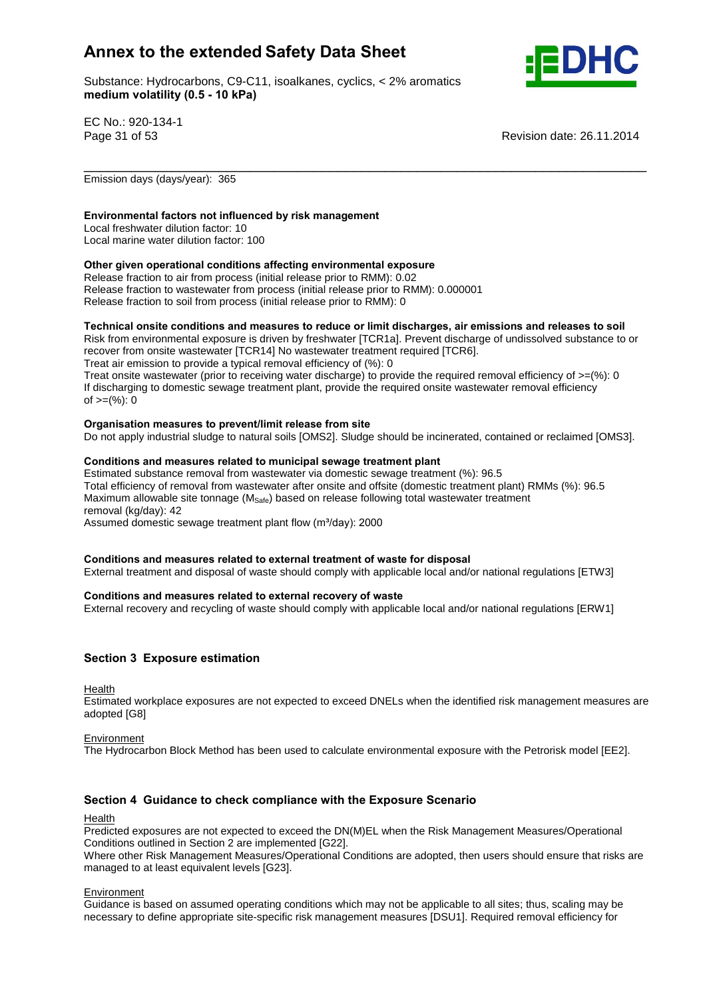Substance: Hydrocarbons, C9-C11, isoalkanes, cyclics, < 2% aromatics e: Hydrocarbons, C9-C11, ise<br>**volatility (0.5 - 10 kPa)** 



EC No.: 920-134-1

Page 31 of 53 Revision date: 26.11.2014

Emission days (days/year): 365

## **factors not influenced by risk management**

Local freshwater dilution factor: 10 Local marine water dilution factor: 100 **Other**

#### **given operational conditions affecting environmental exposure**

Release fraction to air from process (initial release prior to RMM): 0.02 Release fraction to wastewater from process (initial release prior to RMM): 0.000001 release fraction to soil from process (initial release prior to RMM): 0

#### **onsite conditions and measures to reduce or limit discharges, air emissions and releases to soil**

Risk from environmental exposure is driven by freshwater [TCR1a]. Prevent discharge of undissolved substance to or recover from onsite wastewater [TCR14] No wastewater treatment required [TCR6]. Treat air emission to provide a typical removal efficiency of (%): 0

\_\_\_\_\_\_\_\_\_\_\_\_\_\_\_\_\_\_\_\_\_\_\_\_\_\_\_\_\_\_\_\_\_\_\_\_\_\_\_\_\_\_\_\_\_\_\_\_\_\_\_\_\_\_\_\_\_\_\_\_\_\_\_\_\_\_\_\_\_\_\_

Treat onsite wastewater (prior to receiving water discharge) to provide the required removal efficiency of  $>=$ (%): 0 If discharging to domestic sewage treatment plant, provide the required onsite wastewater removal efficiency n albertal ging to dent<br>of  $>=(\%)$ : 0

#### **measures to prevent/limit release from site**

Do not apply industrial sludge to natural soils [OMS2]. Sludge should be incinerated, contained or reclaimed [OMS3].<br>Conditions and measures related to municipal sewage treatment plant

Estimated substance removal from wastewater via domestic sewage treatment (%): 96.5 Total efficiency of removal from wastewater after onsite and offsite (domestic treatment plant) RMMs (%): 96.5 Maximum allowable site tonnage ( $M_{\text{Safe}}$ ) based on release following total wastewater treatment<br>removal (kg/day): 42<br>Assumed domestic sewage treatment plant flow (m<sup>3</sup>/day): 2000 removal (kg/day): 42

Assumed domestic sewage treatment plant flow (m<sup>3</sup>/day): 2000

#### **and measures related to external treatment of waste for disposal**

External treatment and disposal of waste should comply with applicable local and/or national regulations [ETW3]<br>Conditions and measures related to external recovery of waste

External recovery and recycling of waste should comply with applicable local and/or national regulations [ERW1]

## **<sup>3</sup> Exposure estimation**

Health

Estimated workplace exposures are not expected to exceed DNELs when the identified risk management measures are adopted [G8]

#### Environment

The Hydrocarbon Block Method has been used to calculate environmental exposure with the Petrorisk model [EE2].

## **<sup>4</sup> Guidance to check compliance with the Exposure Scenario**

#### Health

Predicted exposures are not expected to exceed the DN(M)EL when the Risk Management Measures/Operational Conditions outlined in Section 2 are implemented [G22].

Where other Risk Management Measures/Operational Conditions are adopted, then users should ensure that risks are managed to at least equivalent levels [G23].

Environment

Guidance is based on assumed operating conditions which may not be applicable to all sites; thus, scaling may be necessary to define appropriate site-specific risk management measures [DSU1]. Required removal efficiency for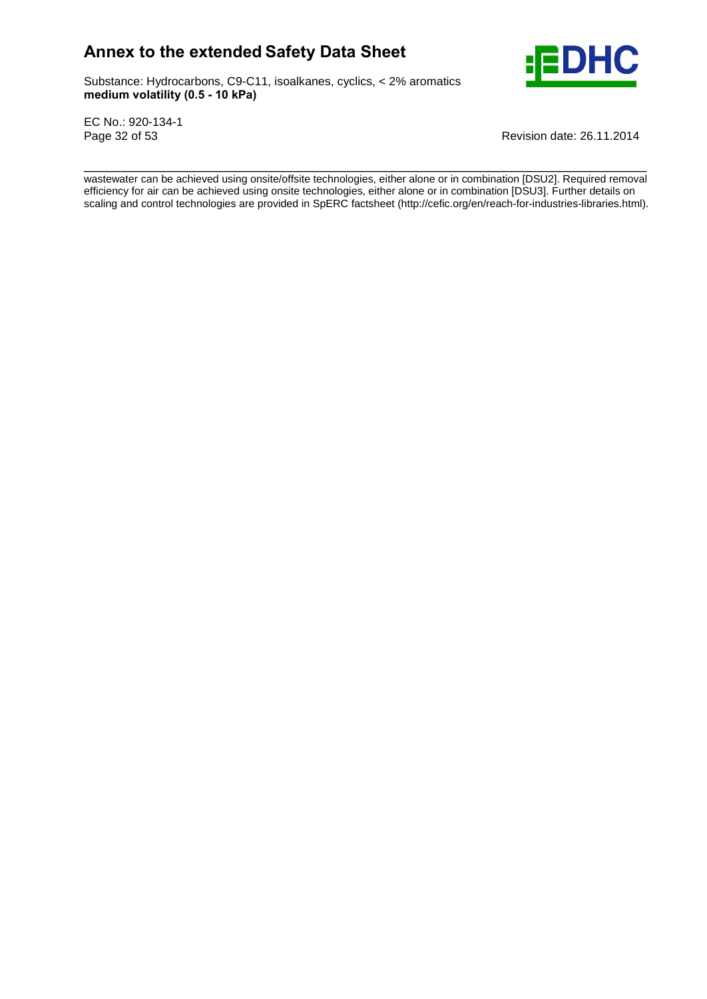Substance: Hydrocarbons, C9-C11, isoalkanes, cyclics, < 2% aromatics e: Hydrocarbons, C9-C11, ise<br>**volatility (0.5 - 10 kPa)** 



EC No.: 920-134-1

Page 32 of 53 Revision date: 26.11.2014

\_\_\_\_\_\_\_\_\_\_\_\_\_\_\_\_\_\_\_\_\_\_\_\_\_\_\_\_\_\_\_\_\_\_\_\_\_\_\_\_\_\_\_\_\_\_\_\_\_\_\_\_\_\_\_\_\_\_\_\_\_\_\_\_\_\_\_\_\_\_\_ wastewater can be achieved using onsite/offsite technologies, either alone or in combination [DSU2]. Required removal efficiency for air can be achieved using onsite technologies, either alone or in combination [DSU3]. Further details on scaling and control technologies are provided in SpERC factsheet (http://cefic.org/en/reach-for-industries-libraries.html).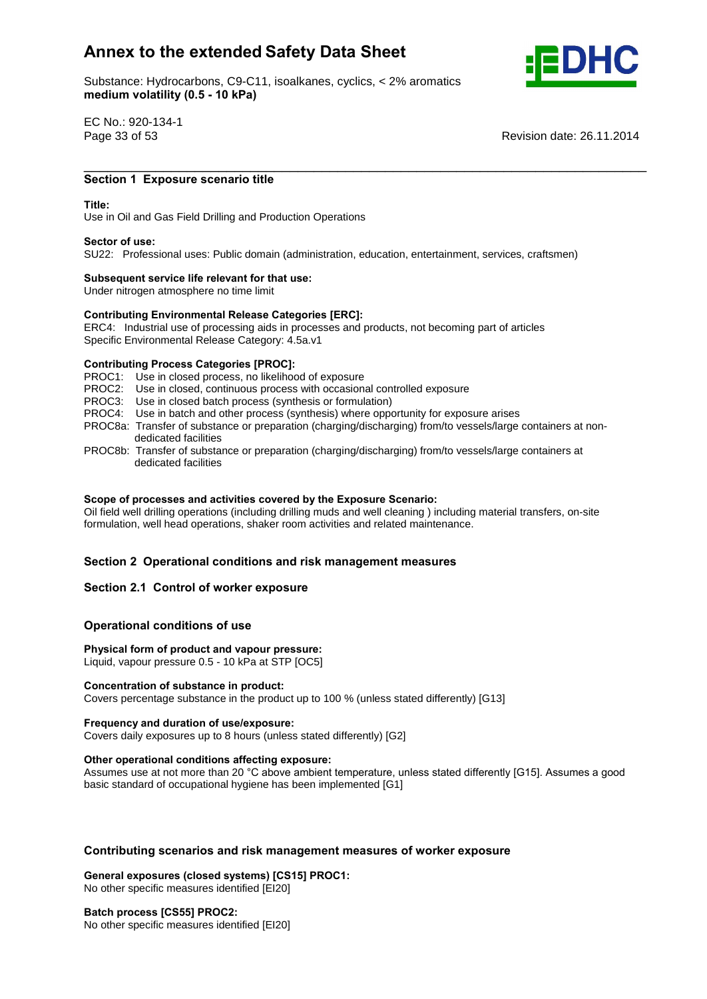Substance: Hydrocarbons, C9-C11, isoalkanes, cyclics, < 2% aromatics e: Hydrocarbons, C9-C11, ise<br>**volatility (0.5 - 10 kPa)** 



EC No.: 920-134-1

Page 33 of 53 Revision date: 26.11.2014

## \_\_\_\_\_\_\_\_\_\_\_\_\_\_\_\_\_\_\_\_\_\_\_\_\_\_\_\_\_\_\_\_\_\_\_\_\_\_\_\_\_\_\_\_\_\_\_\_\_\_\_\_\_\_\_\_\_\_\_\_\_\_\_\_\_\_\_\_\_\_\_ **<sup>1</sup> Exposure scenario title Title:**

#### Title:

Use in Oiland Gas Field Drilling and Production Operations **Sector of use:**

SU22: Professional uses: Public domain (administration, education, entertainment, services, craftsmen) **Subsequent service life relevant for that use:**

Under nitrogen atmosphere no time limit

## **Subsequent service life relevant for that use:**<br>
Under nitrogen atmosphere no time limit<br>
Contributing Environmental Release Categories [ERC]:

ERC4: Industrial use of processing aids in processes and products, not becoming part of articles Specific Environmental Release Category: 4.5a.v1 **Contributing Process Categories [PROC]:**

PROC1: Use in closed process, no likelihood of exposure

PROC2: Use in closed, continuous process with occasional controlled exposure

PROC3: Use in closed batch process (synthesis or formulation)

- PROC4: Use in batch and other process (synthesis) where opportunity for exposure arises
- PROC8a: Transfer of substance or preparation (charging/discharging) from/to vessels/large containers at non dedicated facilities
- PROC8b: Transfer of substance or preparation (charging/discharging) from/to vessels/large containers at dedicated facilities

#### **of processes and activities covered by the Exposure Scenario:**

Oil field well drilling operations (including drilling muds and well cleaning ) including material transfers, on-site formulation, well head operations, shaker room activities and related maintenance.

# **<sup>2</sup> Operational conditions and risk management measures Section 2.1 Control of worker exposure**

## **Section 2.1 Control of worker exposure**

## **conditions** of worker exposured<br> **Physical**<br> **Physical**<br> **Physical**<br> **Physical**<br> **Physical**

## **form of product and vapour pressure:** Liquid, vapour pressure 0.5 - 10 kPa at STP [OC5] **Concentration of substance in product:**

Covers percentage substance in the product up to 100 % (unless stated differently) [G13] **Frequency and duration of use/exposure:**

Covers daily exposures up to 8 hours (unless stated differently) [G2] **Other operational conditions affecting exposure:**

Other operational conditions affecting exposure:<br>Assumes use at not more than 20 °C above ambient temperature, unless stated differently [G15]. Assumes a good basic standard of occupational hygiene has been implemented [G1]

# **scenarios and risk management measures of worker exposure General exposures (closed systems) [CS15] PROC1:**

No other specific measures identified [EI20] **Batch process [CS55] PROC2:** No other specific measures identified [EI20]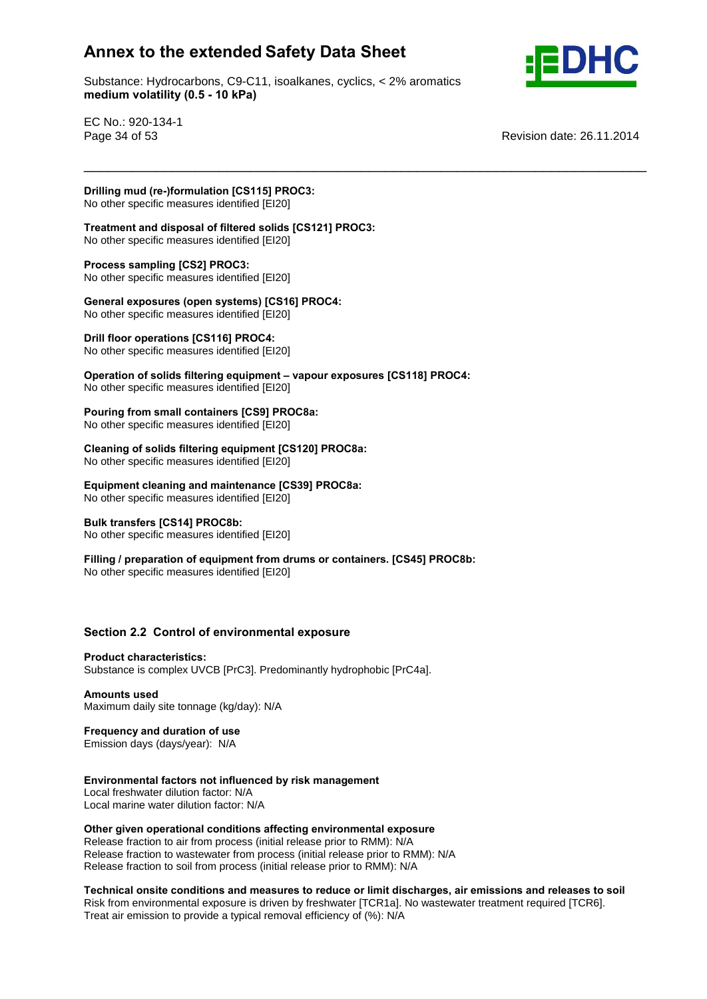Substance: Hydrocarbons, C9-C11, isoalkanes, cyclics, < 2% aromatics e: Hydrocarbons, C9-C11, ise<br>**volatility (0.5 - 10 kPa)** 

\_\_\_\_\_\_\_\_\_\_\_\_\_\_\_\_\_\_\_\_\_\_\_\_\_\_\_\_\_\_\_\_\_\_\_\_\_\_\_\_\_\_\_\_\_\_\_\_\_\_\_\_\_\_\_\_\_\_\_\_\_\_\_\_\_\_\_\_\_\_\_



EC No.: 920-134-1

Page 34 of 53 Revision date: 26.11.2014

 **mud (re-)formulation [CS115] PROC3: Treatment (1994)**<br>No other specific measures identified [EI20]

 **and disposal of filtered solids [CS121] PROC3:** No other specific measures identified [EI20] **Process sampling [CS2] PROC3:**

No other specific measures identified [EI20]

## **Process sampling [CS2] PROC3:**<br>No other specific measures identified [El20]<br>General exposures (open systems) [CS16] PROC4:

No other specific measures identified [EI20] **Drill floor operations [CS116] PROC4:**

No other specific measures identified [EI20] **Operation**

**bill floor operations [CS116] PROC4:**<br>No other specific measures identified [EI20]<br>Operation of solids filtering equipment – vapour exposures [CS118] PROC4: No other specific measures identified [EI20] **Pouring from small containers [CS9] PROC8a:**

No other specific measures identified [EI20] **Pouring from small containers [CS9] PROC8a:**<br>No other specific measures identified [EI20]<br>Cleaning of solids filtering equipment [CS120] PROC8a:

No other specific measures identified [EI20] **Equipment**

 **cleaning and maintenance [CS39] PROC8a:** No other specific measures identified [EI20] **Bulk transfers [CS14] PROC8b:**

**Example 12 Construction** Fig. 1.10 Construction No other specific measures identified [EI20]

**// Preparation** *PROC8b:*<br> **/** No other specific measures identified [EI20]<br> **Filling** / preparation of equipment from drums or containers. [CS45] PROC8b: No other specific measures identified [EI20]

# **2.2 Control of environmental exposure Product characteristics:**

Substance is complex UVCB [PrC3]. Predominantly hydrophobic [PrC4a]. **Amounts used**

Maximum daily site tonnage (kg/day): N/A **Frequency and duration of use**

Emission days (days/year): N/A **Environmental**

## **factors not influenced by risk management**

Local freshwater dilution factor: N/A Local marine water dilution factor: N/A

 **given operational conditions affecting environmental exposure** Release fraction to air from process (initial release prior to RMM): N/A Release fraction to wastewater from process (initial release prior to RMM): N/A Action to the matter and the process (initial release prior to RMM): N/A<br>Release fraction to soil from process (initial release prior to RMM): N/A

 **onsite conditions and measures to reduce or limit discharges, air emissions and releases to soil** Risk from environmental exposure is driven by freshwater [TCR1a]. No wastewater treatment required [TCR6]. Treat air emission to provide a typical removal efficiency of (%): N/A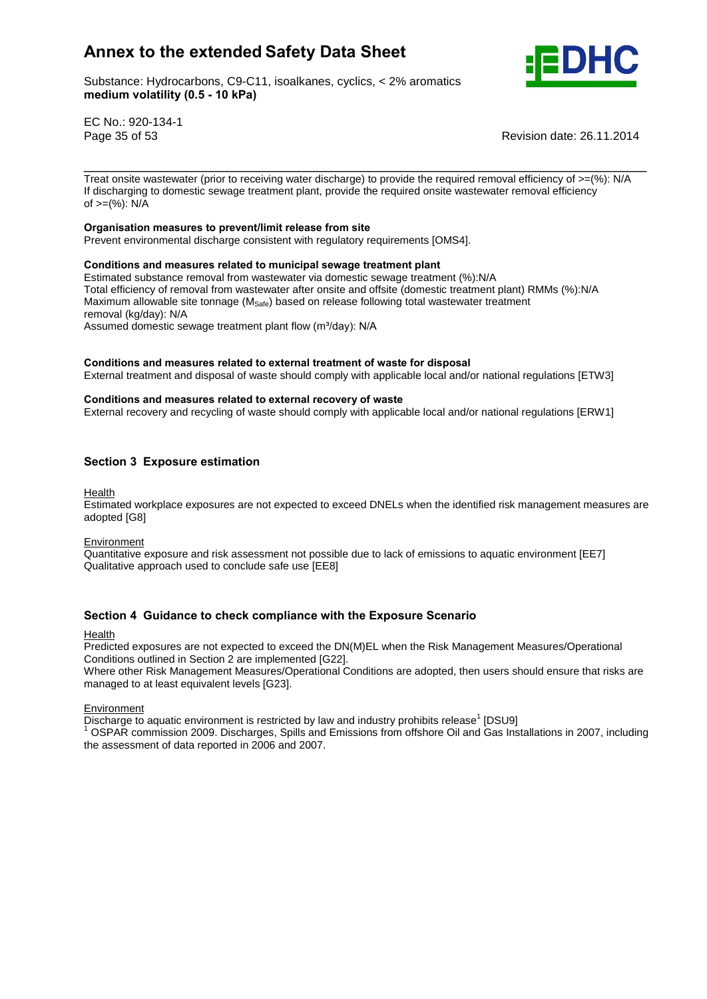Substance: Hydrocarbons, C9-C11, isoalkanes, cyclics, < 2% aromatics e: Hydrocarbons, C9-C11, ise<br>**volatility (0.5 - 10 kPa)** 



EC No.: 920-134-1

Page 35 of 53 Revision date: 26.11.2014

Treat onsite wastewater (prior to receiving water discharge) to provide the required removal efficiency of  $>=$ (%): N/A If discharging to domestic sewage treatment plant, provide the required onsite wastewater removal efficiency of >=(%): N/A **Organisation**

\_\_\_\_\_\_\_\_\_\_\_\_\_\_\_\_\_\_\_\_\_\_\_\_\_\_\_\_\_\_\_\_\_\_\_\_\_\_\_\_\_\_\_\_\_\_\_\_\_\_\_\_\_\_\_\_\_\_\_\_\_\_\_\_\_\_\_\_\_\_\_

## **measures to prevent/limit release from site**

Prevent environmental discharge consistent with regulatory requirements [OMS4]. **Conditions and measures related to municipal sewage treatment plant**

Estimated substance removal from wastewater via domestic sewage treatment (%):N/A Total efficiency of removal from wastewater after onsite and offsite (domestic treatment plant) RMMs (%):N/A Maximum allowable site tonnage (M<sub>Safe</sub>) based on release following total wastewater treatment<br>
removal (kg/day): N/A<br>
Assumed domestic sewage treatment plant flow (m<sup>3</sup>/day): N/A removal (kg/day): N/A

Assumed domestic sewage treatment plant flow (m<sup>3</sup>/day): N/A

#### **and measures related to external treatment of waste for disposal**

External treatment and disposal of waste should comply with applicable local and/or national regulations [ETW3]<br>Conditions and measures related to external recovery of waste

External recovery and recycling of waste should comply with applicable local and/or national regulations [ERW1]

## **<sup>3</sup> Exposure estimation**

Health

Estimated workplace exposures are not expected to exceed DNELs when the identified risk management measures are adopted [G8]

**Environment** 

Quantitative exposure and risk assessment not possible due to lack of emissions to aquatic environment [EE7] Qualitative approach used to conclude safe use [EE8]

## **<sup>4</sup> Guidance to check compliance with the Exposure Scenario**

#### **Health**

Predicted exposures are not expected to exceed the DN(M)EL when the Risk Management Measures/Operational Conditions outlined in Section 2 are implemented [G22].

Where other Risk Management Measures/Operational Conditions are adopted, then users should ensure that risks are managed to at least equivalent levels [G23].

Environment

Discharge to aquatic environment is restricted by law and industry prohibits release<sup>1</sup> [DSU9]

[DSU9] <sup>1</sup> OSPAR commission 2009. Discharges, Spills and Emissions from offshore Oil and Gas Installations in 2007, including the assessment of data reported in 2006 and 2007.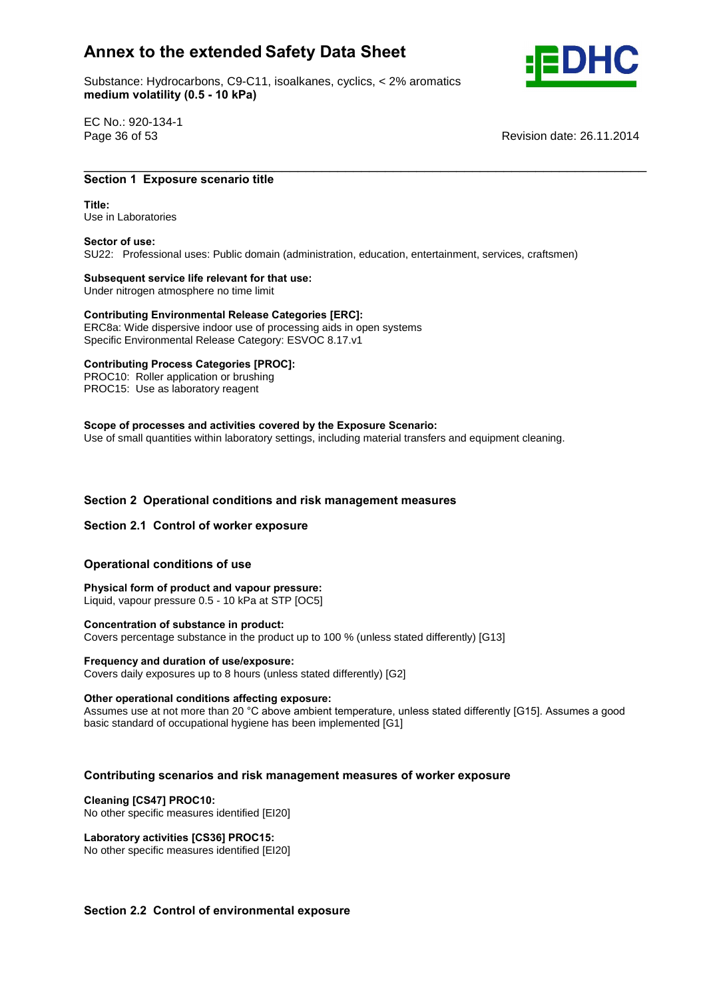Substance: Hydrocarbons, C9-C11, isoalkanes, cyclics, < 2% aromatics e: Hydrocarbons, C9-C11, ise<br>**volatility (0.5 - 10 kPa)** 



EC No.: 920-134-1

Page 36 of 53 Revision date: 26.11.2014

## \_\_\_\_\_\_\_\_\_\_\_\_\_\_\_\_\_\_\_\_\_\_\_\_\_\_\_\_\_\_\_\_\_\_\_\_\_\_\_\_\_\_\_\_\_\_\_\_\_\_\_\_\_\_\_\_\_\_\_\_\_\_\_\_\_\_\_\_\_\_\_ **<sup>1</sup> Exposure scenario title Title:**

Title: Use in Laboratories **Sector of use:**

SU22: Professional uses: Public domain (administration, education, entertainment, services, craftsmen) **Subsequent service life relevant for that use:**

Under nitrogen atmosphere no time limit

**Subsequent service life relevant for that use:**<br>
Under nitrogen atmosphere no time limit<br>
Contributing Environmental Release Categories [ERC]: ERC8a: Wide dispersive indoor use of processing aids in open systems Specific Environmental Release Category: ESVOC 8.17.v1 **Contributing Process Categories [PROC]:**

PROC10: Roller application or brushing PROC15: Use as laboratory reagent

## **of processes and activities covered by the Exposure Scenario:**

Use of small quantities within laboratory settings, including material transfers and equipment cleaning.

# **<sup>2</sup> Operational conditions and risk management measures Section 2.1 Control of worker exposure**

## **Section 2.1 Control of worker exposure**

## **conditions** of worker exposured<br> **Physical**<br> **Physical**<br> **Physical**<br> **Physical**<br> **Physical**

 **form of product and vapour pressure:** Liquid, vapour pressure 0.5 - 10 kPa at STP [OC5] **Concentration of substance in product:**

Covers percentage substance in the product up to 100 % (unless stated differently) [G13] **Frequency and duration of use/exposure:**

Covers daily exposures up to 8 hours (unless stated differently) [G2] **Other operational conditions affecting exposure:**

Other operational conditions affecting exposure:<br>Assumes use at not more than 20 °C above ambient temperature, unless stated differently [G15]. Assumes a good basic standard of occupational hygiene has been implemented [G1]

# **scenarios and risk management measures of worker exposure Cleaning [CS47] PROC10:**

No other specific measures identified [EI20] **Laboratory activities [CS36] PROC15:**

No other specific measures identified [EI20]

## **2.2 Control of environmental exposure**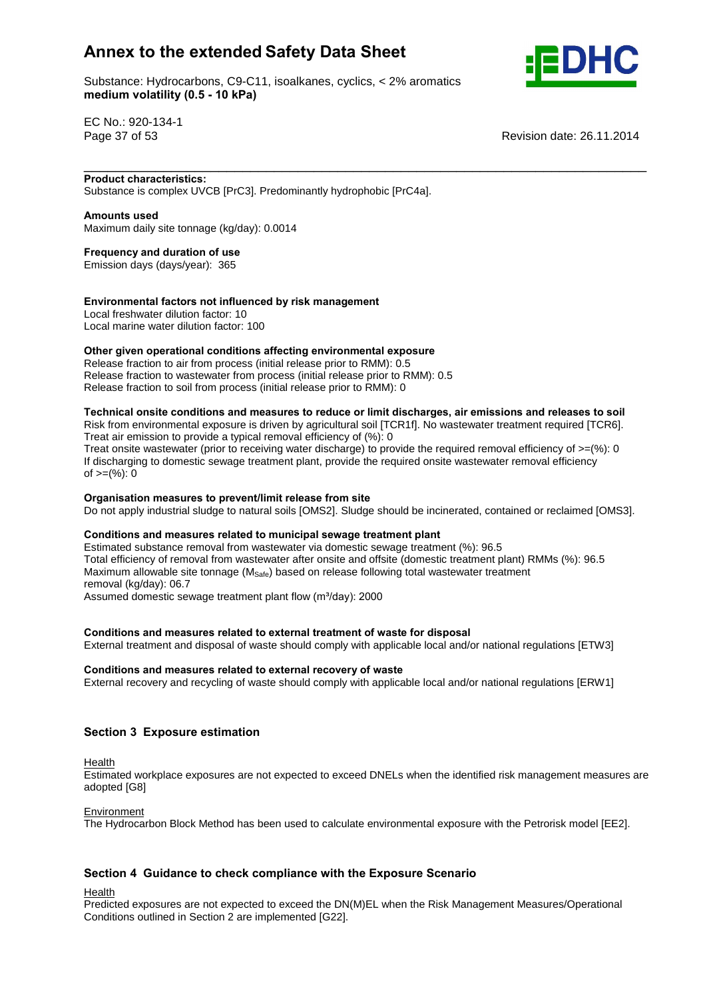Substance: Hydrocarbons, C9-C11, isoalkanes, cyclics, < 2% aromatics e: Hydrocarbons, C9-C11, ise<br>**volatility (0.5 - 10 kPa)** 



EC No.: 920-134-1

Page 37 of 53 Revision date: 26.11.2014

## \_\_\_\_\_\_\_\_\_\_\_\_\_\_\_\_\_\_\_\_\_\_\_\_\_\_\_\_\_\_\_\_\_\_\_\_\_\_\_\_\_\_\_\_\_\_\_\_\_\_\_\_\_\_\_\_\_\_\_\_\_\_\_\_\_\_\_\_\_\_\_ **Product characteristics:**

Substance is complex UVCB [PrC3]. Predominantly hydrophobic [PrC4a]. **Amounts used**

Maximum daily site tonnage (kg/day): 0.0014 **Frequency and duration of use**

Emission days (days/year): 365

#### **factors not influenced by risk management**

Local freshwater dilution factor: 10 Local marine water dilution factor: 100 **Other**

#### **given operational conditions affecting environmental exposure**

Release fraction to air from process (initial release prior to RMM): 0.5 Release fraction to wastewater from process (initial release prior to RMM): 0.5 release fraction to soil from process (initial release prior to RMM): 0

## **onsite conditions and measures to reduce or limit discharges, air emissions and releases to soil**

Risk from environmental exposure is driven by agricultural soil [TCR1f]. No wastewater treatment required [TCR6]. Treat air emission to provide a typical removal efficiency of (%): 0

Treat onsite wastewater (prior to receiving water discharge) to provide the required removal efficiency of  $>=$ (%): 0 If discharging to domestic sewage treatment plant, provide the required onsite wastewater removal efficiency n albertal ging to dent<br>of >=(%): 0

#### **measures to prevent/limit release from site**

Do not apply industrial sludge to natural soils [OMS2]. Sludge should be incinerated, contained or reclaimed [OMS3].<br>Conditions and measures related to municipal sewage treatment plant

Estimated substance removal from wastewater via domestic sewage treatment (%): 96.5 Total efficiency of removal from wastewater after onsite and offsite (domestic treatment plant) RMMs (%): 96.5 Maximum allowable site tonnage  $(M<sub>Safe</sub>)$  based on release following total wastewater treatment removal (kg/day): 06.7 Assumed allowable site tonnage (M<sub>Safe</sub>) based on release following total<br>
removal (kg/day): 06.7<br>
Assumed domestic sewage treatment plant flow (m<sup>3</sup>/day): 2000

#### **and measures related to external treatment of waste for disposal**

External treatment and disposal of waste should comply with applicable local and/or national regulations [ETW3]<br>Conditions and measures related to external recovery of waste

External recovery and recycling of waste should comply with applicable local and/or national regulations [ERW1]

## **<sup>3</sup> Exposure estimation**

Health

Estimated workplace exposures are not expected to exceed DNELs when the identified risk management measures are adopted [G8]

**Environment** 

The Hydrocarbon Block Method has been used to calculate environmental exposure with the Petrorisk model [EE2].

## **<sup>4</sup> Guidance to check compliance with the Exposure Scenario**

Health

Predicted exposures are not expected to exceed the DN(M)EL when the Risk Management Measures/Operational Conditions outlined in Section 2 are implemented [G22].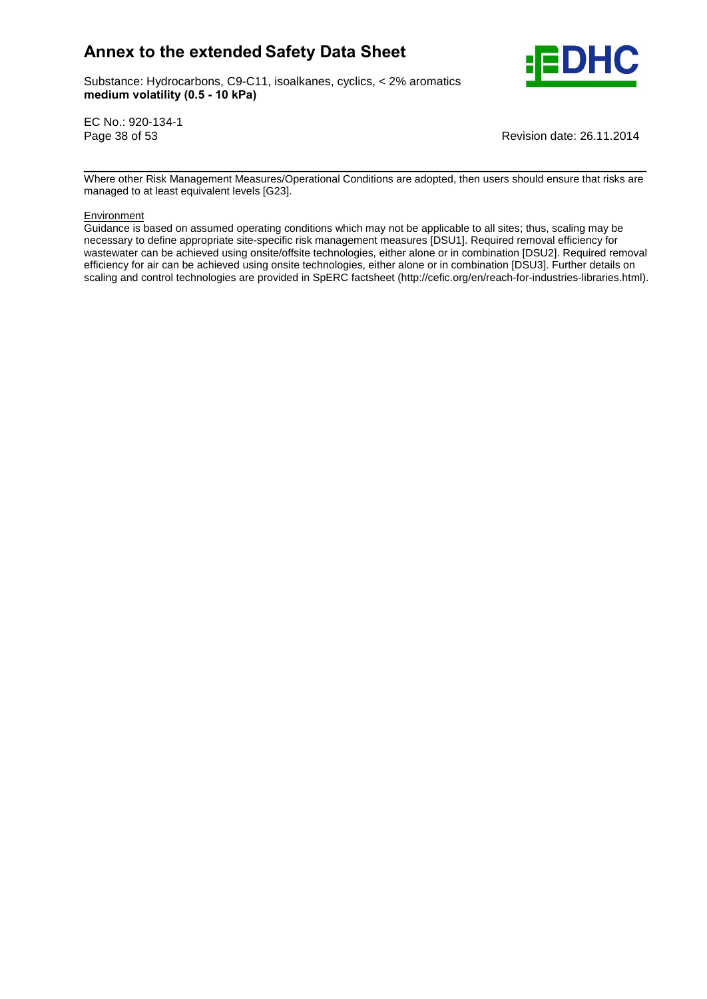Substance: Hydrocarbons, C9-C11, isoalkanes, cyclics, < 2% aromatics e: Hydrocarbons, C9-C11, ise<br>**volatility (0.5 - 10 kPa)** 



EC No.: 920-134-1

Page 38 of 53 Revision date: 26.11.2014

\_\_\_\_\_\_\_\_\_\_\_\_\_\_\_\_\_\_\_\_\_\_\_\_\_\_\_\_\_\_\_\_\_\_\_\_\_\_\_\_\_\_\_\_\_\_\_\_\_\_\_\_\_\_\_\_\_\_\_\_\_\_\_\_\_\_\_\_\_\_\_ Where other Risk Management Measures/Operational Conditions are adopted, then users should ensure that risks are managed to at least equivalent levels [G23].

#### Environment

Guidance is based on assumed operating conditions which may not be applicable to all sites; thus, scaling may be necessary to define appropriate site-specific risk management measures [DSU1]. Required removal efficiency for wastewater can be achieved using onsite/offsite technologies, either alone or in combination [DSU2]. Required removal efficiency for air can be achieved using onsite technologies, either alone or in combination [DSU3]. Further details on scaling and control technologies are provided in SpERC factsheet (http://cefic.org/en/reach-for-industries-libraries.html).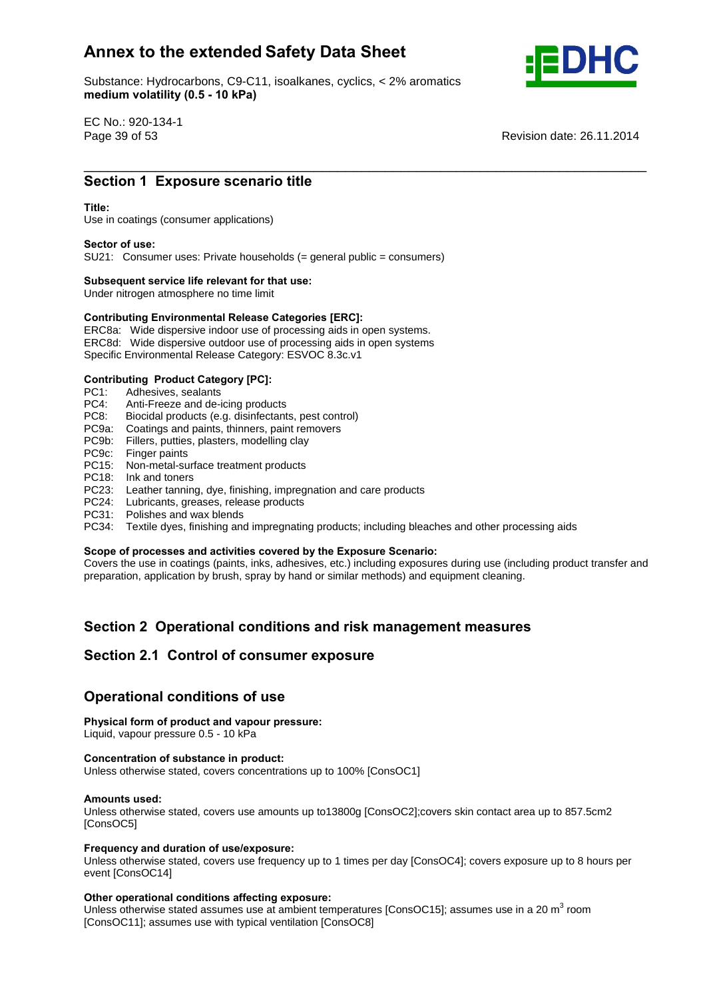Substance: Hydrocarbons, C9-C11, isoalkanes, cyclics, < 2% aromatics e: Hydrocarbons, C9-C11, ise<br>**volatility (0.5 - 10 kPa)** 



EC No.: 920-134-1

Page 39 of 53 Revision date: 26.11.2014 \_\_\_\_\_\_\_\_\_\_\_\_\_\_\_\_\_\_\_\_\_\_\_\_\_\_\_\_\_\_\_\_\_\_\_\_\_\_\_\_\_\_\_\_\_\_\_\_\_\_\_\_\_\_\_\_\_\_\_\_\_\_\_\_\_\_\_\_\_\_\_ **Section**

# **1 Exposure scenario title**<br>
Section 1 Exposure scenario title

Use in coatings (consumer applications) **Sector of use:**

SU21: Consumer uses: Private households (= general public = consumers) **Subsequent service life relevant for that use:**

Under nitrogen atmosphere no time limit

## **Subsequent service life relevant for that use:**<br>
Under nitrogen atmosphere no time limit<br> **Contributing Environmental Release Categories [ERC]:**

ERC8a: Wide dispersive indoor use of processing aids in open systems. ERC8d: Wide dispersive outdoor use of processing aids in open systems Specific Environmental Release Category: ESVOC 8.3c.v1 **Contributing Product Category [PC]:**

PC1: Adhesives, sealants<br>PC4: Anti-Freeze and de-

- Anti-Freeze and de-icing products
- PC8: Biocidal products (e.g. disinfectants, pest control)
- PC9a: Coatings and paints, thinners, paint removers
- PC9b: Fillers, putties, plasters, modelling clay
- PC9c: Finger paints
- PC15: Non-metal-surface treatment products
- PC18: Ink and toners
- PC23: Leather tanning, dye, finishing, impregnation and care products
- PC24: Lubricants, greases, release products
- PC31: Polishes and wax blends
- PC34: Textile dyes, finishing and impregnating products; including bleaches and other processing aids<br>Scope of processes and activities covered by the Exposure Scenario:

Covers the use in coatings (paints, inks, adhesives, etc.) including exposures during use (including product transfer and preparation, application by brush, spray by hand or similar methods) and equipment cleaning.

# **<sup>2</sup> Operational conditions and risk management measures Section 2.1 Control of consumer exposure**

# Section 2.1 Control of consumer expo<br>Operational conditions of use

## **Physical form of product and vapour pressure:**

Liquid, vapour pressure 0.5 - 10 kPa **Concentration of substance in product:**

Unless otherwise stated, covers concentrations up to 100% [ConsOC1] **Amounts used:**

Unless otherwise stated, covers use amounts up to13800g [ConsOC2];covers skin contact area up to 857.5cm2 [ConsOC5] **Frequency**

#### **and duration of use/exposure:**

Unless otherwise stated, covers use frequency up to 1 times per day [ConsOC4]; covers exposure up to 8 hours per event [ConsOC14]

#### **operational conditions affecting exposure:**

Unless otherwise stated assumes use at ambient temperatures [ConsOC15]; assumes use in a 20 m<sup>3</sup> room [ConsOC11]; assumes use with typical ventilation [ConsOC8]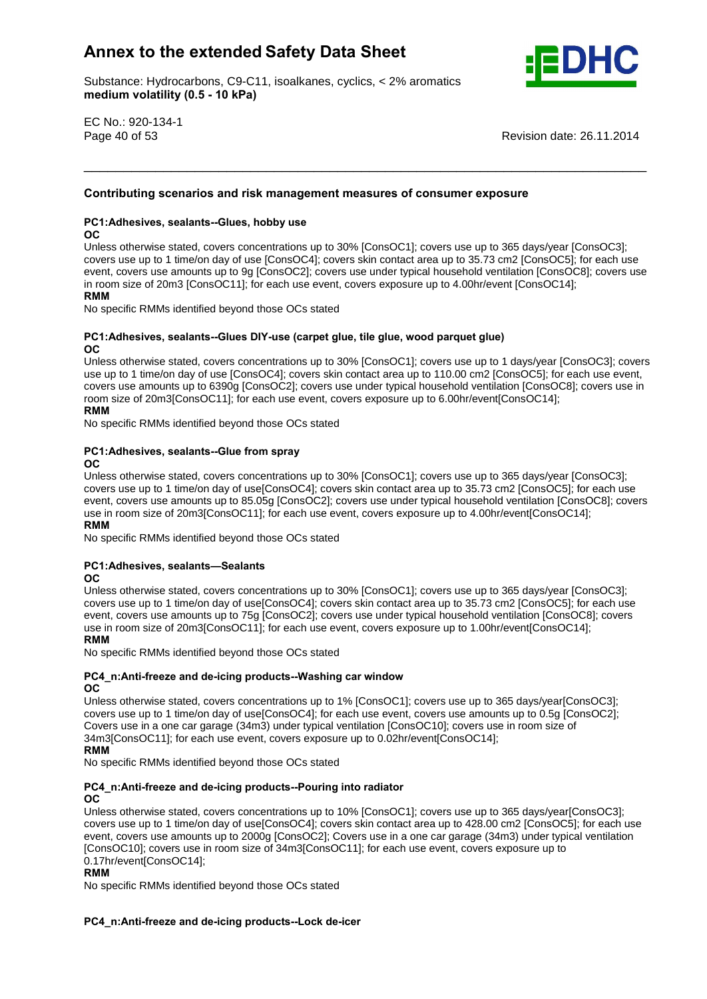Substance: Hydrocarbons, C9-C11, isoalkanes, cyclics, < 2% aromatics e: Hydrocarbons, C9-C11, ise<br>**volatility (0.5 - 10 kPa)** 



EC No.: 920-134-1

Page 40 of 53 Revision date: 26.11.2014

# **scenarios and risk management measures of consumer exposure PC1:Adhesives, sealants--Glues, hobby use**

## **OC**

Unless otherwise stated, covers concentrations up to 30% [ConsOC1]; covers use up to 365 days/year [ConsOC3]; covers use up to 1 time/on day of use [ConsOC4]; covers skin contact area up to 35.73 cm2 [ConsOC5]; for each use event, covers use amounts up to 9g [ConsOC2]; covers use under typical household ventilation [ConsOC8]; covers use<br>RMM, covers use amounts up to 9g [ConsOC2]; covers use under typical household ventilation [ConsOC8]; cover in room size of 20m3 [ConsOC11]; for each use event, covers exposure up to 4.00hr/event [ConsOC14];

\_\_\_\_\_\_\_\_\_\_\_\_\_\_\_\_\_\_\_\_\_\_\_\_\_\_\_\_\_\_\_\_\_\_\_\_\_\_\_\_\_\_\_\_\_\_\_\_\_\_\_\_\_\_\_\_\_\_\_\_\_\_\_\_\_\_\_\_\_\_\_ **Contributing**

#### **RMM**

No specific RMMs identified beyond those OCs stated

#### **sealants--Glues DIY-use (carpet glue, tile glue, wood parquet glue)**  $OC$

Unless otherwise stated, covers concentrations up to 30% [ConsOC1]; covers use up to 1 days/year [ConsOC3]; covers use up to 1 time/on day of use [ConsOC4]; covers skin contact area up to 110.00 cm2 [ConsOC5]; for each use event, covers use amounts up to 6390g [ConsOC2]; covers use under typical household ventilation [ConsOC8]; covers use in room size of 20m3[ConsOC11]; for each use event, covers exposure up to 6.00hr/event[ConsOC14];<br>RMM

## No specific RMMs identified beyond those OCs stated **PC1:Adhesives, sealants--Glue from spray OC**

Unless otherwise stated, covers concentrations up to 30% [ConsOC1]; covers use up to 365 days/year [ConsOC3]; covers use up to 1 time/on day of use[ConsOC4]; covers skin contact area up to 35.73 cm2 [ConsOC5]; for each use event, covers use amounts up to 85.05g [ConsOC2]; covers use under typical household ventilation [ConsOC8]; covers<br>RMM And The Second Ventilation of the Superior of the Second Ventilation (ConsOC8); covers use in room size of 20m3[ConsOC11]; for each use event, covers exposure up to 4.00hr/event[ConsOC14]; **RMM** 

No specific RMMs identified beyond those OCs stated<br>**PC1:Adhesives. sealants—Sealants** 

#### $OC$

Unless otherwise stated, covers concentrations up to 30% [ConsOC1]; covers use up to 365 days/year [ConsOC3]; covers use up to 1 time/on day of use[ConsOC4]; covers skin contact area up to 35.73 cm2 [ConsOC5]; for each use event, covers use amounts up to 75g [ConsOC2]; covers use under typical household ventilation [ConsOC8]; covers<br>RMM AMMADIS USES AND THE USES AND THE USES AND THE USES AND THE USES AND THE USES AND THE USES OF THE USES OF use in room size of 20m3[ConsOC11]; for each use event, covers exposure up to 1.00hr/event[ConsOC14];

where the control of the stated sector that the sector stated **NO4** specific RMMs identified beyond those OCs stated **OC**

#### **PC4** n:Anti-freeze and de-icing products--Washing car window **OC**

Unless otherwise stated, covers concentrations up to 1% [ConsOC1]; covers use up to 365 days/year[ConsOC3]; covers use up to 1 time/on day of use[ConsOC4]; for each use event, covers use amounts up to 0.5g [ConsOC2]; covers use in a one car garage (34m3) under typical ventilation [ConsOC10]; covers use in room size of 34m3[ConsOC11]; for each use event, covers exposure up to 0.02hr/event[ConsOC14];

## **RMM**

where the control of the stated sector that the sector stated **NO4** specific RMMs identified beyond those OCs stated **OC**

#### **and de-icing products--Pouring into radiator OC**

Unless otherwise stated, covers concentrations up to 10% [ConsOC1]; covers use up to 365 days/year[ConsOC3]; covers use up to 1 time/on day of use[ConsOC4]; covers skin contact area up to 428.00 cm2 [ConsOC5]; for each use event, covers use amounts up to 2000g [ConsOC2]; Covers use in a one cargarage (34m3) under typical ventilation crom, corone assumed the access <sub>[consecut</sub>], corone assumed the car ganage (comp) and crypted remainstration [ConsOC10]; covers use in room size of 34m3[ConsOC11]; for each use event, covers exposure up to 0.17hr/event[ConsOC14];

#### **RMM**

No specific RMMs identified beyond those OCs stated

## **and de-icing products--Lock de-icer**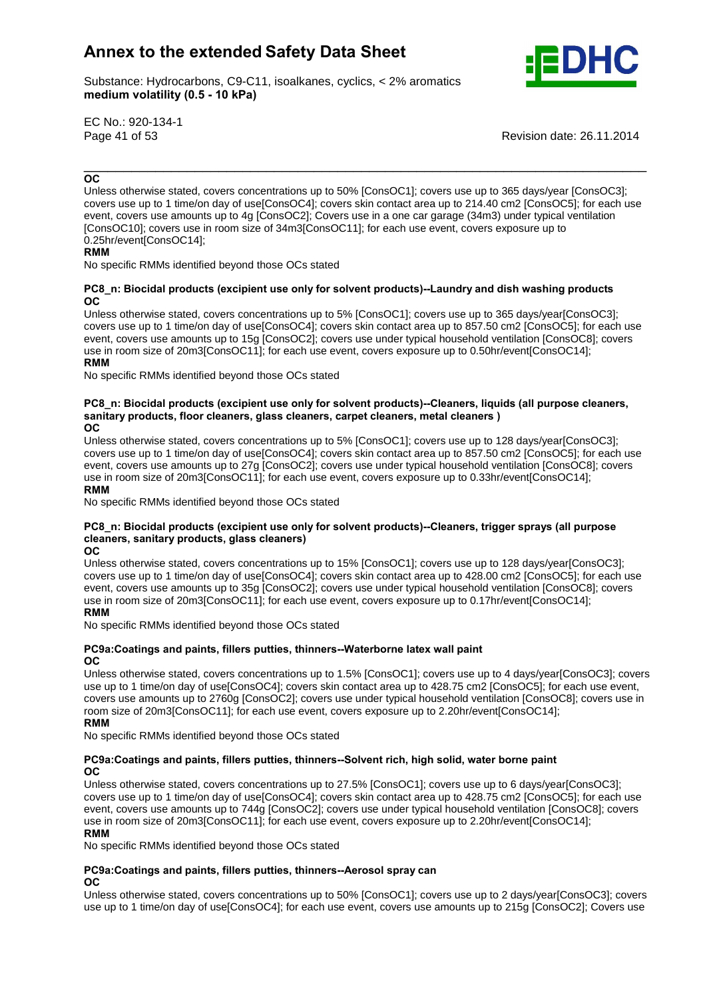Substance: Hydrocarbons, C9-C11, isoalkanes, cyclics, < 2% aromatics e: Hydrocarbons, C9-C11, ise<br>**volatility (0.5 - 10 kPa)** 



EC No.: 920-134-1

Page 41 of 53 Revision date: 26.11.2014

## \_\_\_\_\_\_\_\_\_\_\_\_\_\_\_\_\_\_\_\_\_\_\_\_\_\_\_\_\_\_\_\_\_\_\_\_\_\_\_\_\_\_\_\_\_\_\_\_\_\_\_\_\_\_\_\_\_\_\_\_\_\_\_\_\_\_\_\_\_\_\_ **OC**

Unless otherwise stated, covers concentrations up to 50% [ConsOC1]; covers use up to 365 days/year [ConsOC3]; covers use up to 1 time/on day of use[ConsOC4]; covers skin contact area up to 214.40 cm2 [ConsOC5]; for each use event, covers use amounts up to 4g [ConsOC2]; Covers use in a one cargarage (34m3) under typical ventilation crom, corone assumed the theory of permedial, corone assumidants and straight (comp) and the typical remains (ConsOC10); covers use in room size of 34m3[ConsOC11]; for each use event, covers exposure up to 0.25hr/event[ConsOC14];

where the specific RMMs identified beyond those OCs stated  $\ddot{\phantom{0}}$ 

#### **Biocidal products (excipient use only for solvent products)--Laundry and dish washing products**  $_{\rm OC}$

Unless otherwise stated, covers concentrations up to 5% [ConsOC1]; covers use up to 365 days/year[ConsOC3]; covers use up to 1 time/on day of use[ConsOC4]; covers skin contact area up to 857.50 cm2 [ConsOC5]; for each use event, covers use amounts up to 15g [ConsOC2]; covers use under typical household ventilation [ConsOC8]; covers<br>RMM, covers use amounts up to 15g [ConsOC2]; covers use under typical household ventilation [ConsOC8]; covers use in room size of 20m3[ConsOC11]; for each use event, covers exposure up to 0.50hr/event[ConsOC14]; **RMM** 

No specific RMMs identified beyond those OCs stated

## **Biocidal products (excipient use only for solvent products)--Cleaners, liquids (all purpose cleaners, sanitary**Biocidal products (excipient use only for solvent products)--Cleaners, liquids (all<br>products, floor cleaners, glass cleaners, carpet cleaners, metal cleaners ) **OC**

**OC** 

Unless otherwise stated, covers concentrations up to 5% [ConsOC1]; covers use up to 128 days/year[ConsOC3]; covers use up to 1 time/on day of use[ConsOC4]; covers skin contact area up to 857.50 cm2 [ConsOC5]; for each use event, covers use amounts up to 27g [ConsOC2]; covers use under typical household ventilation [ConsOC8]; covers<br>**RMM** use in room size of 20m3[ConsOC11]; for each use event, covers exposure up to 0.33hr/event[ConsOC14];

#### **RMM**

whilf the specific RMMs identified beyond those OCs stated **cleaners,**

## **Biocidal products (excipient use only for solvent products)--Cleaners, trigger sprays (all purpose sanitary products, glass cleaners) OC**

#### OC.

Unless otherwise stated, covers concentrations up to 15% [ConsOC1]; covers use up to 128 days/year[ConsOC3]; covers use up to 1 time/on day of use[ConsOC4]; covers skin contact area up to 428.00 cm2 [ConsOC5]; for each use event, covers use amounts up to 35g [ConsOC2]; covers use under typical household ventilation [ConsOC8]; covers use in room size of 20m3[ConsOC11]; for each use event, covers exposure up to 0.17hr/event[ConsOC14]; **RMM** 

**No specific RMMs identified beyond those OCs stated OC**

#### **and paints, fillers putties, thinners--Waterborne latex wall paint OC**

Unless otherwise stated, covers concentrations up to 1.5% [ConsOC1]; covers use up to 4 days/year[ConsOC3]; covers use up to 1 time/on day of use[ConsOC4]; covers skin contact area up to 428.75 cm2 [ConsOC5]; for each use event, covers use amounts up to 2760g [ConsOC2]; covers use under typical household ventilation [ConsOC8]; covers use in **RMM**room size of 20m3[ConsOC11]; for each use event, covers exposure up to 2.20hr/event[ConsOC14];

**No specific RMMs identified beyond those OCs stated** 

#### **and paints, fillers putties, thinners--Solvent rich, high solid, water borne paint OC**

Unless otherwise stated, covers concentrations up to 27.5% [ConsOC1]; covers use up to 6 days/year[ConsOC3]; covers use up to 1 time/on day of use[ConsOC4]; covers skin contact area up to 428.75 cm2 [ConsOC5]; for each use event, covers use amounts up to 744g [ConsOC2]; covers use under typical household ventilation [ConsOC8]; covers<br>RMM And The Second Ventilation of the Second Ventilation of the Second Ventilation [ConsOC8]; covers use in room size of 20m3[ConsOC11]; for each use event, covers exposure up to 2.20hr/event[ConsOC14];

........<br>No specific RMMs identified beyond those OCs stated

## **and paints, fillers putties, thinners--Aerosol spray can**

## **OC**

Unless otherwise stated, covers concentrations up to 50% [ConsOC1]; covers use up to 2 days/year[ConsOC3]; covers use up to 1 time/on day of use[ConsOC4]; for each use event, covers use amounts up to 215g [ConsOC2]; Covers use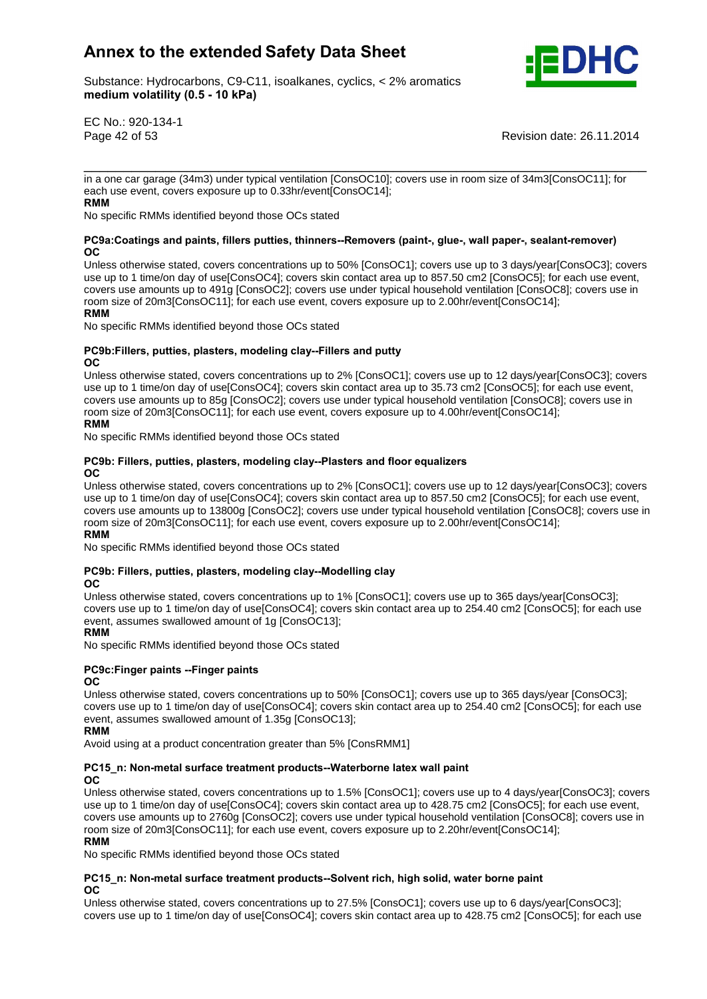

Substance: Hydrocarbons, C9-C11, isoalkanes, cyclics, < 2% aromatics e: Hydrocarbons, C9-C11, ise<br>**volatility (0.5 - 10 kPa)** 

EC No.: 920-134-1

Page 42 of 53 Revision date: 26.11.2014

\_\_\_\_\_\_\_\_\_\_\_\_\_\_\_\_\_\_\_\_\_\_\_\_\_\_\_\_\_\_\_\_\_\_\_\_\_\_\_\_\_\_\_\_\_\_\_\_\_\_\_\_\_\_\_\_\_\_\_\_\_\_\_\_\_\_\_\_\_\_\_ in a one car garage (34m3) under typical ventilation [ConsOC10]; covers use in room size of 34m3[ConsOC11]; for each use event, covers exposure up to 0.33hr/event[ConsOC14];

**No specific RMMs identified beyond those OCs stated OC**

#### **and paints, fillers putties, thinners--Removers (paint-, glue-, wall paper-, sealant-remover) OC**

Unless otherwise stated, covers concentrations up to 50% [ConsOC1]; covers use up to 3 days/year[ConsOC3]; covers use up to 1 time/on day of use[ConsOC4]; covers skin contact area up to 857.50 cm2 [ConsOC5]; for each use event, covers use amounts up to 491g [ConsOC2]; covers use under typical household ventilation [ConsOC8]; covers use in **RMM**room size of 20m3[ConsOC11]; for each use event, covers exposure up to 2.00hr/event[ConsOC14]; **RMM** 

where the contribution of the sector and those CCs stated **No** specific RMMs identified beyond those OCs stated **OC**

#### **putties, plasters, modeling clay--Fillers and putty**  $OC$

Unless otherwise stated, covers concentrations up to 2% [ConsOC1]; covers use up to 12 days/year[ConsOC3]; covers use up to 1 time/on day of use[ConsOC4]; covers skin contact area up to 35.73 cm2 [ConsOC5]; for each use event, covers use amounts up to 85g [ConsOC2]; covers use under typical household ventilation [ConsOC8]; covers use in **RMM**room size of 20m3[ConsOC11]; for each use event, covers exposure up to 4.00hr/event[ConsOC14];

## **RMM**

where the contribution of the sector of the sector stated **No** specific RMMs identified beyond those OCs stated **OC**

#### **Fillers, putties, plasters, modeling clay--Plasters and floor equalizers**  $OC$

Unless otherwise stated, covers concentrations up to 2% [ConsOC1]; covers use up to 12 days/year[ConsOC3]; covers use up to 1 time/on day of use[ConsOC4]; covers skin contact area up to 857.50 cm2 [ConsOC5]; for each use event, covers use amounts up to 13800g [ConsOC2]; covers use under typical household ventilation [ConsOC8]; covers use in **RMM**room size of 20m3[ConsOC11]; for each use event, covers exposure up to 2.00hr/event[ConsOC14];

## **RMM**

where the contribution of the sector of the sector stated **No** specific RMMs identified beyond those OCs stated **OC**

## **Fillers, putties, plasters, modeling clay--Modelling clay**

#### **OC**

Unless otherwise stated, covers concentrations up to 1% [ConsOC1]; covers use up to 365 days/year[ConsOC3]; covers use up to 1 time/on day of use[ConsOC4]; covers skin contact area up to 254.40 cm2 [ConsOC5]; for each use event, assumes swallowed amount of 1g [ConsOC13];

#### **RMM**

No specific RMMs identified beyond those OCs stated **PC9c:Finger paints --Finger paints OC**

#### OC.

Unless otherwise stated, covers concentrations up to 50% [ConsOC1]; covers use up to 365 days/year [ConsOC3]; covers use up to 1 time/on day of use[ConsOC4]; covers skin contact area up to 254.40 cm2 [ConsOC5]; for each use<br>**RMM** event, assumes swallowed amount of 1.35g [ConsOC13];

## **RMM**

## Avoid using at a product concentration greater than 5% [ConsRMM1] **PC15\_n: Non-metal surface treatment products--Waterborne latex wall paint OC**

Unless otherwise stated, covers concentrations up to 1.5% [ConsOC1]; covers use up to 4 days/year[ConsOC3]; covers use up to 1 time/on day of use[ConsOC4]; covers skin contact area up to 428.75 cm2 [ConsOC5]; for each use event, covers use amounts up to 2760g [ConsOC2]; covers use under typical household ventilation [ConsOC8]; covers use in **RMM**room size of 20m3[ConsOC11]; for each use event, covers exposure up to 2.20hr/event[ConsOC14]; **RMM** 

whilf the specific RMMs identified beyond those OCs stated

#### **Non-metal surface treatment products--Solvent rich, high solid, water borne paint OC**

Unless otherwise stated, covers concentrations up to 27.5% [ConsOC1]; covers use up to 6 days/year[ConsOC3]; covers use up to 1 time/on day of use[ConsOC4]; covers skin contact area up to 428.75 cm2 [ConsOC5]; for each use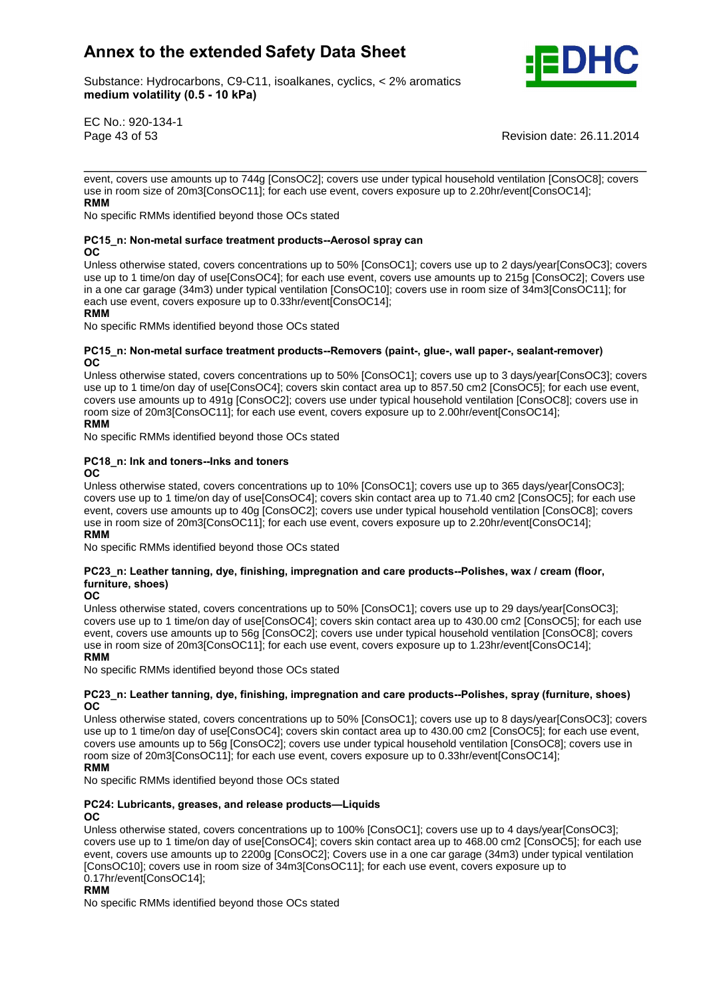

Substance: Hydrocarbons, C9-C11, isoalkanes, cyclics, < 2% aromatics e: Hydrocarbons, C9-C11, ise<br>**volatility (0.5 - 10 kPa)** 

EC No.: 920-134-1

Page 43 of 53 Revision date: 26.11.2014

event, covers use amounts up to 744g [ConsOC2]; covers use under typical household ventilation [ConsOC8]; covers **RMM**use in room size of 20m3[ConsOC11]; for each use event, covers exposure up to 2.20hr/event[ConsOC14];

\_\_\_\_\_\_\_\_\_\_\_\_\_\_\_\_\_\_\_\_\_\_\_\_\_\_\_\_\_\_\_\_\_\_\_\_\_\_\_\_\_\_\_\_\_\_\_\_\_\_\_\_\_\_\_\_\_\_\_\_\_\_\_\_\_\_\_\_\_\_\_

whilf the specific RMMs identified beyond those OCs stated **OC**

#### **Non-metal surface treatment products--Aerosol spray can OC**

Unless otherwise stated, covers concentrations up to 50% [ConsOC1]; covers use up to 2 days/year[ConsOC3]; covers use up to 1 time/on day of use[ConsOC4]; for each use event, covers use amounts up to 215g [ConsOC2]; Covers use in a one cargarage (34m3) under typical ventilation [ConsOC10]; covers use in room sizeof 34m3[ConsOC11]; for **RMM**each use event, covers exposure up to 0.33hr/event[ConsOC14];

#### **RMM**

whilf the specific RMMs identified beyond those OCs stated **OC**

#### **Non-metal surface treatment products--Removers (paint-, glue-, wall paper-, sealant-remover) OC**

Unless otherwise stated, covers concentrations up to 50% [ConsOC1]; covers use up to 3 days/year[ConsOC3]; covers use up to 1 time/on day of use[ConsOC4]; covers skin contact area up to 857.50 cm2 [ConsOC5]; for each use event, covers use amounts up to 491g [ConsOC2]; covers use under typical household ventilation [ConsOC8]; covers use in **RMM**room size of 20m3[ConsOC11]; for each use event, covers exposure up to 2.00hr/event[ConsOC14];

## **RMM**

No specific RMMs identified beyond those OCs stated **PC18\_n: Ink and toners--Inks and toners OC**

#### **OC**

Unless otherwise stated, covers concentrations up to 10% [ConsOC1]; covers use up to 365 days/year[ConsOC3]; covers use up to 1 time/on day of use[ConsOC4]; covers skin contact area up to 71.40 cm2 [ConsOC5]; for each use event, covers use amounts up to 40g [ConsOC2]; covers use under typical household ventilation [ConsOC8]; covers<br>RMM AMMADIS USES AND THE UNITED STATES IN THE UNITED STATES OF SPORTS OF SPORTS OF SPORTS OF SPORTS OF SPORTS use in room size of 20m3[ConsOC11]; for each use event, covers exposure up to 2.20hr/event[ConsOC14];

## **RMM**

whilf the specific RMMs identified beyond those OCs stated

## **Leadtary** Beedican **Example 1** and **condingleries** in the suppose the specific specific RMMs identified beyond those products--Polishes, wax / cream (floor, **furnity f products** and **function function function f shows**<br>.eather tann<br>shoes) **OC**

#### **OC**

**OC**

Unless otherwise stated, covers concentrations up to 50% [ConsOC1]; covers use up to 29 days/year[ConsOC3]; covers use up to 1 time/on day of use[ConsOC4]; covers skin contact area up to 430.00 cm2 [ConsOC5]; for each use event, covers use amounts up to 56g [ConsOC2]; covers use under typical household ventilation [ConsOC8]; covers<br>RMM, covers use amounts up to 56g [ConsOC2]; covers use under typical household ventilation [ConsOC8]; covers use in room size of 20m3[ConsOC11]; for each use event, covers exposure up to 1.23hr/event[ConsOC14]; **RMM** 

## where the contribution of the sector.<br>No specific RMMs identified beyond those OCs stated

#### **Leather tanning, dye, finishing, impregnation and care products--Polishes, spray (furniture, shoes)**  $OC$

Unless otherwise stated, covers concentrations up to 50% [ConsOC1]; covers use up to 8 days/year[ConsOC3]; covers use up to 1 time/on day of use[ConsOC4]; covers skin contact area up to 430.00 cm2 [ConsOC5]; for each use event, covers use amounts up to 56g [ConsOC2]; covers use under typical household ventilation [ConsOC8]; covers use in **RMM**room size of 20m3[ConsOC11]; for each use event, covers exposure up to 0.33hr/event[ConsOC14];

#### **RMM**

was specific RMMs identified beyond those OCs stated<br>**PC24: Lubricants, greases, and release products—Liquids OC**

## OC.

Unless otherwise stated, covers concentrations up to 100% [ConsOC1]; covers use up to 4 days/year[ConsOC3]; covers use up to 1 time/on day of use[ConsOC4]; covers skin contact area up to 468.00 cm2 [ConsOC5]; for each use event, covers use amounts up to 2200g [ConsOC2]; Covers use in a one cargarage (34m3) under typical ventilation crons occide the through the through process process in a crown of the carry and crown size. The control of the<br>[ConsOC10]; covers use in room size of 34m3[ConsOC11]; for each use event, covers exposure up to 0.17hr/event[ConsOC14];

## **RMM**

No specific RMMs identified beyond those OCs stated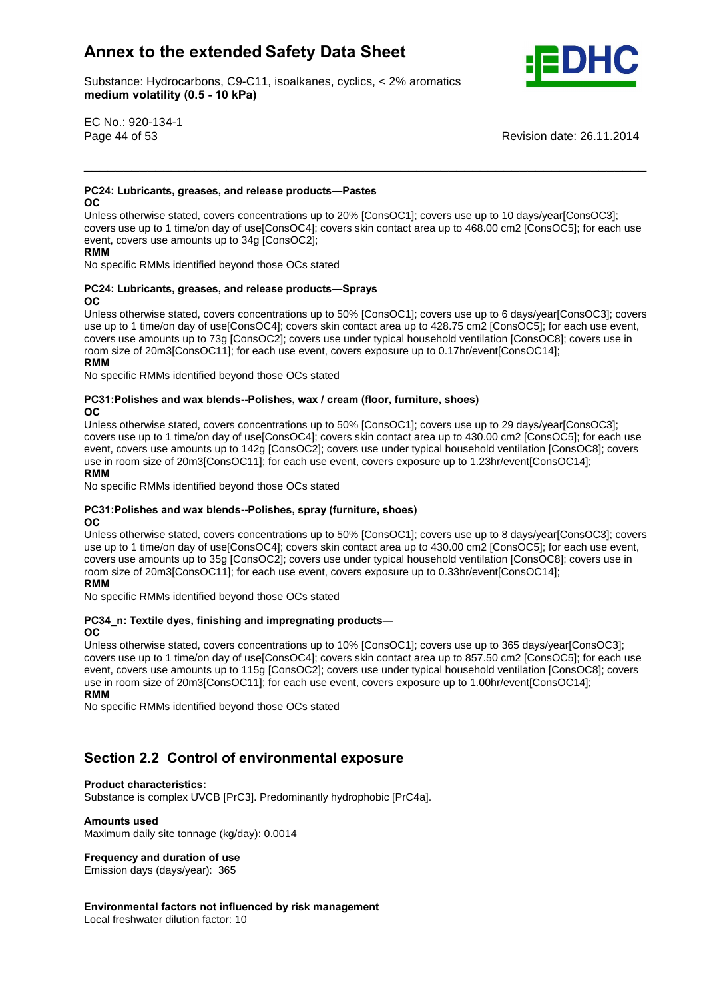Substance: Hydrocarbons, C9-C11, isoalkanes, cyclics, < 2% aromatics e: Hydrocarbons, C9-C11, ise<br>**volatility (0.5 - 10 kPa)** 



EC No.: 920-134-1

Page 44 of 53 Revision date: 26.11.2014

## **PC24: Lubricants, greases, and release products-Pastes**

 $OC$ 

**OC**

Unless otherwise stated, covers concentrations up to 20% [ConsOC1]; covers use up to 10 days/year[ConsOC3]; covers use up to 1 time/on day of use[ConsOC4]; covers skin contact area up to 468.00 cm2 [ConsOC5]; for each use event, covers use amounts up to 34g [ConsOC2];

\_\_\_\_\_\_\_\_\_\_\_\_\_\_\_\_\_\_\_\_\_\_\_\_\_\_\_\_\_\_\_\_\_\_\_\_\_\_\_\_\_\_\_\_\_\_\_\_\_\_\_\_\_\_\_\_\_\_\_\_\_\_\_\_\_\_\_\_\_\_\_

where the contribution of the sector of the sector stated **No** specific RMMs identified beyond those OCs stated  $\ddot{\phantom{0}}$ 

#### **PC24: Lubricants, greases, and release products-Sprays OC**

Unless otherwise stated, covers concentrations up to 50% [ConsOC1]; covers use up to 6 days/year[ConsOC3]; covers use up to 1 time/on day of use[ConsOC4]; covers skin contact area up to 428.75 cm2 [ConsOC5]; for each use event, covers use amounts up to 73g [ConsOC2]; covers use under typical household ventilation [ConsOC8]; covers use in **RMM**room size of 20m3[ConsOC11]; for each use event, covers exposure up to 0.17hr/event[ConsOC14];

#### **RMM**

where the collect term in the sector of the sector stated **No**sember **PCS** stated **OC**

#### **and wax blends--Polishes, wax / cream (floor, furniture, shoes) OC**

Unless otherwise stated, covers concentrations up to 50% [ConsOC1]; covers use up to 29 days/year[ConsOC3]; covers use up to 1 time/on day of use[ConsOC4]; covers skin contact area up to 430.00 cm2 [ConsOC5]; for each use event, covers use amounts up to 142g [ConsOC2]; covers use under typical household ventilation [ConsOC8]; covers<br>RMM And The Second Ventilation of the Second Ventilation of the Second Ventilation [ConsOC8]; covers use in room size of 20m3[ConsOC11]; for each use event, covers exposure up to 1.23hr/event[ConsOC14];

<sup>-</sup><br>No specific RMMs identified beyond those OCs stated **OC**

#### **and wax blends--Polishes, spray (furniture, shoes)** OC.

Unless otherwise stated, covers concentrations up to 50% [ConsOC1]; covers use up to 8 days/year[ConsOC3]; covers use up to 1 time/on day of use[ConsOC4]; covers skin contact area up to 430.00 cm2 [ConsOC5]; for each use event, covers use amounts up to 35g [ConsOC2]; covers use under typical household ventilation [ConsOC8]; covers use in **RMM**room size of 20m3[ConsOC11]; for each use event, covers exposure up to 0.33hr/event[ConsOC14]; **RMM** 

whilf the specific RMMs identified beyond those OCs stated **OC**

## **PC34\_n: Textile dyes, finishing and impregnating products-**

#### **OC**

Unless otherwise stated, covers concentrations up to 10% [ConsOC1]; covers use up to 365 days/year[ConsOC3]; covers use up to 1 time/on day of use[ConsOC4]; covers skin contact area up to 857.50 cm2 [ConsOC5]; for each use event, covers use amounts up to 115g [ConsOC2]; covers use under typical household ventilation [ConsOC8]; covers<br>RMM And The Second Ventilation of the Second Ventilation of the Second Ventilation [ConsOC8]; covers use in room size of 20m3[ConsOC11]; for each use event, covers exposure up to 1.00hr/event[ConsOC14]; **RMM** 

No specific RMMs identified beyond those OCs stated

# **2.2 Control of environmental exposure Product characteristics:**

Substance is complex UVCB [PrC3]. Predominantly hydrophobic [PrC4a]. **Amounts used**

Maximum daily site tonnage (kg/day): 0.0014 **Frequency and duration of use**

Emission days (days/year): 365

 **factors not influenced by risk management** Local freshwater dilution factor: 10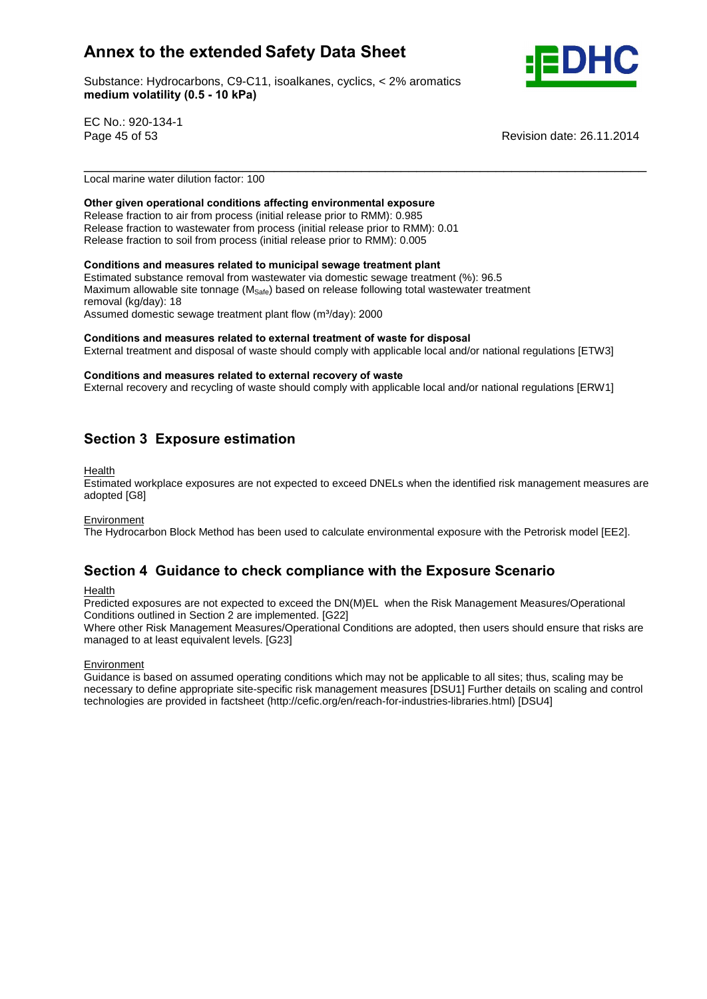Substance: Hydrocarbons, C9-C11, isoalkanes, cyclics, < 2% aromatics e: Hydrocarbons, C9-C11, ise<br>**volatility (0.5 - 10 kPa)** 



EC No.: 920-134-1

Page 45 of 53 Revision date: 26.11.2014

Local marine water dilution factor: 100

### **given operational conditions affecting environmental exposure**

Release fraction to air from process (initial release prior to RMM): 0.985 Release fraction to wastewater from process (initial release prior to RMM): 0.01 Release fraction to soil from process (initial release prior to RMM): 0.005 **Conditions and measures related to municipal sewage treatment plant**

Estimated substance removal from wastewater via domestic sewage treatment (%): 96.5 Maximum allowable site tonnage (M<sub>Safe</sub>) based on release following total wastewater treatment removal (kg/day): 18 Maximum allowable site tonnage (M<sub>Safe</sub>) based on release following total<br>removal (kg/day): 18<br>Assumed domestic sewage treatment plant flow (m<sup>3</sup>/day): 2000

**and measures related to external treatment of waste for disposal**

External treatment and disposal of waste should comply with applicable local and/or national regulations [ETW3]<br>Conditions and measures related to external recovery of waste

\_\_\_\_\_\_\_\_\_\_\_\_\_\_\_\_\_\_\_\_\_\_\_\_\_\_\_\_\_\_\_\_\_\_\_\_\_\_\_\_\_\_\_\_\_\_\_\_\_\_\_\_\_\_\_\_\_\_\_\_\_\_\_\_\_\_\_\_\_\_\_

External recovery and recycling of waste should comply with applicable local and/or national regulations [ERW1]

## **<sup>3</sup> Exposure estimation**

Health

Estimated workplace exposures are not expected to exceed DNELs when the identified risk management measures are adopted [G8]

#### Environment

The Hydrocarbon Block Method has been used to calculate environmental exposure with the Petrorisk model [EE2].<br>**Section 4 Guidance to check compliance with the Exposure Scenario** 

Health

Predicted exposures are not expected to exceed the DN(M)EL when the Risk Management Measures/Operational Conditions outlined in Section 2 are implemented. [G22]

Where other Risk Management Measures/Operational Conditions are adopted, then users should ensure that risks are managed to at least equivalent levels. [G23]

#### **Environment**

Guidance is based on assumed operating conditions which may not be applicable to all sites; thus, scaling may be necessary to define appropriate site-specific risk management measures [DSU1] Further details on scaling and control technologies are provided in factsheet (http://cefic.org/en/reach-for-industries-libraries.html) [DSU4]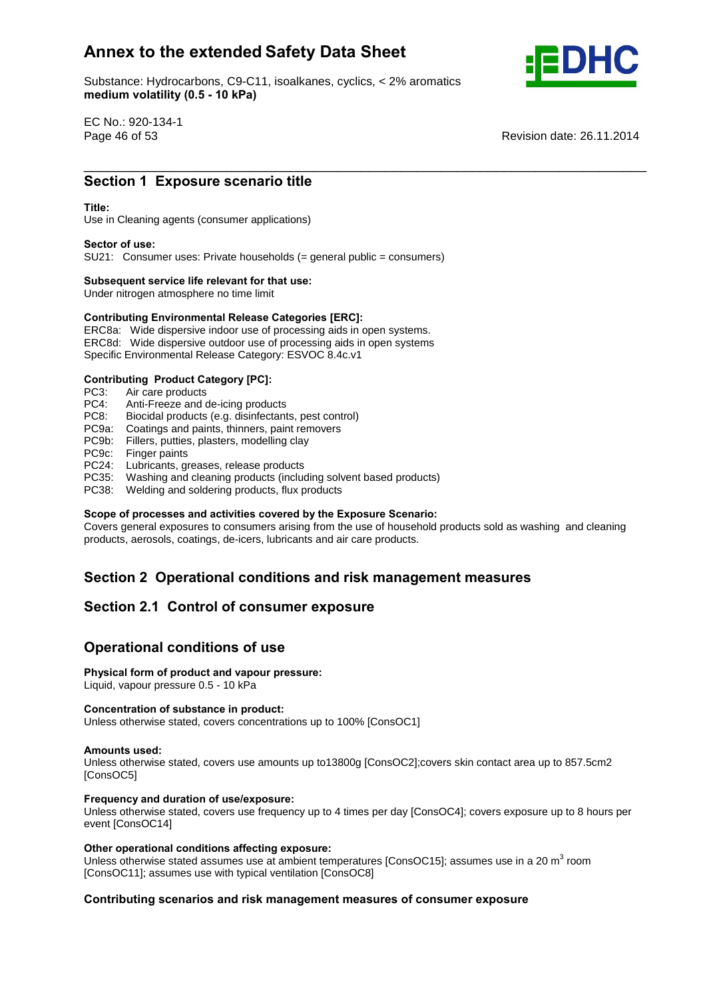Substance: Hydrocarbons, C9-C11, isoalkanes, cyclics, < 2% aromatics e: Hydrocarbons, C9-C11, ise<br>**volatility (0.5 - 10 kPa)** 



EC No.: 920-134-1

Page 46 of 53 Revision date: 26.11.2014 \_\_\_\_\_\_\_\_\_\_\_\_\_\_\_\_\_\_\_\_\_\_\_\_\_\_\_\_\_\_\_\_\_\_\_\_\_\_\_\_\_\_\_\_\_\_\_\_\_\_\_\_\_\_\_\_\_\_\_\_\_\_\_\_\_\_\_\_\_\_\_ **Section**

# **1 Exposure scenario title**<br>
Section 1 Exposure scenario title

Use in Cleaning agents (consumer applications) **Sector of use:**

SU21: Consumer uses: Private households (= general public = consumers) **Subsequent service life relevant for that use:**

Under nitrogen atmosphere no time limit

## **Subsequent service life relevant for that use:**<br>
Under nitrogen atmosphere no time limit<br> **Contributing Environmental Release Categories [ERC]:**

ERC8a: Wide dispersive indoor use of processing aids in open systems. ERC8d: Wide dispersive outdoor use of processing aids in open systems Specific Environmental Release Category: ESVOC 8.4c.v1 **Contributing Product Category [PC]:**

PC3: Air care products<br>PC4: Anti-Freeze and o

- PC4: Anti-Freeze and de-icing products<br>PC8: Biocidal products (e.g. disinfectant
- Biocidal products (e.g. disinfectants, pest control)
- PC9a: Coatings and paints, thinners, paint removers
- PC9b: Fillers, putties, plasters, modelling clay
- PC9c: Finger paints
- PC24: Lubricants, greases, release products
- PC35: Washing and cleaning products (including solvent based products)
- 

## PC38: Welding and soldering products, flux products **Scope of processes and activities covered by the Exposure Scenario:**

Covers general exposures to consumers arising from the use of household products sold as washing and cleaning products, aerosols, coatings, de-icers, lubricants and air care products.

# **<sup>2</sup> Operational conditions and risk management measures Section 2.1 Control of consumer exposure**

# Section 2.1 Control of consumer expo<br>Operational conditions of use

## **Physical form of product and vapour pressure:**

## **Physical form of product and vapour pressure:**<br>Liquid, vapour pressure 0.5 - 10 kPa<br>**Concentration of substance in product:**

Liquid, vapour pressure 0.5 - 10 kPa **Concentration**

Unless otherwise stated, covers concentrations up to 100% [ConsOC1] **Amounts used:**

Unless otherwise stated, covers use amounts up to13800g [ConsOC2];covers skin contact area up to 857.5cm2 [ConsOC5] **Frequency**

#### **and duration of use/exposure:**

Unless otherwise stated, covers use frequency up to 4 times per day [ConsOC4]; covers exposure up to 8 hours per event [ConsOC14]

#### **operational conditions affecting exposure:**

Unless otherwise stated assumes use at ambient temperatures [ConsOC15]; assumes use in a 20 m<sup>3</sup> room Express of the twise stated assumes use at ambient temperatures (B<br>[ConsOC11]; assumes use with typical ventilation [ConsOC8]

## **scenarios and risk management measures of consumer exposure**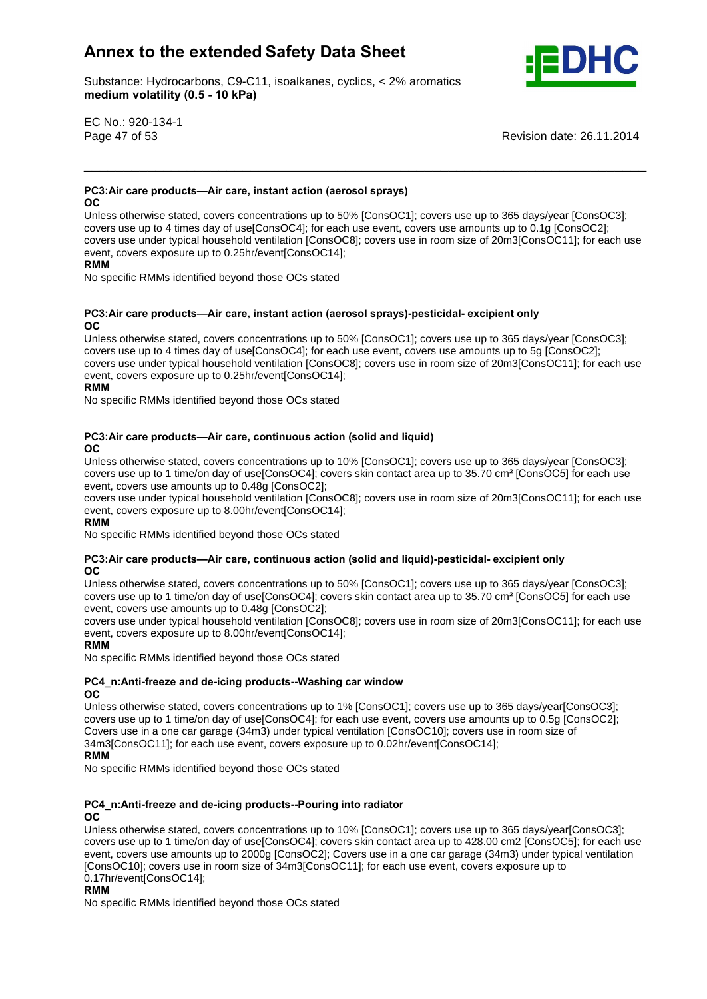Substance: Hydrocarbons, C9-C11, isoalkanes, cyclics, < 2% aromatics e: Hydrocarbons, C9-C11, ise<br>**volatility (0.5 - 10 kPa)** 



EC No.: 920-134-1

Page 47 of 53 Revision date: 26.11.2014

#### **PC3:Air care products—Air care, instant action (aerosol sprays)**  $OC$

Unless otherwise stated, covers concentrations up to 50% [ConsOC1]; covers use up to 365 days/year [ConsOC3]; covers use up to 4 times day of use[ConsOC4]; for each use event, covers use amounts up to 0.1g [ConsOC2]; covers use under typical household ventilation [ConsOC8]; covers use in room size of 20m3[ConsOC11]; for each use<br>**References** use under typical household ventilation [ConsOC8]; covers use in room size of 20m3[ConsOC11]; f event, covers exposure up to 0.25hr/event[ConsOC14];

\_\_\_\_\_\_\_\_\_\_\_\_\_\_\_\_\_\_\_\_\_\_\_\_\_\_\_\_\_\_\_\_\_\_\_\_\_\_\_\_\_\_\_\_\_\_\_\_\_\_\_\_\_\_\_\_\_\_\_\_\_\_\_\_\_\_\_\_\_\_\_

## **RMM**

**OC**

No specific RMMs identified beyond those OCs stated

#### **PC3:Air care products—Air care, instant action (aerosol sprays)-pesticidal- excipient only OC**

Unless otherwise stated, covers concentrations up to 50% [ConsOC1]; covers use up to 365 days/year [ConsOC3]; covers use up to 4 times day of use[ConsOC4]; for each use event, covers use amounts up to 5g [ConsOC2]; covers use under typical household ventilation [ConsOC8]; covers use in room size of 20m3[ConsOC11]; for each use<br>
Reflection of 20m3[ConsOC11]; for each use event, covers exposure up to 0.25hr/event[ConsOC14];

#### **RMM**

No specific RMMs identified beyond those OCs stated

## **example 2 c**are **products—Air** care, **continuous** action (solid and liquid)

Unless otherwise stated, covers concentrations up to 10% [ConsOC1]; covers use up to 365 days/year [ConsOC3]; OC<br>Unless otherwise stated, covers concentrations up to 10% [ConsOC1]; covers use up to 365 days/year [ConsOC3];<br>covers use up to 1 time/on day of use[ConsOC4]; covers skin contact area up to 35.70 cm<sup>2</sup> [ConsOC5] for each event, covers use amounts up to 0.48g [ConsOC2];

covers use under typical household ventilation [ConsOC8]; covers use in room size of 20m3[ConsOC11]; for each use event, covers exposure up to 8.00hr/event[ConsOC14];

. .......<br>No specific RMMs identified beyond those OCs stated **OC**

## **PC3:Air care products—Air care, continuous action (solid and liquid)-pesticidal-excipient only**

Unless otherwise stated, covers concentrations up to 50% [ConsOC1]; covers use up to 365 days/year [ConsOC3]; OC<br>Unless otherwise stated, covers concentrations up to 50% [ConsOC1]; covers use up to 365 days/year [ConsOC3];<br>covers use up to 1 time/on day of use[ConsOC4]; covers skin contact area up to 35.70 cm<sup>2</sup> [ConsOC5] for each event, covers use amounts up to 0.48g [ConsOC2];

covers use under typical household ventilation [ConsOC8]; covers use in room size of 20m3[ConsOC11]; for each use<br> **Replaces** event, covers exposure up to 8.00hr/event[ConsOC14];

whilf<br>No specific RMMs identified beyond those OCs stated **OC**

#### **and de-icing products--Washing car window** OC.

Unless otherwise stated, covers concentrations up to 1% [ConsOC1]; covers use up to 365 days/year[ConsOC3]; covers use up to 1 time/on day of use[ConsOC4]; for each use event, covers use amounts up to 0.5g [ConsOC2]; covers use in a one car garage (34m3) under typical ventilation [ConsOC10]; covers use in room size of 34m3[ConsOC11]; for each use event, covers exposure up to 0.02hr/event[ConsOC14];

## **RMM**

No specific RMMs identified beyond those OCs stated

#### **PC4** n:Anti-freeze and de-icing products--Pouring into radiator OC.

Unless otherwise stated, covers concentrations up to 10% [ConsOC1]; covers use up to 365 days/year[ConsOC3]; covers use up to 1 time/on day of use[ConsOC4]; covers skin contact area up to 428.00 cm2 [ConsOC5]; for each use event, covers use amounts up to 2000g [ConsOC2]; Covers use in a one cargarage (34m3) under typical ventilation crom, corone assumed the access <sub>[consecut</sub>], corone assumed the car ganage (comp) and crypted remainstration [ConsOC10]; covers use in room size of 34m3[ConsOC11]; for each use event, covers exposure up to 0.17hr/event[ConsOC14];

#### **RMM**

No specific RMMs identified beyond those OCs stated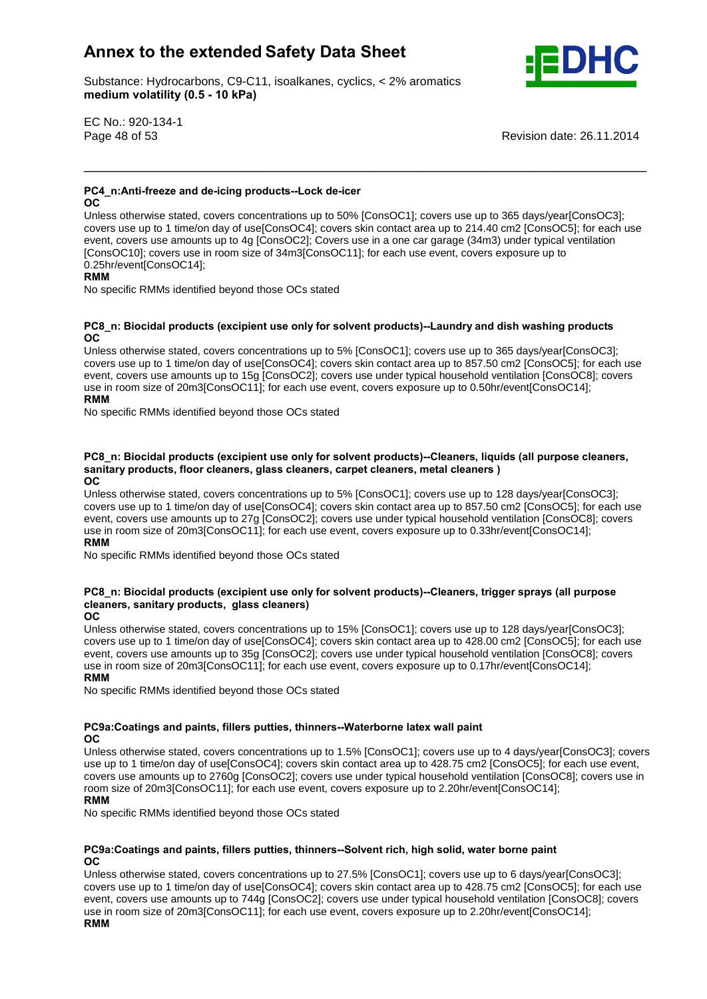Substance: Hydrocarbons, C9-C11, isoalkanes, cyclics, < 2% aromatics e: Hydrocarbons, C9-C11, ise<br>**volatility (0.5 - 10 kPa)** 



EC No.: 920-134-1

Page 48 of 53 Revision date: 26.11.2014

#### **and de-icing products--Lock de-icer OC**

Unless otherwise stated, covers concentrations up to 50% [ConsOC1]; covers use up to 365 days/year[ConsOC3]; covers use up to 1 time/on day of use[ConsOC4]; covers skin contact area up to 214.40 cm2 [ConsOC5]; for each use event, covers use amounts up to 4g [ConsOC2]; Covers use in a one cargarage (34m3) under typical ventilation From, corrector and annuality of the state of 34m3[ConsOC11]; for each use event, covers exposure up to **RMM** ConsOC10]; covers use in room size of 34m3[ConsOC11]; for each use event, covers exposure up to 0.25hr/event[ConsOC14];<br>RMM

\_\_\_\_\_\_\_\_\_\_\_\_\_\_\_\_\_\_\_\_\_\_\_\_\_\_\_\_\_\_\_\_\_\_\_\_\_\_\_\_\_\_\_\_\_\_\_\_\_\_\_\_\_\_\_\_\_\_\_\_\_\_\_\_\_\_\_\_\_\_\_

**OC**

No specific RMMs identified beyond those OCs stated

#### **Biocidal products (excipient use only for solvent products)--Laundry and dish washing products** OC.

Unless otherwise stated, covers concentrations up to 5% [ConsOC1]; covers use up to 365 days/year[ConsOC3]; covers use up to 1 time/on day of use[ConsOC4]; covers skin contact area up to 857.50 cm2 [ConsOC5]; for each use event, covers use amounts up to 15g [ConsOC2]; covers use under typical household ventilation [ConsOC8]; covers<br>RMM, covers use amounts up to 15g [ConsOC2]; covers use under typical household ventilation [ConsOC8]; covers use in room size of 20m3[ConsOC11]; for each use event, covers exposure up to 0.50hr/event[ConsOC14]; **RMM** 

No specific RMMs identified beyond those OCs stated

## **Biocidal products (excipient use only for solvent products)--Cleaners, liquids (all purpose cleaners, sanitary**Biocidal products (excipient use only for solvent products)--Cleaners, liquids (all<br>products, floor cleaners, glass cleaners, carpet cleaners, metal cleaners ) **OCOC**

Unless otherwise stated, covers concentrations up to 5% [ConsOC1]; covers use up to 128 days/year[ConsOC3]; covers use up to 1 time/on day of use[ConsOC4]; covers skin contact area up to 857.50 cm2 [ConsOC5]; for each use event, covers use amounts up to 27g [ConsOC2]; covers use under typical household ventilation [ConsOC8]; covers<br>RMM, covers use amounts up to 27g [ConsOC2]; covers use under typical household ventilation [ConsOC8]; covers use in room size of 20m3[ConsOC11]; for each use event, covers exposure up to 0.33hr/event[ConsOC14]; **RMM** 

No specific RMMs identified beyond those OCs stated

## **Biocidal products (excipient use only for solvent products)--Cleaners, trigger sprays (all purpose sanitary products, glass cleaners) OC**

#### **OC**

Unless otherwise stated, covers concentrations up to 15% [ConsOC1]; covers use up to 128 days/year[ConsOC3]; covers use up to 1 time/on day of use[ConsOC4]; covers skin contact area up to 428.00 cm2 [ConsOC5]; for each use event, covers use amounts up to 35g [ConsOC2]; covers use under typical household ventilation [ConsOC8]; covers use in room size of 20m3[ConsOC11]; for each use event, covers exposure up to 0.17hr/event[ConsOC14]; **RMM** 

No specific RMMs identified beyond those OCs stated

## **and paints, fillers putties, thinners--Waterborne latex wall paint**

**OC** 

Unless otherwise stated, covers concentrations up to 1.5% [ConsOC1]; covers use up to 4 days/year[ConsOC3]; covers use up to 1 time/on day of use[ConsOC4]; covers skin contact area up to 428.75 cm2 [ConsOC5]; for each use event, covers use amounts up to 2760g [ConsOC2]; covers use under typical household ventilation [ConsOC8]; covers use in **RMM**room size of 20m3[ConsOC11]; for each use event, covers exposure up to 2.20hr/event[ConsOC14];

#### **RMM**

No specific RMMs identified beyond those OCs stated

#### **and paints, fillers putties, thinners--Solvent rich, high solid, water borne paint OC**

Unless otherwise stated, covers concentrations up to 27.5% [ConsOC1]; covers use up to 6 days/year[ConsOC3]; covers use up to 1 time/on day of use[ConsOC4]; covers skin contact area up to 428.75 cm2 [ConsOC5]; for each use event, covers use amounts up to 744g [ConsOC2]; covers use under typical household ventilation [ConsOC8]; covers<br>RMM And The Second Ventilation of the Second Ventilation of the Second Ventilation [ConsOC8]; covers use in room size of 20m3[ConsOC11]; for each use event, covers exposure up to 2.20hr/event[ConsOC14];<br>RMM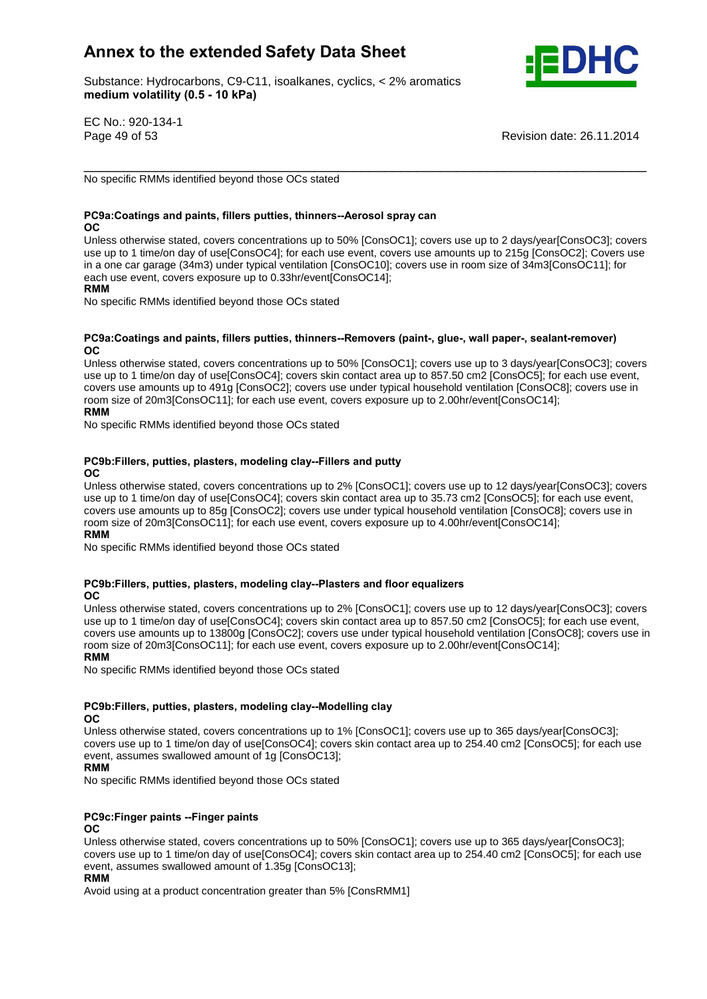Substance: Hydrocarbons, C9-C11, isoalkanes, cyclics, < 2% aromatics e: Hydrocarbons, C9-C11, ise<br>**volatility (0.5 - 10 kPa)** 



EC No.: 920-134-1

Page 49 of 53 Revision date: 26.11.2014

\_\_\_\_\_\_\_\_\_\_\_\_\_\_\_\_\_\_\_\_\_\_\_\_\_\_\_\_\_\_\_\_\_\_\_\_\_\_\_\_\_\_\_\_\_\_\_\_\_\_\_\_\_\_\_\_\_\_\_\_\_\_\_\_\_\_\_\_\_\_\_ No specific RMMs identified beyond those OCs stated

## **and paints, fillers putties, thinners--Aerosol spray can**

OC.

Unless otherwise stated, covers concentrations up to 50% [ConsOC1]; covers use up to 2 days/year[ConsOC3]; covers use up to 1 time/on day of use[ConsOC4]; for each use event, covers use amounts up to 215g [ConsOC2]; Covers use in a one cargarage (34m3) under typical ventilation [ConsOC10]; covers use in room sizeof 34m3[ConsOC11]; for **RMM**each use event, covers exposure up to 0.33hr/event[ConsOC14]; **RMM** 

No specific RMMs identified beyond those OCs stated

#### **and paints, fillers putties, thinners--Removers (paint-, glue-, wall paper-, sealant-remover)**  $OC$

Unless otherwise stated, covers concentrations up to 50% [ConsOC1]; covers use up to 3 days/year[ConsOC3]; covers use up to 1 time/on day of use[ConsOC4]; covers skin contact area up to 857.50 cm2 [ConsOC5]; for each use event, covers use amounts up to 491g [ConsOC2]; covers use under typical household ventilation [ConsOC8]; covers use in **RMM**room size of 20m3[ConsOC11]; for each use event, covers exposure up to 2.00hr/event[ConsOC14]; **RMM** 

No specific RMMs identified beyond those OCs stated

#### **putties, plasters, modeling clay--Fillers and putty OC**

Unless otherwise stated, covers concentrations up to 2% [ConsOC1]; covers use up to 12 days/year[ConsOC3]; covers use up to 1 time/on day of use[ConsOC4]; covers skin contact area up to 35.73 cm2 [ConsOC5]; for each use event, covers use amounts up to 85g [ConsOC2]; covers use under typical household ventilation [ConsOC8]; covers use in **RMM**room size of 20m3[ConsOC11]; for each use event, covers exposure up to 4.00hr/event[ConsOC14];

## **RMM**

No specific RMMs identified beyond those OCs stated

## **putties, plasters, modeling clay--Plasters and floor equalizers**

**OC** 

Unless otherwise stated, covers concentrations up to 2% [ConsOC1]; covers use up to 12 days/year[ConsOC3]; covers use up to 1 time/on day of use[ConsOC4]; covers skin contact area up to 857.50 cm2 [ConsOC5]; for each use event, covers use amounts up to 13800g [ConsOC2]; covers use under typical household ventilation [ConsOC8]; covers use in **RMM**room size of 20m3[ConsOC11]; for each use event, covers exposure up to 2.00hr/event[ConsOC14];

## **RMM**

No specific RMMs identified beyond those OCs stated

## **putties, plasters, modeling clay--Modelling clay**

**OC** 

Unless otherwise stated, covers concentrations up to 1% [ConsOC1]; covers use up to 365 days/year[ConsOC3]; covers use up to 1 time/on day of use[ConsOC4]; covers skin contact area up to 254.40 cm2 [ConsOC5]; for each use event, assumes swallowed amount of 1g [ConsOC13];

**RMM** 

No specific RMMs identified beyond those OCs stated

## **PC9c:Finger paints --Finger paints**

#### **OC**

Unless otherwise stated, covers concentrations up to 50% [ConsOC1]; covers use up to 365 days/year[ConsOC3]; covers use up to 1 time/on day of use[ConsOC4]; covers skin contact area up to 254.40 cm2 [ConsOC5]; for each use<br>**Reports** event, assumes swallowed amount of 1.35g [ConsOC13];

## **RMM**

Avoid using at a product concentration greater than 5% [ConsRMM1]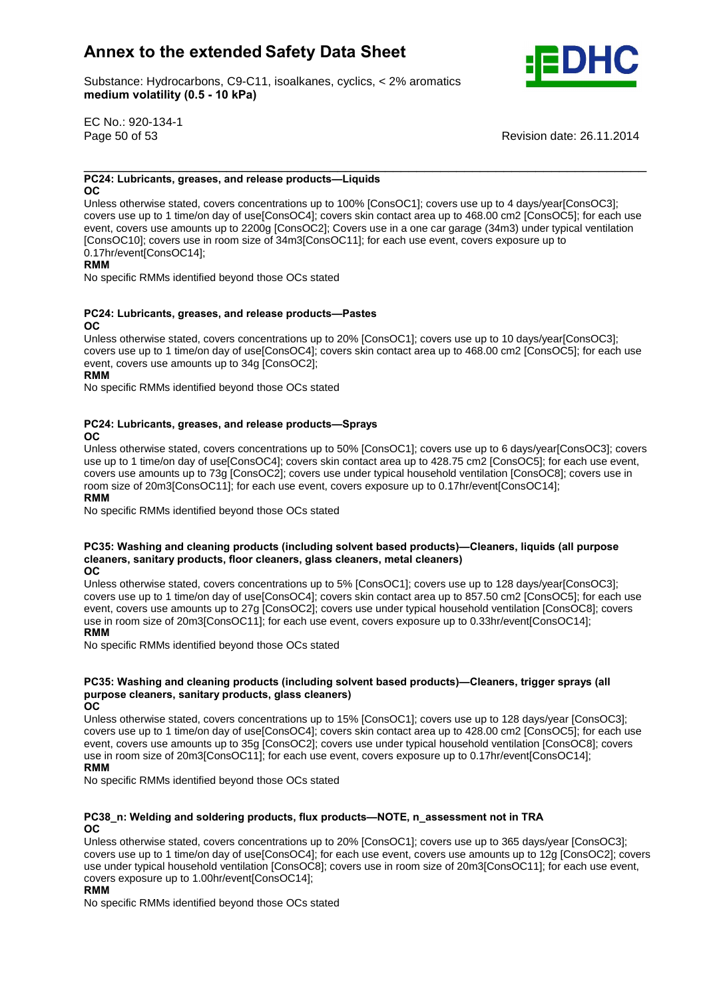Substance: Hydrocarbons, C9-C11, isoalkanes, cyclics, < 2% aromatics e: Hydrocarbons, C9-C11, ise<br>**volatility (0.5 - 10 kPa)** 



EC No.: 920-134-1

Page 50 of 53 Revision date: 26.11.2014

## \_\_\_\_\_\_\_\_\_\_\_\_\_\_\_\_\_\_\_\_\_\_\_\_\_\_\_\_\_\_\_\_\_\_\_\_\_\_\_\_\_\_\_\_\_\_\_\_\_\_\_\_\_\_\_\_\_\_\_\_\_\_\_\_\_\_\_\_\_\_\_ **PC24: Lubricants, greases, and release products—Liquids**

OC.

Unless otherwise stated, covers concentrations up to 100% [ConsOC1]; covers use up to 4 days/year[ConsOC3]; covers use up to 1 time/on day of use[ConsOC4]; covers skin contact area up to 468.00 cm2 [ConsOC5]; for each use event, covers use amounts up to 2200g [ConsOC2]; Covers use in a one cargarage (34m3) under typical ventilation crons occidence and allowing up to **Elect of 34m3[ConsOC11]**; for each use event, covers exposure up to **Representation** Consocial School and Tennis and Tennis and Tennis and Tennis and Tennis and Tennis and Tennis and Ten 0.17hr/event[ConsOC14];

## **RMM**

No specific RMMs identified beyond those OCs stated

#### **PC24: Lubricants, greases, and release products-Pastes OC**

Unless otherwise stated, covers concentrations up to 20% [ConsOC1]; covers use up to 10 days/year[ConsOC3]; covers use up to 1 time/on day of use[ConsOC4]; covers skin contact area up to 468.00 cm2 [ConsOC5]; for each use event, covers use amounts up to 34g [ConsOC2];

#### **RMM**

No specific RMMs identified beyond those OCs stated

## **PC24: Lubricants, greases, and release products-Sprays**

**OC** 

Unless otherwise stated, covers concentrations up to 50% [ConsOC1]; covers use up to 6 days/year[ConsOC3]; covers use up to 1 time/on day of use[ConsOC4]; covers skin contact area up to 428.75 cm2 [ConsOC5]; for each use event, covers use amounts up to 73g [ConsOC2]; covers use under typical household ventilation [ConsOC8]; covers use in **RMM**room size of 20m3[ConsOC11]; for each use event, covers exposure up to 0.17hr/event[ConsOC14];

#### **RMM**

No specific RMMs identified beyond those OCs stated **PC35:**

## **Washing and cleaning products (including solvent based products)óCleaners, liquids (all purpose sanitary products, floor cleaners, glass cleaners, metal cleaners) OCOC**

Unless otherwise stated, covers concentrations up to 5% [ConsOC1]; covers use up to 128 days/year[ConsOC3]; covers use up to 1 time/on day of use[ConsOC4]; covers skin contact area up to 857.50 cm2 [ConsOC5]; for each use event, covers use amounts up to 27g [ConsOC2]; covers use under typical household ventilation [ConsOC8]; covers use in room size of 20m3[ConsOC11]; for each use event, covers exposure up to 0.33hr/event[ConsOC14]; **RMM** 

No specific RMMs identified beyond those OCs stated

## **Washing and cleaning products (including solvent based products)óCleaners, trigger sprays (all c**<br>ashing and cleaning products (including solvent l<br>cleaners, sanitary products, glass cleaners) **OC**

**OC** 

Unless otherwise stated, covers concentrations up to 15% [ConsOC1]; covers use up to 128 days/year [ConsOC3]; covers use up to 1 time/on day of use[ConsOC4]; covers skin contact area up to 428.00 cm2 [ConsOC5]; for each use event, covers use amounts up to 35g [ConsOC2]; covers use under typical household ventilation [ConsOC8]; covers<br>RMM And The Second Ventilation of the Second Ventilation of the Second Ventilation [ConsOC8]; covers use in room size of 20m3[ConsOC11]; for each use event, covers exposure up to 0.17hr/event[ConsOC14]; **RMM** 

No specific RMMs identified beyond those OCs stated

#### **Welding and soldering products, flux productsóNOTE, n\_assessment not in TRA OC**

Unless otherwise stated, covers concentrations up to 20% [ConsOC1]; covers use up to 365 days/year [ConsOC3]; covers use up to 1 time/on day of use[ConsOC4]; for each use event, covers use amounts up to 12g [ConsOC2]; covers use under typical household ventilation [ConsOC8]; covers use in room sizeof 20m3[ConsOC11]; for each use event, **RMM**covers exposure up to 1.00hr/event[ConsOC14];

#### **RMM**

No specific RMMs identified beyond those OCs stated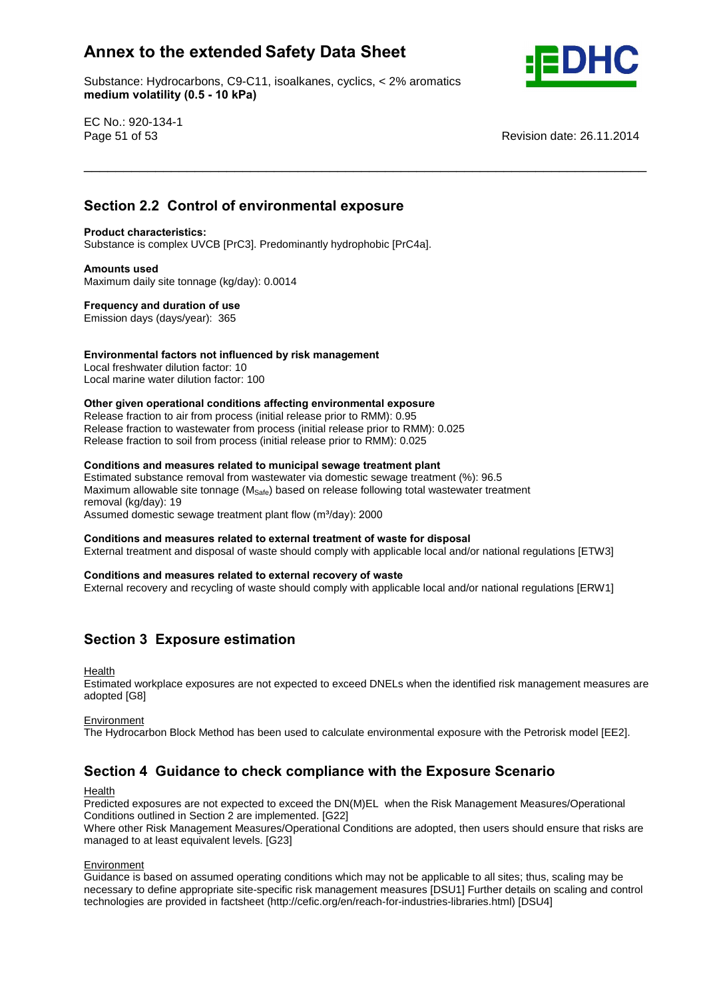Substance: Hydrocarbons, C9-C11, isoalkanes, cyclics, < 2% aromatics e: Hydrocarbons, C9-C11, ise<br>**volatility (0.5 - 10 kPa)** 



EC No.: 920-134-1

Page 51 of 53 Revision date: 26.11.2014

# **2.2 Control of environmental exposure Product characteristics:**

## Substance is complex UVCB [PrC3]. Predominantly hydrophobic [PrC4a]. **Amounts used**

Maximum daily site tonnage (kg/day): 0.0014 **Frequency and duration of use**

Emission days (days/year): 365

## **factors not influenced by risk management**

Local freshwater dilution factor: 10 Local marine water dilution factor: 100 **Other**

## **given operational conditions affecting environmental exposure**

Release fraction to air from process (initial release prior to RMM): 0.95 Release fraction to wastewater from process (initial release prior to RMM): 0.025 Release fraction to soil from process (initial release prior to RMM): 0.025 **Conditions and measures related to municipal sewage treatment plant**

Estimated substance removal from wastewater via domestic sewage treatment (%): 96.5 Maximum allowable site tonnage (M<sub>Safe</sub>) based on release following total wastewater treatment<br>removal (kg/day): 19<br>Assumed domestic sewage treatment plant flow (m<sup>3</sup>/day): 2000 removal (kg/day): 19 Assumed domestic sewage treatment plant flow (m<sup>3</sup>/day): 2000

## **and measures related to external treatment of waste for disposal**

External treatment and disposal of waste should comply with applicable local and/or national regulations [ETW3]<br>Conditions and measures related to external recovery of waste

\_\_\_\_\_\_\_\_\_\_\_\_\_\_\_\_\_\_\_\_\_\_\_\_\_\_\_\_\_\_\_\_\_\_\_\_\_\_\_\_\_\_\_\_\_\_\_\_\_\_\_\_\_\_\_\_\_\_\_\_\_\_\_\_\_\_\_\_\_\_\_ **Section**

External recovery and recycling of waste should comply with applicable local and/or national regulations [ERW1]

## **<sup>3</sup> Exposure estimation**

**Health** 

Estimated workplace exposures are not expected to exceed DNELs when the identified risk management measures are adopted [G8]

#### **Environment**

The Hydrocarbon Block Method has been used to calculate environmental exposure with the Petrorisk model [EE2].<br>**Section 4 Guidance to check compliance with the Exposure Scenario** 

#### Health

Predicted exposures are not expected to exceed the DN(M)EL when the Risk Management Measures/Operational Conditions outlined in Section 2 are implemented. [G22]

Where other Risk Management Measures/Operational Conditions are adopted, then users should ensure that risks are managed to at least equivalent levels. [G23]

#### **Environment**

Guidance is based on assumed operating conditions which may not be applicable to all sites; thus, scaling may be necessary to define appropriate site-specific risk management measures [DSU1] Further details on scaling and control technologies are provided in factsheet (http://cefic.org/en/reach-for-industries-libraries.html) [DSU4]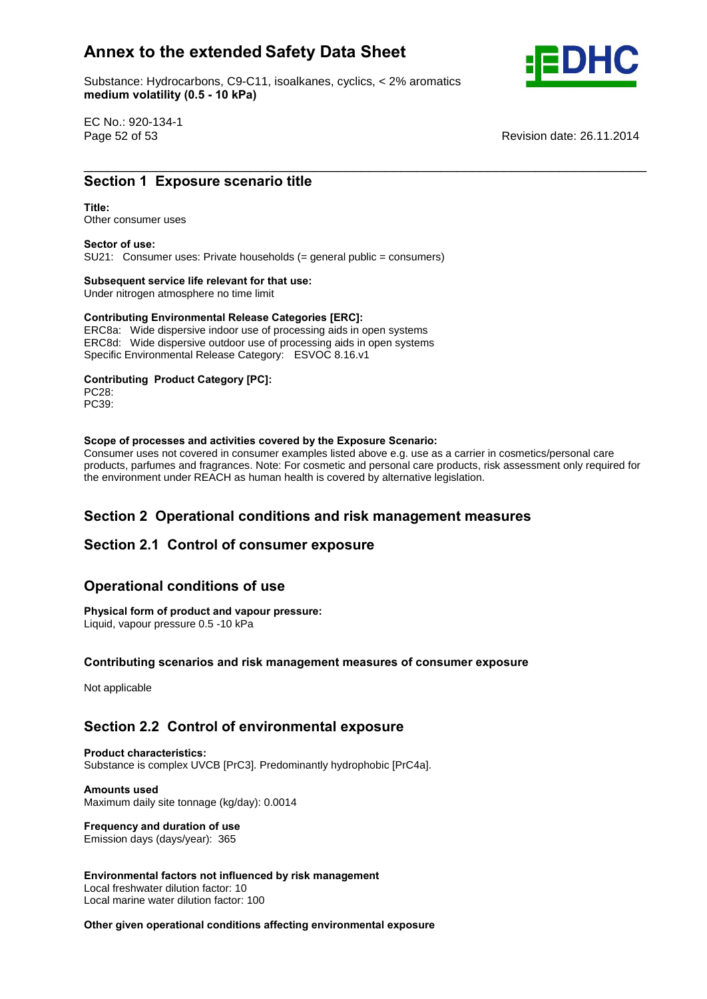Substance: Hydrocarbons, C9-C11, isoalkanes, cyclics, < 2% aromatics e: Hydrocarbons, C9-C11, ise<br>**volatility (0.5 - 10 kPa)** 



EC No.: 920-134-1

Page 52 of 53 Revision date: 26.11.2014 \_\_\_\_\_\_\_\_\_\_\_\_\_\_\_\_\_\_\_\_\_\_\_\_\_\_\_\_\_\_\_\_\_\_\_\_\_\_\_\_\_\_\_\_\_\_\_\_\_\_\_\_\_\_\_\_\_\_\_\_\_\_\_\_\_\_\_\_\_\_\_ **Section**

# **1 Exposure scenario title**<br> **Section 1 Exposure scenario title**

## Other consumer uses **Sector of use:**

SU21: Consumer uses: Private households (= general public = consumers) **Subsequent service life relevant for that use:**

Under nitrogen atmosphere no time limit

## **Subsequent service life relevant for that use:**<br>
Under nitrogen atmosphere no time limit<br> **Contributing Environmental Release Categories [ERC]:**

ERC8a: Wide dispersive indoor use of processing aids in open systems ERC8d: Wide dispersive outdoor use of processing aids in open systems Specific Environmental Release Category: ESVOC 8.16.v1 **Contributing Product Category [PC]:**

PC28: PC39: **Scope**

#### **of processes and activities covered by the Exposure Scenario:**

Consumer uses not covered in consumer examples listed above e.g. use as a carrier in cosmetics/personal care products, parfumes and fragrances. Note: For cosmetic and personal care products, risk assessment only required for the environment under REACH as human health is covered by alternative legislation.

# **<sup>2</sup> Operational conditions and risk management measures Section 2.1 Control of consumer exposure**

# Section 2.1 Control of consumer expo<br>Operational conditions of use

## **Physical form of product and vapour pressure:**

Liquid, vapour pressure 0.5 -10 kPa **Contributing**

## **scenarios and risk management measures of consumer exposure**

Not applicable

# **2.2 Control of environmental exposure Product characteristics:**

Substance is complex UVCB [PrC3]. Predominantly hydrophobic [PrC4a]. **Amounts used**

Maximum daily site tonnage (kg/day): 0.0014 **Frequency and duration of use**

Emission days (days/year): 365

 **factors not influenced by risk management** Local freshwater dilution factor: 10 Local marine water dilution factor: 100 **Other**

**given operational conditions affecting environmental exposure**